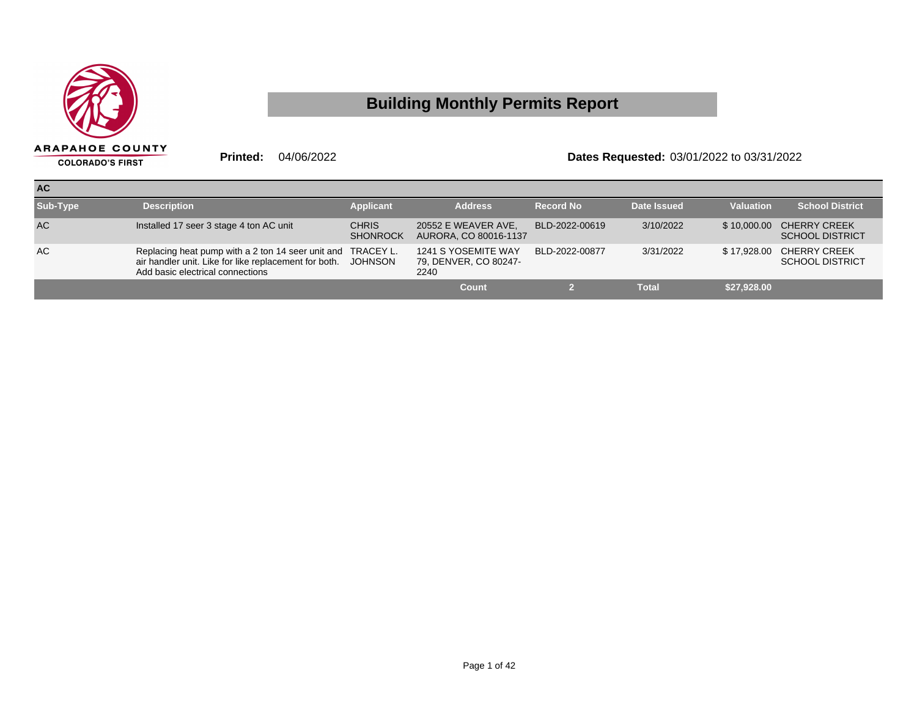

## **Building Monthly Permits Report**

**Printed:** 04/06/2022 **Dates Requested:** 03/01/2022 to 03/31/2022

| <b>AC</b> |                                                                                                                                                          |                                 |                                                      |                  |              |                  |                                                    |
|-----------|----------------------------------------------------------------------------------------------------------------------------------------------------------|---------------------------------|------------------------------------------------------|------------------|--------------|------------------|----------------------------------------------------|
| Sub-Type  | <b>Description</b>                                                                                                                                       | <b>Applicant</b>                | <b>Address</b>                                       | <b>Record No</b> | Date Issued  | <b>Valuation</b> | <b>School District</b>                             |
| <b>AC</b> | Installed 17 seer 3 stage 4 ton AC unit                                                                                                                  | <b>CHRIS</b><br><b>SHONROCK</b> | 20552 E WEAVER AVE,<br>AURORA, CO 80016-1137         | BLD-2022-00619   | 3/10/2022    |                  | \$10,000.00 CHERRY CREEK<br><b>SCHOOL DISTRICT</b> |
| AC        | Replacing heat pump with a 2 ton 14 seer unit and TRACEY L.<br>air handler unit. Like for like replacement for both.<br>Add basic electrical connections | JOHNSON                         | 1241 S YOSEMITE WAY<br>79, DENVER, CO 80247-<br>2240 | BLD-2022-00877   | 3/31/2022    |                  | \$17,928.00 CHERRY CREEK<br><b>SCHOOL DISTRICT</b> |
|           |                                                                                                                                                          |                                 | Count                                                |                  | <b>Total</b> | \$27,928.00      |                                                    |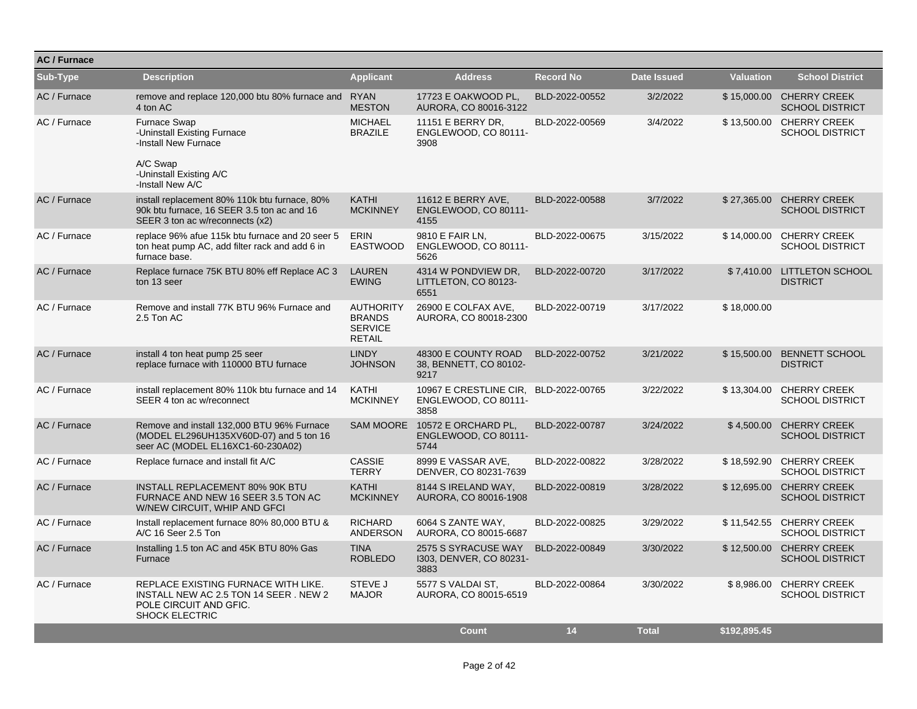| <b>AC/Furnace</b> |                                                                                                                                 |                                                                      |                                                                       |                  |                    |                  |                                                    |
|-------------------|---------------------------------------------------------------------------------------------------------------------------------|----------------------------------------------------------------------|-----------------------------------------------------------------------|------------------|--------------------|------------------|----------------------------------------------------|
| Sub-Type          | <b>Description</b>                                                                                                              | <b>Applicant</b>                                                     | <b>Address</b>                                                        | <b>Record No</b> | <b>Date Issued</b> | <b>Valuation</b> | <b>School District</b>                             |
| AC / Furnace      | remove and replace 120,000 btu 80% furnace and RYAN<br>4 ton AC                                                                 | <b>MESTON</b>                                                        | 17723 E OAKWOOD PL,<br>AURORA, CO 80016-3122                          | BLD-2022-00552   | 3/2/2022           |                  | \$15,000.00 CHERRY CREEK<br><b>SCHOOL DISTRICT</b> |
| AC / Furnace      | Furnace Swap<br>-Uninstall Existing Furnace<br>-Install New Furnace                                                             | <b>MICHAEL</b><br><b>BRAZILE</b>                                     | 11151 E BERRY DR.<br>ENGLEWOOD, CO 80111-<br>3908                     | BLD-2022-00569   | 3/4/2022           |                  | \$13,500.00 CHERRY CREEK<br><b>SCHOOL DISTRICT</b> |
|                   | A/C Swap<br>-Uninstall Existing A/C<br>-Install New A/C                                                                         |                                                                      |                                                                       |                  |                    |                  |                                                    |
| AC / Furnace      | install replacement 80% 110k btu furnace, 80%<br>90k btu furnace, 16 SEER 3.5 ton ac and 16<br>SEER 3 ton ac w/reconnects (x2)  | <b>KATHI</b><br><b>MCKINNEY</b>                                      | 11612 E BERRY AVE,<br>ENGLEWOOD, CO 80111-<br>4155                    | BLD-2022-00588   | 3/7/2022           |                  | \$27,365.00 CHERRY CREEK<br><b>SCHOOL DISTRICT</b> |
| AC / Furnace      | replace 96% afue 115k btu furnace and 20 seer 5<br>ton heat pump AC, add filter rack and add 6 in<br>furnace base.              | <b>ERIN</b><br><b>EASTWOOD</b>                                       | 9810 E FAIR LN.<br>ENGLEWOOD, CO 80111-<br>5626                       | BLD-2022-00675   | 3/15/2022          |                  | \$14,000.00 CHERRY CREEK<br><b>SCHOOL DISTRICT</b> |
| AC / Furnace      | Replace furnace 75K BTU 80% eff Replace AC 3<br>ton 13 seer                                                                     | <b>LAUREN</b><br><b>EWING</b>                                        | 4314 W PONDVIEW DR.<br>LITTLETON, CO 80123-<br>6551                   | BLD-2022-00720   | 3/17/2022          |                  | \$7,410.00 LITTLETON SCHOOL<br><b>DISTRICT</b>     |
| AC / Furnace      | Remove and install 77K BTU 96% Furnace and<br>2.5 Ton AC                                                                        | <b>AUTHORITY</b><br><b>BRANDS</b><br><b>SERVICE</b><br><b>RETAIL</b> | 26900 E COLFAX AVE,<br>AURORA, CO 80018-2300                          | BLD-2022-00719   | 3/17/2022          | \$18,000.00      |                                                    |
| AC / Furnace      | install 4 ton heat pump 25 seer<br>replace furnace with 110000 BTU furnace                                                      | <b>LINDY</b><br><b>JOHNSON</b>                                       | 48300 E COUNTY ROAD<br>38, BENNETT, CO 80102-<br>9217                 | BLD-2022-00752   | 3/21/2022          |                  | \$15,500.00 BENNETT SCHOOL<br><b>DISTRICT</b>      |
| AC / Furnace      | install replacement 80% 110k btu furnace and 14<br>SEER 4 ton ac w/reconnect                                                    | <b>KATHI</b><br><b>MCKINNEY</b>                                      | 10967 E CRESTLINE CIR, BLD-2022-00765<br>ENGLEWOOD, CO 80111-<br>3858 |                  | 3/22/2022          |                  | \$13,304.00 CHERRY CREEK<br><b>SCHOOL DISTRICT</b> |
| AC / Furnace      | Remove and install 132,000 BTU 96% Furnace<br>(MODEL EL296UH135XV60D-07) and 5 ton 16<br>seer AC (MODEL EL16XC1-60-230A02)      | <b>SAM MOORE</b>                                                     | 10572 E ORCHARD PL,<br>ENGLEWOOD, CO 80111-<br>5744                   | BLD-2022-00787   | 3/24/2022          | \$4,500.00       | <b>CHERRY CREEK</b><br><b>SCHOOL DISTRICT</b>      |
| AC / Furnace      | Replace furnace and install fit A/C                                                                                             | <b>CASSIE</b><br><b>TERRY</b>                                        | 8999 E VASSAR AVE,<br>DENVER, CO 80231-7639                           | BLD-2022-00822   | 3/28/2022          |                  | \$18,592.90 CHERRY CREEK<br><b>SCHOOL DISTRICT</b> |
| AC / Furnace      | INSTALL REPLACEMENT 80% 90K BTU<br>FURNACE AND NEW 16 SEER 3.5 TON AC<br>W/NEW CIRCUIT, WHIP AND GFCI                           | <b>KATHI</b><br><b>MCKINNEY</b>                                      | 8144 S IRELAND WAY,<br>AURORA, CO 80016-1908                          | BLD-2022-00819   | 3/28/2022          |                  | \$12,695.00 CHERRY CREEK<br><b>SCHOOL DISTRICT</b> |
| AC / Furnace      | Install replacement furnace 80% 80,000 BTU &<br>A/C 16 Seer 2.5 Ton                                                             | <b>RICHARD</b><br><b>ANDERSON</b>                                    | 6064 S ZANTE WAY.<br>AURORA, CO 80015-6687                            | BLD-2022-00825   | 3/29/2022          |                  | \$11,542.55 CHERRY CREEK<br><b>SCHOOL DISTRICT</b> |
| AC / Furnace      | Installing 1.5 ton AC and 45K BTU 80% Gas<br>Furnace                                                                            | <b>TINA</b><br><b>ROBLEDO</b>                                        | 2575 S SYRACUSE WAY<br>1303, DENVER, CO 80231-<br>3883                | BLD-2022-00849   | 3/30/2022          |                  | \$12,500.00 CHERRY CREEK<br><b>SCHOOL DISTRICT</b> |
| AC / Furnace      | REPLACE EXISTING FURNACE WITH LIKE.<br>INSTALL NEW AC 2.5 TON 14 SEER. NEW 2<br>POLE CIRCUIT AND GFIC.<br><b>SHOCK ELECTRIC</b> | STEVE J<br><b>MAJOR</b>                                              | 5577 S VALDAI ST.<br>AURORA, CO 80015-6519                            | BLD-2022-00864   | 3/30/2022          |                  | \$8,986.00 CHERRY CREEK<br><b>SCHOOL DISTRICT</b>  |
|                   |                                                                                                                                 |                                                                      | <b>Count</b>                                                          | 14               | <b>Total</b>       | \$192.895.45     |                                                    |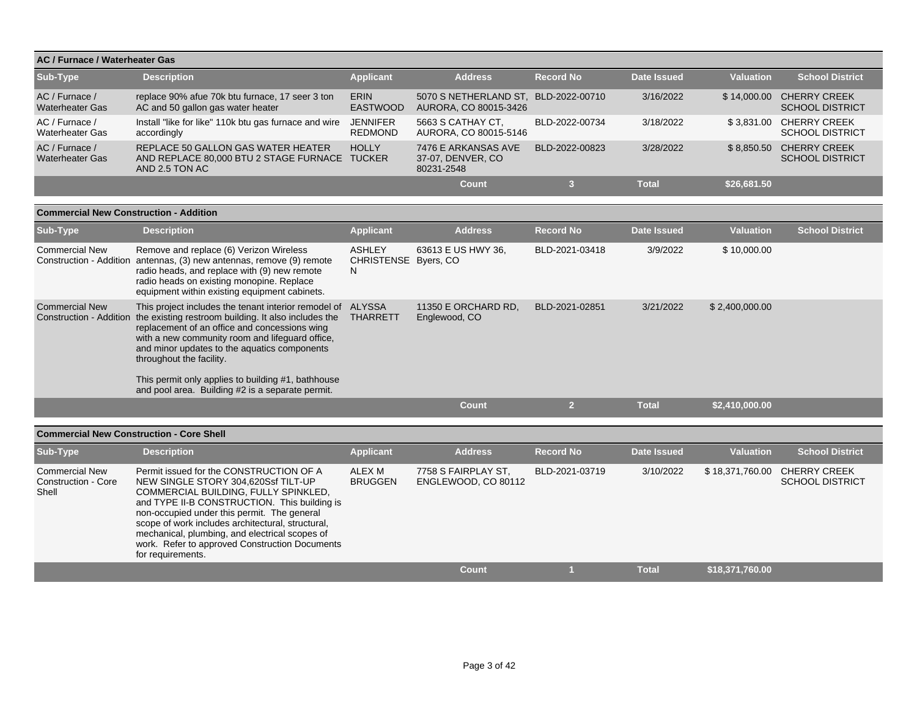|                                          | AC / Furnace / Waterheater Gas                                                                        |                                   |                                                               |                  |              |                  |                                                    |  |  |  |  |
|------------------------------------------|-------------------------------------------------------------------------------------------------------|-----------------------------------|---------------------------------------------------------------|------------------|--------------|------------------|----------------------------------------------------|--|--|--|--|
| Sub-Type                                 | <b>Description</b>                                                                                    | <b>Applicant</b>                  | <b>Address</b>                                                | <b>Record No</b> | Date Issued  | <b>Valuation</b> | <b>School District</b>                             |  |  |  |  |
| AC / Furnace /<br><b>Waterheater Gas</b> | replace 90% afue 70k btu furnace, 17 seer 3 ton<br>AC and 50 gallon gas water heater                  | <b>ERIN</b><br><b>EASTWOOD</b>    | 5070 S NETHERLAND ST. BLD-2022-00710<br>AURORA, CO 80015-3426 |                  | 3/16/2022    |                  | \$14,000.00 CHERRY CREEK<br><b>SCHOOL DISTRICT</b> |  |  |  |  |
| AC / Furnace /<br><b>Waterheater Gas</b> | Install "like for like" 110k btu gas furnace and wire<br>accordingly                                  | <b>JENNIFER</b><br><b>REDMOND</b> | 5663 S CATHAY CT.<br>AURORA, CO 80015-5146                    | BLD-2022-00734   | 3/18/2022    |                  | \$3.831.00 CHERRY CREEK<br><b>SCHOOL DISTRICT</b>  |  |  |  |  |
| AC / Furnace /<br><b>Waterheater Gas</b> | REPLACE 50 GALLON GAS WATER HEATER<br>AND REPLACE 80,000 BTU 2 STAGE FURNACE TUCKER<br>AND 2.5 TON AC | <b>HOLLY</b>                      | 7476 E ARKANSAS AVE<br>37-07. DENVER, CO<br>80231-2548        | BLD-2022-00823   | 3/28/2022    | \$8.850.50       | <b>CHERRY CREEK</b><br><b>SCHOOL DISTRICT</b>      |  |  |  |  |
|                                          |                                                                                                       |                                   | Count                                                         |                  | <b>Total</b> | \$26,681.50      |                                                    |  |  |  |  |

| <b>Commercial New Construction - Addition</b>    |                                                                                                                                                                                                                                                                                                                                                           |                                             |                                      |                  |                    |                  |                        |
|--------------------------------------------------|-----------------------------------------------------------------------------------------------------------------------------------------------------------------------------------------------------------------------------------------------------------------------------------------------------------------------------------------------------------|---------------------------------------------|--------------------------------------|------------------|--------------------|------------------|------------------------|
| Sub-Type                                         | <b>Description</b>                                                                                                                                                                                                                                                                                                                                        | <b>Applicant</b>                            | <b>Address</b>                       | <b>Record No</b> | <b>Date Issued</b> | <b>Valuation</b> | <b>School District</b> |
| <b>Commercial New</b><br>Construction - Addition | Remove and replace (6) Verizon Wireless<br>antennas, (3) new antennas, remove (9) remote<br>radio heads, and replace with (9) new remote<br>radio heads on existing monopine. Replace<br>equipment within existing equipment cabinets.                                                                                                                    | <b>ASHLEY</b><br>CHRISTENSE Byers, CO<br>N. | 63613 E US HWY 36,                   | BLD-2021-03418   | 3/9/2022           | \$10,000.00      |                        |
| <b>Commercial New</b><br>Construction - Addition | This project includes the tenant interior remodel of ALYSSA<br>the existing restroom building. It also includes the<br>replacement of an office and concessions wing<br>with a new community room and lifequard office,<br>and minor updates to the aquatics components<br>throughout the facility.<br>This permit only applies to building #1, bathhouse | <b>THARRETT</b>                             | 11350 E ORCHARD RD.<br>Englewood, CO | BLD-2021-02851   | 3/21/2022          | \$2,400,000.00   |                        |
|                                                  | and pool area. Building #2 is a separate permit.                                                                                                                                                                                                                                                                                                          |                                             | <b>Count</b>                         | <b>Co</b>        | <b>Total</b>       | \$2.410.000.00   |                        |
|                                                  |                                                                                                                                                                                                                                                                                                                                                           |                                             |                                      |                  |                    |                  |                        |

|                                                       | <b>Commercial New Construction - Core Shell</b>                                                                                                                                                                                                                                                                                                                                                     |                          |                                            |                  |             |                  |                                               |  |  |  |  |
|-------------------------------------------------------|-----------------------------------------------------------------------------------------------------------------------------------------------------------------------------------------------------------------------------------------------------------------------------------------------------------------------------------------------------------------------------------------------------|--------------------------|--------------------------------------------|------------------|-------------|------------------|-----------------------------------------------|--|--|--|--|
| Sub-Type                                              | <b>Description</b>                                                                                                                                                                                                                                                                                                                                                                                  | <b>Applicant</b>         | <b>Address</b>                             | <b>Record No</b> | Date Issued | <b>Valuation</b> | <b>School District</b>                        |  |  |  |  |
| <b>Commercial New</b><br>Construction - Core<br>Shell | Permit issued for the CONSTRUCTION OF A<br>NEW SINGLE STORY 304,620Ssf TILT-UP<br>COMMERCIAL BUILDING, FULLY SPINKLED,<br>and TYPE II-B CONSTRUCTION. This building is<br>non-occupied under this permit. The general<br>scope of work includes architectural, structural,<br>mechanical, plumbing, and electrical scopes of<br>work. Refer to approved Construction Documents<br>for requirements. | ALEX M<br><b>BRUGGEN</b> | 7758 S FAIRPLAY ST.<br>ENGLEWOOD, CO 80112 | BLD-2021-03719   | 3/10/2022   | \$18,371,760.00  | <b>CHERRY CREEK</b><br><b>SCHOOL DISTRICT</b> |  |  |  |  |
|                                                       |                                                                                                                                                                                                                                                                                                                                                                                                     |                          | <b>Count</b>                               |                  | Total       | \$18.371.760.00  |                                               |  |  |  |  |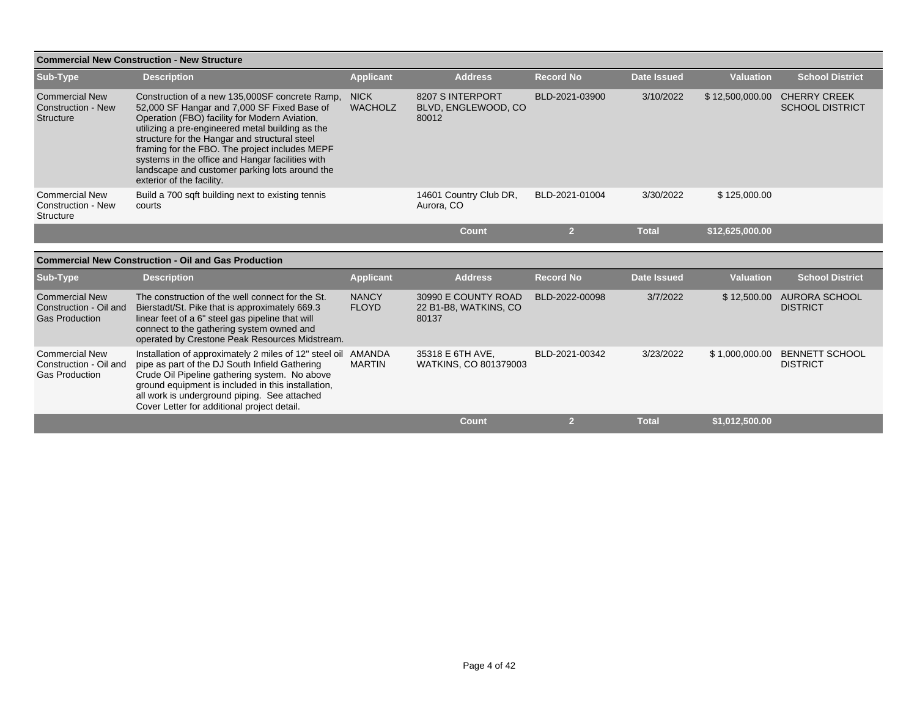|                                                                          | <b>Commercial New Construction - New Structure</b>                                                                                                                                                                                                                                                                                                                                                                                       |                               |                                                       |                  |                    |                  |                                               |
|--------------------------------------------------------------------------|------------------------------------------------------------------------------------------------------------------------------------------------------------------------------------------------------------------------------------------------------------------------------------------------------------------------------------------------------------------------------------------------------------------------------------------|-------------------------------|-------------------------------------------------------|------------------|--------------------|------------------|-----------------------------------------------|
| Sub-Type                                                                 | <b>Description</b>                                                                                                                                                                                                                                                                                                                                                                                                                       | <b>Applicant</b>              | <b>Address</b>                                        | <b>Record No</b> | <b>Date Issued</b> | <b>Valuation</b> | <b>School District</b>                        |
| <b>Commercial New</b><br><b>Construction - New</b><br><b>Structure</b>   | Construction of a new 135,000SF concrete Ramp,<br>52,000 SF Hangar and 7,000 SF Fixed Base of<br>Operation (FBO) facility for Modern Aviation,<br>utilizing a pre-engineered metal building as the<br>structure for the Hangar and structural steel<br>framing for the FBO. The project includes MEPF<br>systems in the office and Hangar facilities with<br>landscape and customer parking lots around the<br>exterior of the facility. | <b>NICK</b><br><b>WACHOLZ</b> | 8207 S INTERPORT<br>BLVD, ENGLEWOOD, CO<br>80012      | BLD-2021-03900   | 3/10/2022          | \$12,500,000.00  | <b>CHERRY CREEK</b><br><b>SCHOOL DISTRICT</b> |
| <b>Commercial New</b><br><b>Construction - New</b><br>Structure          | Build a 700 sqft building next to existing tennis<br>courts                                                                                                                                                                                                                                                                                                                                                                              |                               | 14601 Country Club DR,<br>Aurora, CO                  | BLD-2021-01004   | 3/30/2022          | \$125,000.00     |                                               |
|                                                                          |                                                                                                                                                                                                                                                                                                                                                                                                                                          |                               | Count                                                 | $\overline{2}$   | <b>Total</b>       | \$12,625,000.00  |                                               |
|                                                                          |                                                                                                                                                                                                                                                                                                                                                                                                                                          |                               |                                                       |                  |                    |                  |                                               |
|                                                                          | <b>Commercial New Construction - Oil and Gas Production</b>                                                                                                                                                                                                                                                                                                                                                                              |                               |                                                       |                  |                    |                  |                                               |
| Sub-Type                                                                 | <b>Description</b>                                                                                                                                                                                                                                                                                                                                                                                                                       | <b>Applicant</b>              | <b>Address</b>                                        | <b>Record No</b> | <b>Date Issued</b> | <b>Valuation</b> | <b>School District</b>                        |
| <b>Commercial New</b><br>Construction - Oil and<br><b>Gas Production</b> | The construction of the well connect for the St.<br>Bierstadt/St. Pike that is approximately 669.3<br>linear feet of a 6" steel gas pipeline that will<br>connect to the gathering system owned and<br>operated by Crestone Peak Resources Midstream.                                                                                                                                                                                    | <b>NANCY</b><br><b>FLOYD</b>  | 30990 E COUNTY ROAD<br>22 B1-B8, WATKINS, CO<br>80137 | BLD-2022-00098   | 3/7/2022           |                  | \$12,500.00 AURORA SCHOOL<br><b>DISTRICT</b>  |
| <b>Commercial New</b><br>Construction - Oil and<br><b>Gas Production</b> | Installation of approximately 2 miles of 12" steel oil AMANDA<br>pipe as part of the DJ South Infield Gathering<br>Crude Oil Pipeline gathering system. No above<br>ground equipment is included in this installation,<br>all work is underground piping. See attached<br>Cover Letter for additional project detail.                                                                                                                    | <b>MARTIN</b>                 | 35318 E 6TH AVE.<br>WATKINS, CO 801379003             | BLD-2021-00342   | 3/23/2022          | \$1,000,000.00   | <b>BENNETT SCHOOL</b><br><b>DISTRICT</b>      |
|                                                                          |                                                                                                                                                                                                                                                                                                                                                                                                                                          |                               | <b>Count</b>                                          | $\mathbf{2}$     | <b>Total</b>       | \$1,012,500.00   |                                               |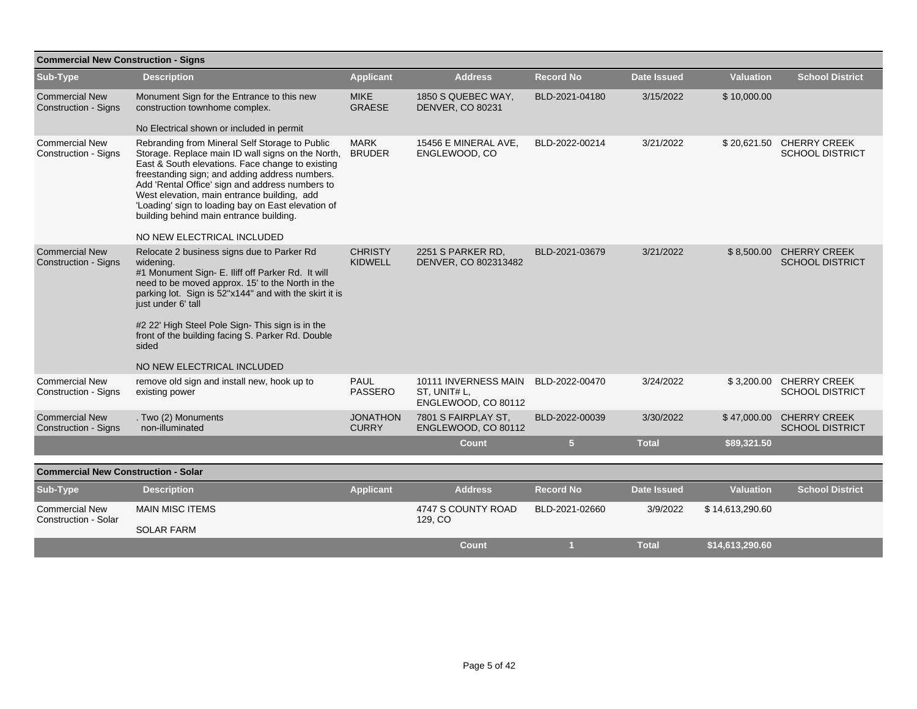| <b>Commercial New Construction - Signs</b>           |                                                                                                                                                                                                                                                                                                                                                                                                                                            |                                  |                                                             |                  |              |                  |                                                    |
|------------------------------------------------------|--------------------------------------------------------------------------------------------------------------------------------------------------------------------------------------------------------------------------------------------------------------------------------------------------------------------------------------------------------------------------------------------------------------------------------------------|----------------------------------|-------------------------------------------------------------|------------------|--------------|------------------|----------------------------------------------------|
| Sub-Type                                             | <b>Description</b>                                                                                                                                                                                                                                                                                                                                                                                                                         | <b>Applicant</b>                 | <b>Address</b>                                              | <b>Record No</b> | Date Issued  | <b>Valuation</b> | <b>School District</b>                             |
| <b>Commercial New</b><br><b>Construction - Signs</b> | Monument Sign for the Entrance to this new<br>construction townhome complex.                                                                                                                                                                                                                                                                                                                                                               | <b>MIKE</b><br><b>GRAESE</b>     | 1850 S QUEBEC WAY,<br><b>DENVER, CO 80231</b>               | BLD-2021-04180   | 3/15/2022    | \$10,000.00      |                                                    |
|                                                      | No Electrical shown or included in permit                                                                                                                                                                                                                                                                                                                                                                                                  |                                  |                                                             |                  |              |                  |                                                    |
| <b>Commercial New</b><br><b>Construction - Signs</b> | Rebranding from Mineral Self Storage to Public<br>Storage. Replace main ID wall signs on the North,<br>East & South elevations. Face change to existing<br>freestanding sign; and adding address numbers.<br>Add 'Rental Office' sign and address numbers to<br>West elevation, main entrance building, add<br>'Loading' sign to loading bay on East elevation of<br>building behind main entrance building.<br>NO NEW ELECTRICAL INCLUDED | <b>MARK</b><br><b>BRUDER</b>     | 15456 E MINERAL AVE.<br>ENGLEWOOD, CO                       | BLD-2022-00214   | 3/21/2022    |                  | \$20,621.50 CHERRY CREEK<br><b>SCHOOL DISTRICT</b> |
| <b>Commercial New</b><br><b>Construction - Signs</b> | Relocate 2 business signs due to Parker Rd<br>widening.<br>#1 Monument Sign- E. Iliff off Parker Rd. It will<br>need to be moved approx. 15' to the North in the<br>parking lot. Sign is 52"x144" and with the skirt it is<br>just under 6' tall<br>#2 22' High Steel Pole Sign- This sign is in the<br>front of the building facing S. Parker Rd. Double<br>sided<br>NO NEW ELECTRICAL INCLUDED                                           | <b>CHRISTY</b><br><b>KIDWELL</b> | 2251 S PARKER RD,<br>DENVER, CO 802313482                   | BLD-2021-03679   | 3/21/2022    |                  | \$8,500.00 CHERRY CREEK<br><b>SCHOOL DISTRICT</b>  |
| <b>Commercial New</b><br>Construction - Signs        | remove old sign and install new, hook up to<br>existing power                                                                                                                                                                                                                                                                                                                                                                              | PAUL<br><b>PASSERO</b>           | 10111 INVERNESS MAIN<br>ST, UNIT# L,<br>ENGLEWOOD, CO 80112 | BLD-2022-00470   | 3/24/2022    |                  | \$3,200.00 CHERRY CREEK<br><b>SCHOOL DISTRICT</b>  |
| <b>Commercial New</b><br><b>Construction - Signs</b> | . Two (2) Monuments<br>non-illuminated                                                                                                                                                                                                                                                                                                                                                                                                     | <b>JONATHON</b><br><b>CURRY</b>  | 7801 S FAIRPLAY ST.<br>ENGLEWOOD, CO 80112                  | BLD-2022-00039   | 3/30/2022    |                  | \$47,000.00 CHERRY CREEK<br><b>SCHOOL DISTRICT</b> |
|                                                      |                                                                                                                                                                                                                                                                                                                                                                                                                                            |                                  | <b>Count</b>                                                | 5 <sub>5</sub>   | <b>Total</b> | \$89,321.50      |                                                    |
|                                                      |                                                                                                                                                                                                                                                                                                                                                                                                                                            |                                  |                                                             |                  |              |                  |                                                    |
| <b>Commercial New Construction - Solar</b>           |                                                                                                                                                                                                                                                                                                                                                                                                                                            |                                  |                                                             |                  |              |                  |                                                    |
| Sub-Type                                             | <b>Description</b>                                                                                                                                                                                                                                                                                                                                                                                                                         | <b>Applicant</b>                 | <b>Address</b>                                              | <b>Record No</b> | Date Issued  | <b>Valuation</b> | <b>School District</b>                             |
| <b>Commercial New</b>                                | <b>MAIN MISC ITEMS</b>                                                                                                                                                                                                                                                                                                                                                                                                                     |                                  | 4747 S COUNTY ROAD                                          | BLD-2021-02660   | 3/9/2022     | \$14,613,290.60  |                                                    |
| Construction - Solar                                 | <b>SOLAR FARM</b>                                                                                                                                                                                                                                                                                                                                                                                                                          |                                  | 129, CO                                                     |                  |              |                  |                                                    |
|                                                      |                                                                                                                                                                                                                                                                                                                                                                                                                                            |                                  | <b>Count</b>                                                |                  | <b>Total</b> | \$14,613,290.60  |                                                    |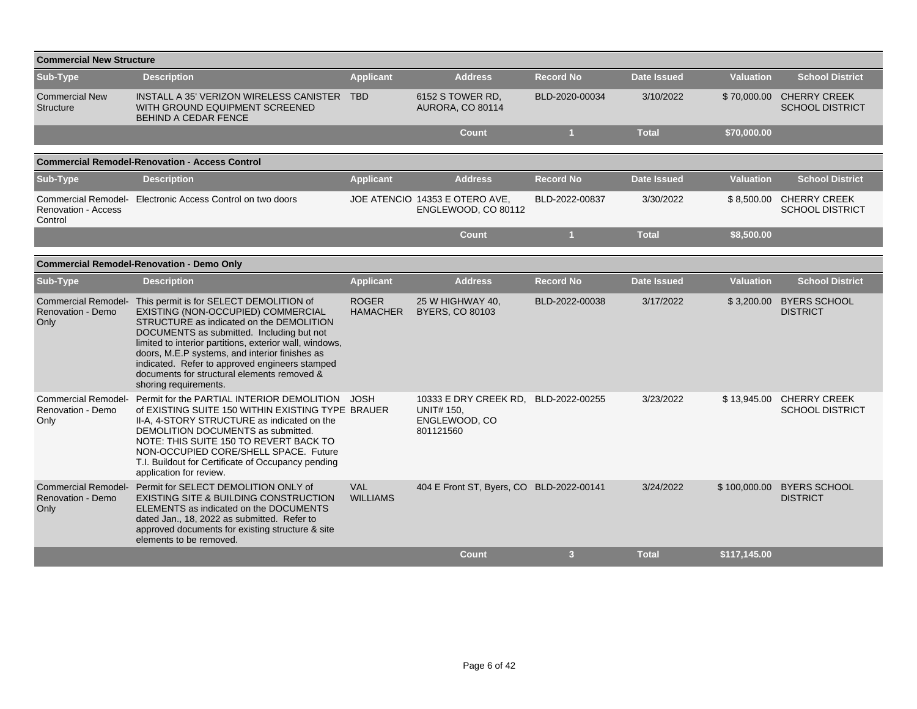| <b>Commercial New Structure</b>                         |                                                                                                                                                                                                                                                                                                                                                                                                               |                                 |                                                                          |                      |                    |                  |                                                    |  |  |  |  |  |
|---------------------------------------------------------|---------------------------------------------------------------------------------------------------------------------------------------------------------------------------------------------------------------------------------------------------------------------------------------------------------------------------------------------------------------------------------------------------------------|---------------------------------|--------------------------------------------------------------------------|----------------------|--------------------|------------------|----------------------------------------------------|--|--|--|--|--|
| Sub-Type                                                | <b>Description</b>                                                                                                                                                                                                                                                                                                                                                                                            | <b>Applicant</b>                | <b>Address</b>                                                           | <b>Record No</b>     | <b>Date Issued</b> | <b>Valuation</b> | <b>School District</b>                             |  |  |  |  |  |
| <b>Commercial New</b><br>Structure                      | INSTALL A 35' VERIZON WIRELESS CANISTER<br>WITH GROUND EQUIPMENT SCREENED<br><b>BEHIND A CEDAR FENCE</b>                                                                                                                                                                                                                                                                                                      | <b>TBD</b>                      | 6152 S TOWER RD.<br>AURORA, CO 80114                                     | BLD-2020-00034       | 3/10/2022          | \$70,000.00      | <b>CHERRY CREEK</b><br><b>SCHOOL DISTRICT</b>      |  |  |  |  |  |
|                                                         |                                                                                                                                                                                                                                                                                                                                                                                                               |                                 | <b>Count</b>                                                             | $\blacktriangleleft$ | <b>Total</b>       | \$70,000.00      |                                                    |  |  |  |  |  |
| <b>Commercial Remodel-Renovation - Access Control</b>   |                                                                                                                                                                                                                                                                                                                                                                                                               |                                 |                                                                          |                      |                    |                  |                                                    |  |  |  |  |  |
| Sub-Type                                                | <b>Description</b>                                                                                                                                                                                                                                                                                                                                                                                            | <b>Applicant</b>                | <b>Address</b>                                                           | <b>Record No</b>     | <b>Date Issued</b> | <b>Valuation</b> | <b>School District</b>                             |  |  |  |  |  |
| <b>Renovation - Access</b><br>Control                   | Commercial Remodel- Electronic Access Control on two doors                                                                                                                                                                                                                                                                                                                                                    |                                 | JOE ATENCIO 14353 E OTERO AVE,<br>ENGLEWOOD, CO 80112                    | BLD-2022-00837       | 3/30/2022          |                  | \$8,500.00 CHERRY CREEK<br><b>SCHOOL DISTRICT</b>  |  |  |  |  |  |
|                                                         |                                                                                                                                                                                                                                                                                                                                                                                                               |                                 | <b>Count</b>                                                             | 1                    | <b>Total</b>       | \$8,500.00       |                                                    |  |  |  |  |  |
|                                                         | <b>Commercial Remodel-Renovation - Demo Only</b>                                                                                                                                                                                                                                                                                                                                                              |                                 |                                                                          |                      |                    |                  |                                                    |  |  |  |  |  |
| Sub-Type                                                | <b>Description</b>                                                                                                                                                                                                                                                                                                                                                                                            | <b>Applicant</b>                | <b>Address</b>                                                           | <b>Record No</b>     | <b>Date Issued</b> | <b>Valuation</b> | <b>School District</b>                             |  |  |  |  |  |
| <b>Commercial Remodel-</b><br>Renovation - Demo<br>Only | This permit is for SELECT DEMOLITION of<br>EXISTING (NON-OCCUPIED) COMMERCIAL<br>STRUCTURE as indicated on the DEMOLITION<br>DOCUMENTS as submitted. Including but not<br>limited to interior partitions, exterior wall, windows,<br>doors, M.E.P systems, and interior finishes as<br>indicated. Refer to approved engineers stamped<br>documents for structural elements removed &<br>shoring requirements. | <b>ROGER</b><br><b>HAMACHER</b> | 25 W HIGHWAY 40,<br><b>BYERS, CO 80103</b>                               | BLD-2022-00038       | 3/17/2022          | \$3,200.00       | <b>BYERS SCHOOL</b><br><b>DISTRICT</b>             |  |  |  |  |  |
| <b>Commercial Remodel-</b><br>Renovation - Demo<br>Only | Permit for the PARTIAL INTERIOR DEMOLITION JOSH<br>of EXISTING SUITE 150 WITHIN EXISTING TYPE BRAUER<br>II-A, 4-STORY STRUCTURE as indicated on the<br>DEMOLITION DOCUMENTS as submitted.<br>NOTE: THIS SUITE 150 TO REVERT BACK TO<br>NON-OCCUPIED CORE/SHELL SPACE. Future<br>T.I. Buildout for Certificate of Occupancy pending<br>application for review.                                                 |                                 | 10333 E DRY CREEK RD,<br><b>UNIT# 150,</b><br>ENGLEWOOD, CO<br>801121560 | BLD-2022-00255       | 3/23/2022          |                  | \$13,945.00 CHERRY CREEK<br><b>SCHOOL DISTRICT</b> |  |  |  |  |  |
| Renovation - Demo<br>Only                               | Commercial Remodel- Permit for SELECT DEMOLITION ONLY of<br>EXISTING SITE & BUILDING CONSTRUCTION<br>ELEMENTS as indicated on the DOCUMENTS<br>dated Jan., 18, 2022 as submitted. Refer to<br>approved documents for existing structure & site<br>elements to be removed.                                                                                                                                     | <b>VAL</b><br><b>WILLIAMS</b>   | 404 E Front ST, Byers, CO BLD-2022-00141                                 |                      | 3/24/2022          |                  | \$100,000.00 BYERS SCHOOL<br><b>DISTRICT</b>       |  |  |  |  |  |
|                                                         |                                                                                                                                                                                                                                                                                                                                                                                                               |                                 | Count                                                                    | 3 <sup>1</sup>       | <b>Total</b>       | \$117,145.00     |                                                    |  |  |  |  |  |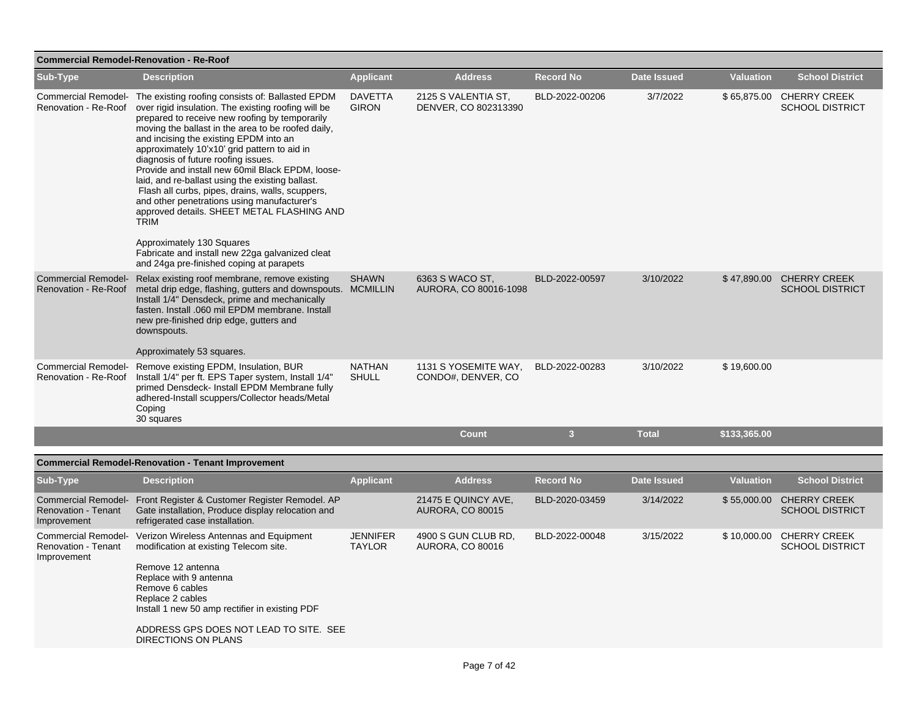| <b>School District</b><br>\$65,875.00 CHERRY CREEK<br><b>SCHOOL DISTRICT</b> |
|------------------------------------------------------------------------------|
|                                                                              |
|                                                                              |
| \$47,890.00 CHERRY CREEK<br><b>SCHOOL DISTRICT</b>                           |
|                                                                              |
|                                                                              |
|                                                                              |
| <b>School District</b>                                                       |
| \$55,000.00 CHERRY CREEK<br><b>SCHOOL DISTRICT</b>                           |
| \$10,000.00 CHERRY CREEK<br><b>SCHOOL DISTRICT</b>                           |
|                                                                              |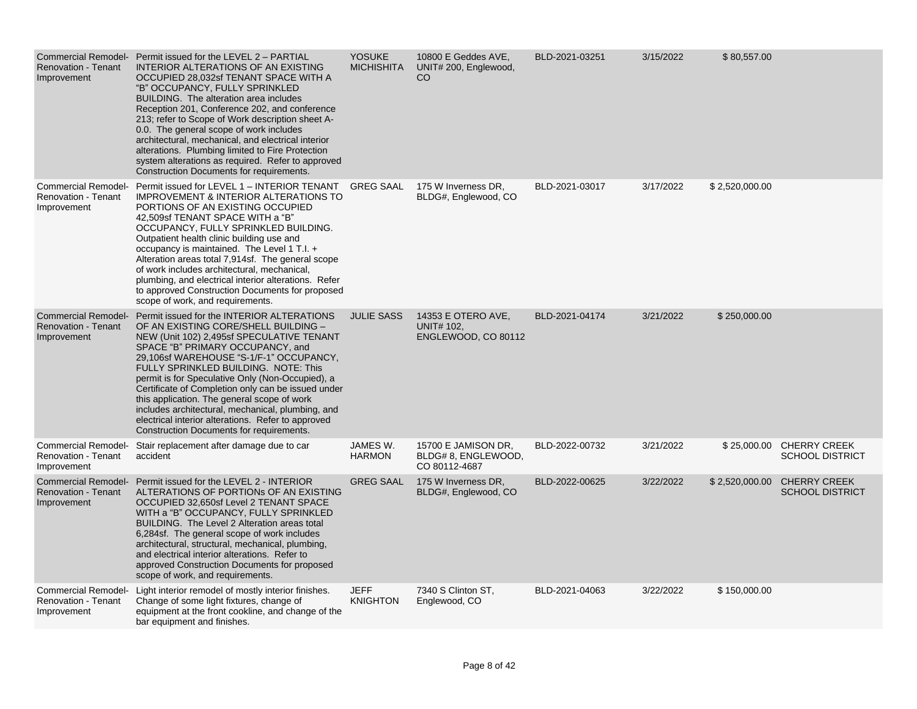| <b>Renovation - Tenant</b><br>Improvement                               | Commercial Remodel- Permit issued for the LEVEL 2 - PARTIAL<br>INTERIOR ALTERATIONS OF AN EXISTING<br>OCCUPIED 28,032sf TENANT SPACE WITH A<br>"B" OCCUPANCY, FULLY SPRINKLED<br>BUILDING. The alteration area includes<br>Reception 201, Conference 202, and conference<br>213; refer to Scope of Work description sheet A-<br>0.0. The general scope of work includes<br>architectural, mechanical, and electrical interior<br>alterations. Plumbing limited to Fire Protection<br>system alterations as required. Refer to approved<br>Construction Documents for requirements. | <b>YOSUKE</b><br><b>MICHISHITA</b> | 10800 E Geddes AVE,<br>UNIT# 200, Englewood,<br><sub>CO</sub>  | BLD-2021-03251 | 3/15/2022 | \$80,557.00    |                                                    |
|-------------------------------------------------------------------------|------------------------------------------------------------------------------------------------------------------------------------------------------------------------------------------------------------------------------------------------------------------------------------------------------------------------------------------------------------------------------------------------------------------------------------------------------------------------------------------------------------------------------------------------------------------------------------|------------------------------------|----------------------------------------------------------------|----------------|-----------|----------------|----------------------------------------------------|
| <b>Commercial Remodel-</b><br><b>Renovation - Tenant</b><br>Improvement | Permit issued for LEVEL 1 - INTERIOR TENANT<br><b>IMPROVEMENT &amp; INTERIOR ALTERATIONS TO</b><br>PORTIONS OF AN EXISTING OCCUPIED<br>42,509sf TENANT SPACE WITH a "B"<br>OCCUPANCY, FULLY SPRINKLED BUILDING.<br>Outpatient health clinic building use and<br>occupancy is maintained. The Level 1 T.I. +<br>Alteration areas total 7,914sf. The general scope<br>of work includes architectural, mechanical,<br>plumbing, and electrical interior alterations. Refer<br>to approved Construction Documents for proposed<br>scope of work, and requirements.                     | <b>GREG SAAL</b>                   | 175 W Inverness DR,<br>BLDG#, Englewood, CO                    | BLD-2021-03017 | 3/17/2022 | \$2,520,000.00 |                                                    |
| <b>Commercial Remodel-</b><br><b>Renovation - Tenant</b><br>Improvement | Permit issued for the INTERIOR ALTERATIONS<br>OF AN EXISTING CORE/SHELL BUILDING -<br>NEW (Unit 102) 2,495sf SPECULATIVE TENANT<br>SPACE "B" PRIMARY OCCUPANCY, and<br>29,106sf WAREHOUSE "S-1/F-1" OCCUPANCY,<br>FULLY SPRINKLED BUILDING. NOTE: This<br>permit is for Speculative Only (Non-Occupied), a<br>Certificate of Completion only can be issued under<br>this application. The general scope of work<br>includes architectural, mechanical, plumbing, and<br>electrical interior alterations. Refer to approved<br>Construction Documents for requirements.             | <b>JULIE SASS</b>                  | 14353 E OTERO AVE,<br><b>UNIT# 102,</b><br>ENGLEWOOD, CO 80112 | BLD-2021-04174 | 3/21/2022 | \$250,000.00   |                                                    |
| <b>Commercial Remodel-</b><br><b>Renovation - Tenant</b><br>Improvement | Stair replacement after damage due to car<br>accident                                                                                                                                                                                                                                                                                                                                                                                                                                                                                                                              | JAMES W.<br><b>HARMON</b>          | 15700 E JAMISON DR,<br>BLDG# 8, ENGLEWOOD,<br>CO 80112-4687    | BLD-2022-00732 | 3/21/2022 |                | \$25,000.00 CHERRY CREEK<br><b>SCHOOL DISTRICT</b> |
| <b>Commercial Remodel-</b><br><b>Renovation - Tenant</b><br>Improvement | Permit issued for the LEVEL 2 - INTERIOR<br>ALTERATIONS OF PORTIONS OF AN EXISTING<br>OCCUPIED 32,650sf Level 2 TENANT SPACE<br>WITH a "B" OCCUPANCY, FULLY SPRINKLED<br>BUILDING. The Level 2 Alteration areas total<br>6,284sf. The general scope of work includes<br>architectural, structural, mechanical, plumbing,<br>and electrical interior alterations. Refer to<br>approved Construction Documents for proposed<br>scope of work, and requirements.                                                                                                                      | <b>GREG SAAL</b>                   | 175 W Inverness DR,<br>BLDG#, Englewood, CO                    | BLD-2022-00625 | 3/22/2022 | \$2,520,000.00 | <b>CHERRY CREEK</b><br><b>SCHOOL DISTRICT</b>      |
| <b>Commercial Remodel-</b><br><b>Renovation - Tenant</b><br>Improvement | Light interior remodel of mostly interior finishes.<br>Change of some light fixtures, change of<br>equipment at the front cookline, and change of the<br>bar equipment and finishes.                                                                                                                                                                                                                                                                                                                                                                                               | JEFF<br><b>KNIGHTON</b>            | 7340 S Clinton ST,<br>Englewood, CO                            | BLD-2021-04063 | 3/22/2022 | \$150,000.00   |                                                    |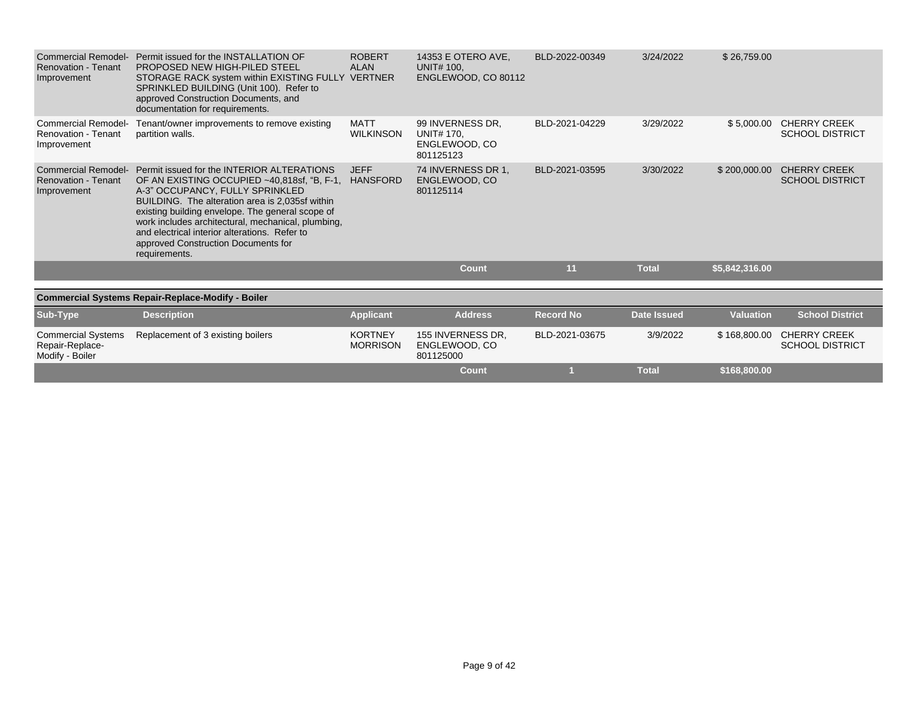| <b>Commercial Remodel-</b><br><b>Renovation - Tenant</b><br>Improvement | Permit issued for the INSTALLATION OF<br>PROPOSED NEW HIGH-PILED STEEL<br>STORAGE RACK system within EXISTING FULLY VERTNER<br>SPRINKLED BUILDING (Unit 100). Refer to<br>approved Construction Documents, and<br>documentation for requirements.                                                                                                                                                           | <b>ROBERT</b><br><b>ALAN</b>      | 14353 E OTERO AVE.<br><b>UNIT# 100.</b><br>ENGLEWOOD, CO 80112 | BLD-2022-00349   | 3/24/2022          | \$26,759.00      |                                               |
|-------------------------------------------------------------------------|-------------------------------------------------------------------------------------------------------------------------------------------------------------------------------------------------------------------------------------------------------------------------------------------------------------------------------------------------------------------------------------------------------------|-----------------------------------|----------------------------------------------------------------|------------------|--------------------|------------------|-----------------------------------------------|
| <b>Commercial Remodel-</b><br><b>Renovation - Tenant</b><br>Improvement | Tenant/owner improvements to remove existing<br>partition walls.                                                                                                                                                                                                                                                                                                                                            | <b>MATT</b><br><b>WILKINSON</b>   | 99 INVERNESS DR.<br>UNIT# 170,<br>ENGLEWOOD, CO<br>801125123   | BLD-2021-04229   | 3/29/2022          | \$5,000.00       | <b>CHERRY CREEK</b><br><b>SCHOOL DISTRICT</b> |
| <b>Commercial Remodel-</b><br><b>Renovation - Tenant</b><br>Improvement | Permit issued for the INTERIOR ALTERATIONS<br>OF AN EXISTING OCCUPIED ~40,818sf, "B, F-1, HANSFORD<br>A-3" OCCUPANCY, FULLY SPRINKLED<br>BUILDING. The alteration area is 2,035sf within<br>existing building envelope. The general scope of<br>work includes architectural, mechanical, plumbing,<br>and electrical interior alterations. Refer to<br>approved Construction Documents for<br>requirements. | <b>JEFF</b>                       | 74 INVERNESS DR 1,<br>ENGLEWOOD, CO<br>801125114               | BLD-2021-03595   | 3/30/2022          | \$200,000.00     | <b>CHERRY CREEK</b><br><b>SCHOOL DISTRICT</b> |
|                                                                         |                                                                                                                                                                                                                                                                                                                                                                                                             |                                   | <b>Count</b>                                                   | 11               | <b>Total</b>       | \$5,842,316.00   |                                               |
|                                                                         | <b>Commercial Systems Repair-Replace-Modify - Boiler</b>                                                                                                                                                                                                                                                                                                                                                    |                                   |                                                                |                  |                    |                  |                                               |
| Sub-Type                                                                | <b>Description</b>                                                                                                                                                                                                                                                                                                                                                                                          | <b>Applicant</b>                  | <b>Address</b>                                                 | <b>Record No</b> | <b>Date Issued</b> | <b>Valuation</b> | <b>School District</b>                        |
| <b>Commercial Systems</b><br>Repair-Replace-<br>Modify - Boiler         | Replacement of 3 existing boilers                                                                                                                                                                                                                                                                                                                                                                           | <b>KORTNEY</b><br><b>MORRISON</b> | 155 INVERNESS DR.<br>ENGLEWOOD, CO<br>801125000                | BLD-2021-03675   | 3/9/2022           | \$168,800.00     | <b>CHERRY CREEK</b><br><b>SCHOOL DISTRICT</b> |
|                                                                         |                                                                                                                                                                                                                                                                                                                                                                                                             |                                   | Count                                                          |                  | <b>Total</b>       | \$168,800.00     |                                               |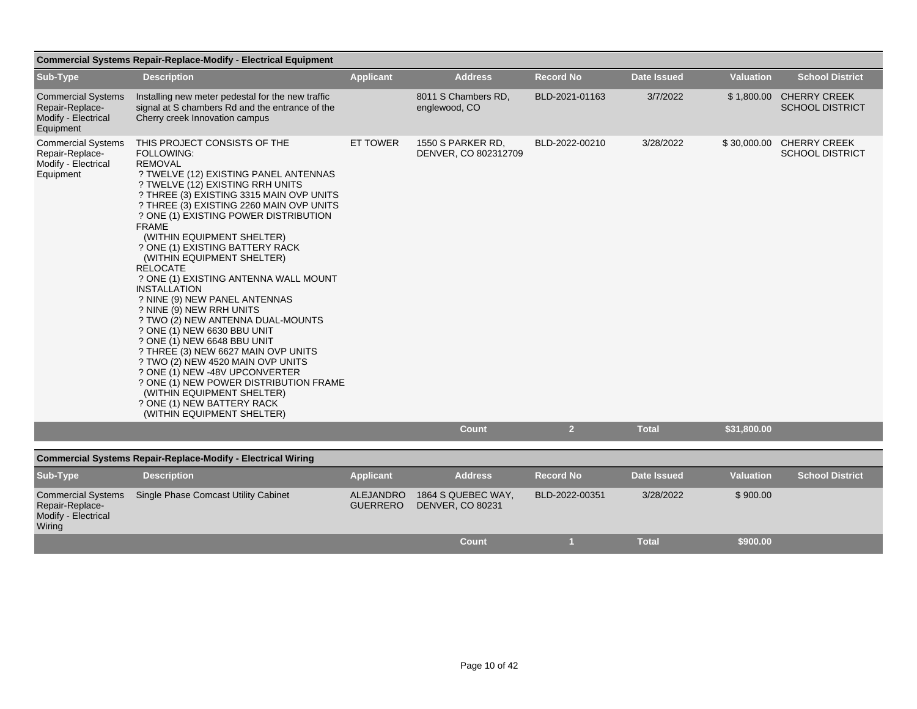|                                                                                  | <b>Commercial Systems Repair-Replace-Modify - Electrical Equipment</b>                                                                                                                                                                                                                                                                                                                                                                                                                                                                                                                                                                                                                                                                                                                                                                                                                                |                                     |                                               |                  |                    |                  |                                                   |
|----------------------------------------------------------------------------------|-------------------------------------------------------------------------------------------------------------------------------------------------------------------------------------------------------------------------------------------------------------------------------------------------------------------------------------------------------------------------------------------------------------------------------------------------------------------------------------------------------------------------------------------------------------------------------------------------------------------------------------------------------------------------------------------------------------------------------------------------------------------------------------------------------------------------------------------------------------------------------------------------------|-------------------------------------|-----------------------------------------------|------------------|--------------------|------------------|---------------------------------------------------|
| Sub-Type                                                                         | <b>Description</b>                                                                                                                                                                                                                                                                                                                                                                                                                                                                                                                                                                                                                                                                                                                                                                                                                                                                                    | <b>Applicant</b>                    | <b>Address</b>                                | <b>Record No</b> | <b>Date Issued</b> | <b>Valuation</b> | <b>School District</b>                            |
| <b>Commercial Systems</b><br>Repair-Replace-<br>Modify - Electrical<br>Equipment | Installing new meter pedestal for the new traffic<br>signal at S chambers Rd and the entrance of the<br>Cherry creek Innovation campus                                                                                                                                                                                                                                                                                                                                                                                                                                                                                                                                                                                                                                                                                                                                                                |                                     | 8011 S Chambers RD,<br>englewood, CO          | BLD-2021-01163   | 3/7/2022           |                  | \$1,800.00 CHERRY CREEK<br><b>SCHOOL DISTRICT</b> |
| <b>Commercial Systems</b><br>Repair-Replace-<br>Modify - Electrical<br>Equipment | THIS PROJECT CONSISTS OF THE<br><b>FOLLOWING:</b><br><b>REMOVAL</b><br>? TWELVE (12) EXISTING PANEL ANTENNAS<br>? TWELVE (12) EXISTING RRH UNITS<br>? THREE (3) EXISTING 3315 MAIN OVP UNITS<br>? THREE (3) EXISTING 2260 MAIN OVP UNITS<br>? ONE (1) EXISTING POWER DISTRIBUTION<br><b>FRAME</b><br>(WITHIN EQUIPMENT SHELTER)<br>? ONE (1) EXISTING BATTERY RACK<br>(WITHIN EQUIPMENT SHELTER)<br><b>RELOCATE</b><br>? ONE (1) EXISTING ANTENNA WALL MOUNT<br><b>INSTALLATION</b><br>? NINE (9) NEW PANEL ANTENNAS<br>? NINE (9) NEW RRH UNITS<br>? TWO (2) NEW ANTENNA DUAL-MOUNTS<br>? ONE (1) NEW 6630 BBU UNIT<br>? ONE (1) NEW 6648 BBU UNIT<br>? THREE (3) NEW 6627 MAIN OVP UNITS<br>? TWO (2) NEW 4520 MAIN OVP UNITS<br>? ONE (1) NEW -48V UPCONVERTER<br>? ONE (1) NEW POWER DISTRIBUTION FRAME<br>(WITHIN EQUIPMENT SHELTER)<br>? ONE (1) NEW BATTERY RACK<br>(WITHIN EQUIPMENT SHELTER) | <b>ET TOWER</b>                     | 1550 S PARKER RD,<br>DENVER, CO 802312709     | BLD-2022-00210   | 3/28/2022          | \$30,000.00      | <b>CHERRY CREEK</b><br><b>SCHOOL DISTRICT</b>     |
|                                                                                  |                                                                                                                                                                                                                                                                                                                                                                                                                                                                                                                                                                                                                                                                                                                                                                                                                                                                                                       |                                     | Count                                         | 2 <sup>1</sup>   | <b>Total</b>       | \$31,800.00      |                                                   |
|                                                                                  | <b>Commercial Systems Repair-Replace-Modify - Electrical Wiring</b>                                                                                                                                                                                                                                                                                                                                                                                                                                                                                                                                                                                                                                                                                                                                                                                                                                   |                                     |                                               |                  |                    |                  |                                                   |
| Sub-Type                                                                         | <b>Description</b>                                                                                                                                                                                                                                                                                                                                                                                                                                                                                                                                                                                                                                                                                                                                                                                                                                                                                    | <b>Applicant</b>                    | <b>Address</b>                                | <b>Record No</b> | <b>Date Issued</b> | <b>Valuation</b> | <b>School District</b>                            |
| <b>Commercial Systems</b><br>Repair-Replace-<br>Modify - Electrical<br>Wiring    | <b>Single Phase Comcast Utility Cabinet</b>                                                                                                                                                                                                                                                                                                                                                                                                                                                                                                                                                                                                                                                                                                                                                                                                                                                           | <b>ALEJANDRO</b><br><b>GUERRERO</b> | 1864 S QUEBEC WAY,<br><b>DENVER, CO 80231</b> | BLD-2022-00351   | 3/28/2022          | \$900.00         |                                                   |

**Count 1 Total \$900.00**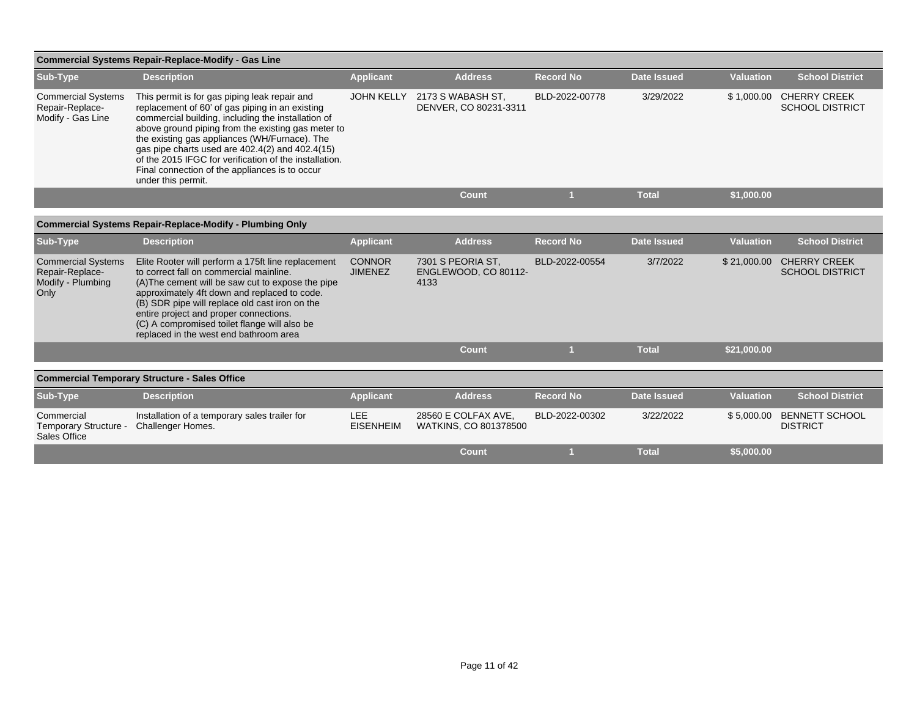|                                                                           | <b>Commercial Systems Repair-Replace-Modify - Gas Line</b>                                                                                                                                                                                                                                                                                                                                                                                         |                                 |                                                   |                  |                    |                  |                                               |
|---------------------------------------------------------------------------|----------------------------------------------------------------------------------------------------------------------------------------------------------------------------------------------------------------------------------------------------------------------------------------------------------------------------------------------------------------------------------------------------------------------------------------------------|---------------------------------|---------------------------------------------------|------------------|--------------------|------------------|-----------------------------------------------|
| Sub-Type                                                                  | <b>Description</b>                                                                                                                                                                                                                                                                                                                                                                                                                                 | <b>Applicant</b>                | <b>Address</b>                                    | <b>Record No</b> | <b>Date Issued</b> | <b>Valuation</b> | <b>School District</b>                        |
| <b>Commercial Systems</b><br>Repair-Replace-<br>Modify - Gas Line         | This permit is for gas piping leak repair and<br>replacement of 60' of gas piping in an existing<br>commercial building, including the installation of<br>above ground piping from the existing gas meter to<br>the existing gas appliances (WH/Furnace). The<br>gas pipe charts used are 402.4(2) and 402.4(15)<br>of the 2015 IFGC for verification of the installation.<br>Final connection of the appliances is to occur<br>under this permit. | <b>JOHN KELLY</b>               | 2173 S WABASH ST,<br>DENVER, CO 80231-3311        | BLD-2022-00778   | 3/29/2022          | \$1,000.00       | <b>CHERRY CREEK</b><br><b>SCHOOL DISTRICT</b> |
|                                                                           |                                                                                                                                                                                                                                                                                                                                                                                                                                                    |                                 | <b>Count</b>                                      |                  | <b>Total</b>       | \$1,000.00       |                                               |
|                                                                           | <b>Commercial Systems Repair-Replace-Modify - Plumbing Only</b>                                                                                                                                                                                                                                                                                                                                                                                    |                                 |                                                   |                  |                    |                  |                                               |
|                                                                           |                                                                                                                                                                                                                                                                                                                                                                                                                                                    |                                 |                                                   |                  |                    |                  |                                               |
| Sub-Type                                                                  | <b>Description</b>                                                                                                                                                                                                                                                                                                                                                                                                                                 | <b>Applicant</b>                | <b>Address</b>                                    | <b>Record No</b> | <b>Date Issued</b> | <b>Valuation</b> | <b>School District</b>                        |
| <b>Commercial Systems</b><br>Repair-Replace-<br>Modify - Plumbing<br>Only | Elite Rooter will perform a 175ft line replacement<br>to correct fall on commercial mainline.<br>(A) The cement will be saw cut to expose the pipe<br>approximately 4ft down and replaced to code.<br>(B) SDR pipe will replace old cast iron on the<br>entire project and proper connections.<br>(C) A compromised toilet flange will also be<br>replaced in the west end bathroom area                                                           | <b>CONNOR</b><br><b>JIMENEZ</b> | 7301 S PEORIA ST.<br>ENGLEWOOD, CO 80112-<br>4133 | BLD-2022-00554   | 3/7/2022           | \$21,000.00      | <b>CHERRY CREEK</b><br><b>SCHOOL DISTRICT</b> |
|                                                                           |                                                                                                                                                                                                                                                                                                                                                                                                                                                    |                                 | <b>Count</b>                                      |                  | <b>Total</b>       | \$21,000.00      |                                               |
|                                                                           |                                                                                                                                                                                                                                                                                                                                                                                                                                                    |                                 |                                                   |                  |                    |                  |                                               |
|                                                                           | <b>Commercial Temporary Structure - Sales Office</b>                                                                                                                                                                                                                                                                                                                                                                                               |                                 |                                                   |                  |                    |                  |                                               |
| Sub-Type                                                                  | <b>Description</b>                                                                                                                                                                                                                                                                                                                                                                                                                                 | <b>Applicant</b>                | <b>Address</b>                                    | <b>Record No</b> | <b>Date Issued</b> | <b>Valuation</b> | <b>School District</b>                        |
| Commercial<br>Temporary Structure -<br>Sales Office                       | Installation of a temporary sales trailer for<br>Challenger Homes.                                                                                                                                                                                                                                                                                                                                                                                 | LEE<br><b>EISENHEIM</b>         | 28560 E COLFAX AVE.<br>WATKINS, CO 801378500      | BLD-2022-00302   | 3/22/2022          |                  | \$5,000.00 BENNETT SCHOOL<br><b>DISTRICT</b>  |
|                                                                           |                                                                                                                                                                                                                                                                                                                                                                                                                                                    |                                 | <b>Count</b>                                      |                  | <b>Total</b>       | \$5,000.00       |                                               |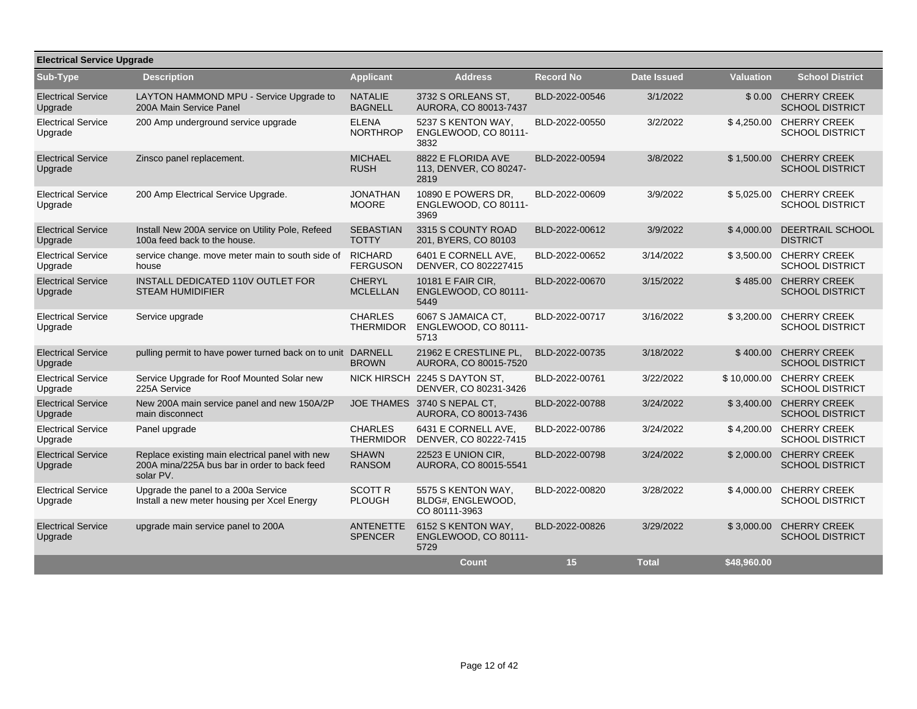| <b>Electrical Service Upgrade</b>    |                                                                                                              |                                    |                                                          |                  |                    |                  |                                               |  |  |
|--------------------------------------|--------------------------------------------------------------------------------------------------------------|------------------------------------|----------------------------------------------------------|------------------|--------------------|------------------|-----------------------------------------------|--|--|
| Sub-Type                             | <b>Description</b>                                                                                           | <b>Applicant</b>                   | <b>Address</b>                                           | <b>Record No</b> | <b>Date Issued</b> | <b>Valuation</b> | <b>School District</b>                        |  |  |
| <b>Electrical Service</b><br>Upgrade | LAYTON HAMMOND MPU - Service Upgrade to<br>200A Main Service Panel                                           | <b>NATALIE</b><br><b>BAGNELL</b>   | 3732 S ORLEANS ST.<br>AURORA, CO 80013-7437              | BLD-2022-00546   | 3/1/2022           |                  | \$0.00 CHERRY CREEK<br><b>SCHOOL DISTRICT</b> |  |  |
| <b>Electrical Service</b><br>Upgrade | 200 Amp underground service upgrade                                                                          | <b>ELENA</b><br><b>NORTHROP</b>    | 5237 S KENTON WAY,<br>ENGLEWOOD, CO 80111-<br>3832       | BLD-2022-00550   | 3/2/2022           | \$4,250.00       | <b>CHERRY CREEK</b><br><b>SCHOOL DISTRICT</b> |  |  |
| <b>Electrical Service</b><br>Upgrade | Zinsco panel replacement.                                                                                    | <b>MICHAEL</b><br><b>RUSH</b>      | 8822 E FLORIDA AVE<br>113, DENVER, CO 80247-<br>2819     | BLD-2022-00594   | 3/8/2022           | \$1,500.00       | <b>CHERRY CREEK</b><br><b>SCHOOL DISTRICT</b> |  |  |
| <b>Electrical Service</b><br>Upgrade | 200 Amp Electrical Service Upgrade.                                                                          | <b>JONATHAN</b><br><b>MOORE</b>    | 10890 E POWERS DR.<br>ENGLEWOOD, CO 80111-<br>3969       | BLD-2022-00609   | 3/9/2022           | \$5,025.00       | <b>CHERRY CREEK</b><br><b>SCHOOL DISTRICT</b> |  |  |
| <b>Electrical Service</b><br>Upgrade | Install New 200A service on Utility Pole, Refeed<br>100a feed back to the house.                             | <b>SEBASTIAN</b><br><b>TOTTY</b>   | 3315 S COUNTY ROAD<br>201, BYERS, CO 80103               | BLD-2022-00612   | 3/9/2022           | \$4,000.00       | DEERTRAIL SCHOOL<br><b>DISTRICT</b>           |  |  |
| <b>Electrical Service</b><br>Upgrade | service change. move meter main to south side of<br>house                                                    | <b>RICHARD</b><br><b>FERGUSON</b>  | 6401 E CORNELL AVE,<br>DENVER, CO 802227415              | BLD-2022-00652   | 3/14/2022          | \$3,500.00       | <b>CHERRY CREEK</b><br><b>SCHOOL DISTRICT</b> |  |  |
| <b>Electrical Service</b><br>Upgrade | INSTALL DEDICATED 110V OUTLET FOR<br><b>STEAM HUMIDIFIER</b>                                                 | <b>CHERYL</b><br><b>MCLELLAN</b>   | 10181 E FAIR CIR,<br>ENGLEWOOD, CO 80111-<br>5449        | BLD-2022-00670   | 3/15/2022          | \$485.00         | <b>CHERRY CREEK</b><br><b>SCHOOL DISTRICT</b> |  |  |
| <b>Electrical Service</b><br>Upgrade | Service upgrade                                                                                              | <b>CHARLES</b><br><b>THERMIDOR</b> | 6067 S JAMAICA CT.<br>ENGLEWOOD, CO 80111-<br>5713       | BLD-2022-00717   | 3/16/2022          | \$3,200.00       | <b>CHERRY CREEK</b><br><b>SCHOOL DISTRICT</b> |  |  |
| <b>Electrical Service</b><br>Upgrade | pulling permit to have power turned back on to unit DARNELL                                                  | <b>BROWN</b>                       | 21962 E CRESTLINE PL.<br>AURORA, CO 80015-7520           | BLD-2022-00735   | 3/18/2022          | \$400.00         | <b>CHERRY CREEK</b><br><b>SCHOOL DISTRICT</b> |  |  |
| <b>Electrical Service</b><br>Upgrade | Service Upgrade for Roof Mounted Solar new<br>225A Service                                                   |                                    | NICK HIRSCH 2245 S DAYTON ST.<br>DENVER, CO 80231-3426   | BLD-2022-00761   | 3/22/2022          | \$10,000.00      | <b>CHERRY CREEK</b><br><b>SCHOOL DISTRICT</b> |  |  |
| <b>Electrical Service</b><br>Upgrade | New 200A main service panel and new 150A/2P<br>main disconnect                                               |                                    | JOE THAMES 3740 S NEPAL CT,<br>AURORA, CO 80013-7436     | BLD-2022-00788   | 3/24/2022          | \$3,400.00       | <b>CHERRY CREEK</b><br><b>SCHOOL DISTRICT</b> |  |  |
| <b>Electrical Service</b><br>Upgrade | Panel upgrade                                                                                                | <b>CHARLES</b><br><b>THERMIDOR</b> | 6431 E CORNELL AVE<br>DENVER, CO 80222-7415              | BLD-2022-00786   | 3/24/2022          | \$4,200.00       | <b>CHERRY CREEK</b><br><b>SCHOOL DISTRICT</b> |  |  |
| <b>Electrical Service</b><br>Upgrade | Replace existing main electrical panel with new<br>200A mina/225A bus bar in order to back feed<br>solar PV. | <b>SHAWN</b><br><b>RANSOM</b>      | 22523 E UNION CIR.<br>AURORA, CO 80015-5541              | BLD-2022-00798   | 3/24/2022          | \$2,000.00       | <b>CHERRY CREEK</b><br><b>SCHOOL DISTRICT</b> |  |  |
| <b>Electrical Service</b><br>Upgrade | Upgrade the panel to a 200a Service<br>Install a new meter housing per Xcel Energy                           | <b>SCOTT R</b><br><b>PLOUGH</b>    | 5575 S KENTON WAY.<br>BLDG#, ENGLEWOOD,<br>CO 80111-3963 | BLD-2022-00820   | 3/28/2022          | \$4,000.00       | <b>CHERRY CREEK</b><br><b>SCHOOL DISTRICT</b> |  |  |
| <b>Electrical Service</b><br>Upgrade | upgrade main service panel to 200A                                                                           | <b>ANTENETTE</b><br><b>SPENCER</b> | 6152 S KENTON WAY.<br>ENGLEWOOD, CO 80111-<br>5729       | BLD-2022-00826   | 3/29/2022          | \$3,000.00       | <b>CHERRY CREEK</b><br><b>SCHOOL DISTRICT</b> |  |  |
|                                      |                                                                                                              |                                    | <b>Count</b>                                             | 15               | <b>Total</b>       | \$48,960.00      |                                               |  |  |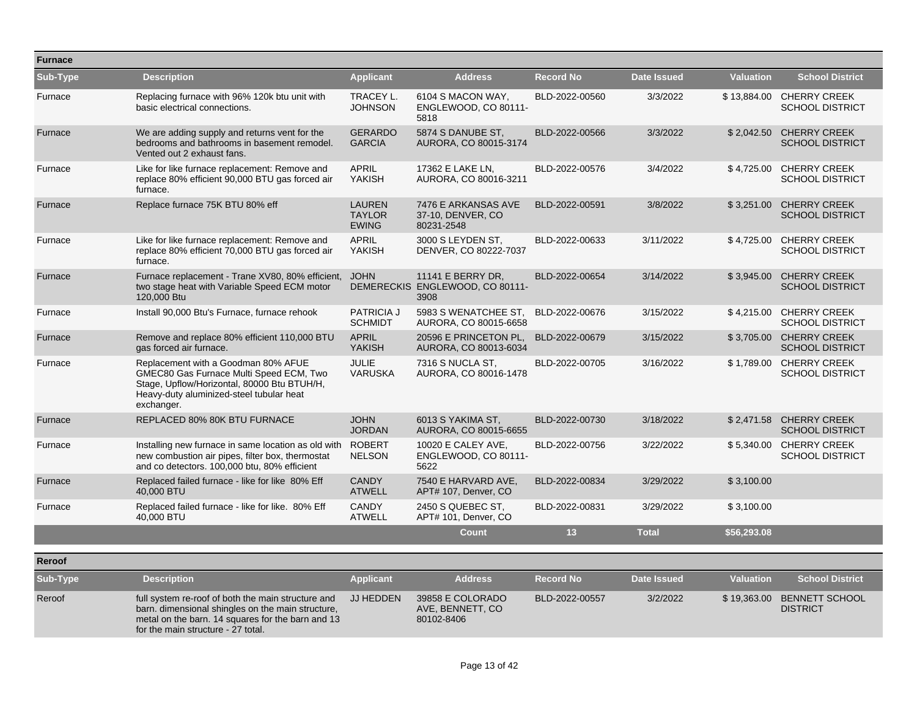| <b>Furnace</b> |                                                                                                                                                                                                    |                                                |                                                              |                  |                    |                  |                                                   |
|----------------|----------------------------------------------------------------------------------------------------------------------------------------------------------------------------------------------------|------------------------------------------------|--------------------------------------------------------------|------------------|--------------------|------------------|---------------------------------------------------|
| Sub-Type       | <b>Description</b>                                                                                                                                                                                 | <b>Applicant</b>                               | <b>Address</b>                                               | <b>Record No</b> | <b>Date Issued</b> | <b>Valuation</b> | <b>School District</b>                            |
| Furnace        | Replacing furnace with 96% 120k btu unit with<br>basic electrical connections.                                                                                                                     | TRACEY L.<br><b>JOHNSON</b>                    | 6104 S MACON WAY,<br>ENGLEWOOD, CO 80111-<br>5818            | BLD-2022-00560   | 3/3/2022           | \$13,884.00      | <b>CHERRY CREEK</b><br><b>SCHOOL DISTRICT</b>     |
| Furnace        | We are adding supply and returns vent for the<br>bedrooms and bathrooms in basement remodel.<br>Vented out 2 exhaust fans.                                                                         | <b>GERARDO</b><br><b>GARCIA</b>                | 5874 S DANUBE ST.<br>AURORA, CO 80015-3174                   | BLD-2022-00566   | 3/3/2022           | \$2,042.50       | <b>CHERRY CREEK</b><br><b>SCHOOL DISTRICT</b>     |
| Furnace        | Like for like furnace replacement: Remove and<br>replace 80% efficient 90,000 BTU gas forced air<br>furnace.                                                                                       | <b>APRIL</b><br><b>YAKISH</b>                  | 17362 E LAKE LN,<br>AURORA, CO 80016-3211                    | BLD-2022-00576   | 3/4/2022           | \$4,725.00       | <b>CHERRY CREEK</b><br><b>SCHOOL DISTRICT</b>     |
| Furnace        | Replace furnace 75K BTU 80% eff                                                                                                                                                                    | <b>LAUREN</b><br><b>TAYLOR</b><br><b>EWING</b> | 7476 E ARKANSAS AVE<br>37-10, DENVER, CO<br>80231-2548       | BLD-2022-00591   | 3/8/2022           | \$3.251.00       | <b>CHERRY CREEK</b><br><b>SCHOOL DISTRICT</b>     |
| Furnace        | Like for like furnace replacement: Remove and<br>replace 80% efficient 70,000 BTU gas forced air<br>furnace.                                                                                       | <b>APRIL</b><br>YAKISH                         | 3000 S LEYDEN ST,<br>DENVER, CO 80222-7037                   | BLD-2022-00633   | 3/11/2022          | \$4,725.00       | <b>CHERRY CREEK</b><br><b>SCHOOL DISTRICT</b>     |
| Furnace        | Furnace replacement - Trane XV80, 80% efficient,<br>two stage heat with Variable Speed ECM motor<br>120,000 Btu                                                                                    | <b>JOHN</b>                                    | 11141 E BERRY DR,<br>DEMERECKIS ENGLEWOOD, CO 80111-<br>3908 | BLD-2022-00654   | 3/14/2022          | \$3,945.00       | <b>CHERRY CREEK</b><br><b>SCHOOL DISTRICT</b>     |
| Furnace        | Install 90,000 Btu's Furnace, furnace rehook                                                                                                                                                       | <b>PATRICIA J</b><br><b>SCHMIDT</b>            | 5983 S WENATCHEE ST.<br>AURORA, CO 80015-6658                | BLD-2022-00676   | 3/15/2022          |                  | \$4,215.00 CHERRY CREEK<br><b>SCHOOL DISTRICT</b> |
| Furnace        | Remove and replace 80% efficient 110,000 BTU<br>gas forced air furnace.                                                                                                                            | <b>APRIL</b><br><b>YAKISH</b>                  | 20596 E PRINCETON PL,<br>AURORA, CO 80013-6034               | BLD-2022-00679   | 3/15/2022          | \$3,705.00       | <b>CHERRY CREEK</b><br><b>SCHOOL DISTRICT</b>     |
| Furnace        | Replacement with a Goodman 80% AFUE<br>GMEC80 Gas Furnace Multi Speed ECM, Two<br>Stage, Upflow/Horizontal, 80000 Btu BTUH/H,<br>Heavy-duty aluminized-steel tubular heat<br>exchanger.            | <b>JULIE</b><br><b>VARUSKA</b>                 | 7316 S NUCLA ST.<br>AURORA, CO 80016-1478                    | BLD-2022-00705   | 3/16/2022          |                  | \$1,789.00 CHERRY CREEK<br><b>SCHOOL DISTRICT</b> |
| Furnace        | REPLACED 80% 80K BTU FURNACE                                                                                                                                                                       | <b>JOHN</b><br><b>JORDAN</b>                   | 6013 S YAKIMA ST,<br>AURORA, CO 80015-6655                   | BLD-2022-00730   | 3/18/2022          |                  | \$2,471.58 CHERRY CREEK<br><b>SCHOOL DISTRICT</b> |
| Furnace        | Installing new furnace in same location as old with<br>new combustion air pipes, filter box, thermostat<br>and co detectors. 100,000 btu, 80% efficient                                            | <b>ROBERT</b><br><b>NELSON</b>                 | 10020 E CALEY AVE,<br>ENGLEWOOD, CO 80111-<br>5622           | BLD-2022-00756   | 3/22/2022          | \$5,340.00       | <b>CHERRY CREEK</b><br><b>SCHOOL DISTRICT</b>     |
| Furnace        | Replaced failed furnace - like for like 80% Eff<br>40.000 BTU                                                                                                                                      | <b>CANDY</b><br><b>ATWELL</b>                  | 7540 E HARVARD AVE,<br>APT# 107, Denver, CO                  | BLD-2022-00834   | 3/29/2022          | \$3,100.00       |                                                   |
| Furnace        | Replaced failed furnace - like for like. 80% Eff<br>40.000 BTU                                                                                                                                     | <b>CANDY</b><br><b>ATWELL</b>                  | 2450 S QUEBEC ST.<br>APT# 101, Denver, CO                    | BLD-2022-00831   | 3/29/2022          | \$3,100.00       |                                                   |
|                |                                                                                                                                                                                                    |                                                | <b>Count</b>                                                 | 13               | <b>Total</b>       | \$56,293.08      |                                                   |
| Reroof         |                                                                                                                                                                                                    |                                                |                                                              |                  |                    |                  |                                                   |
| Sub-Type       | <b>Description</b>                                                                                                                                                                                 | <b>Applicant</b>                               | <b>Address</b>                                               | <b>Record No</b> | <b>Date Issued</b> | <b>Valuation</b> | <b>School District</b>                            |
| Reroof         | full system re-roof of both the main structure and<br>barn. dimensional shingles on the main structure,<br>metal on the barn. 14 squares for the barn and 13<br>for the main structure - 27 total. | JJ HEDDEN                                      | 39858 E COLORADO<br>AVE, BENNETT, CO<br>80102-8406           | BLD-2022-00557   | 3/2/2022           | \$19,363.00      | <b>BENNETT SCHOOL</b><br><b>DISTRICT</b>          |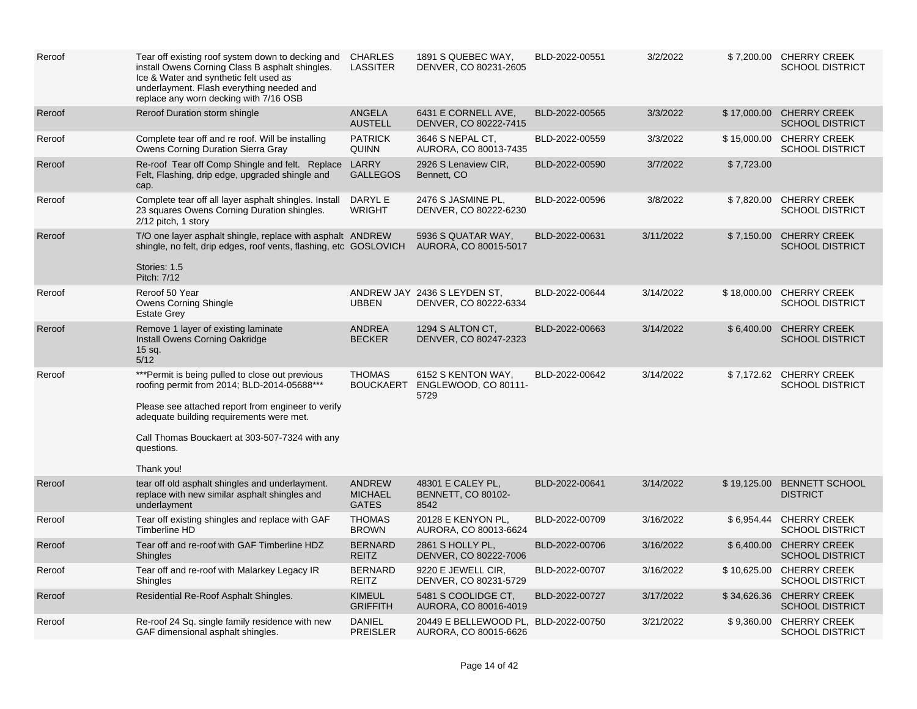| Reroof | Tear off existing roof system down to decking and CHARLES<br>install Owens Corning Class B asphalt shingles.<br>Ice & Water and synthetic felt used as<br>underlayment. Flash everything needed and<br>replace any worn decking with 7/16 OSB                                   | <b>LASSITER</b>                                 | 1891 S QUEBEC WAY,<br>DENVER, CO 80231-2605                   | BLD-2022-00551 | 3/2/2022  |            | \$7,200.00 CHERRY CREEK<br><b>SCHOOL DISTRICT</b>  |
|--------|---------------------------------------------------------------------------------------------------------------------------------------------------------------------------------------------------------------------------------------------------------------------------------|-------------------------------------------------|---------------------------------------------------------------|----------------|-----------|------------|----------------------------------------------------|
| Reroof | Reroof Duration storm shingle                                                                                                                                                                                                                                                   | <b>ANGELA</b><br><b>AUSTELL</b>                 | 6431 E CORNELL AVE.<br>DENVER, CO 80222-7415                  | BLD-2022-00565 | 3/3/2022  |            | \$17,000.00 CHERRY CREEK<br><b>SCHOOL DISTRICT</b> |
| Reroof | Complete tear off and re roof. Will be installing<br>Owens Corning Duration Sierra Gray                                                                                                                                                                                         | <b>PATRICK</b><br><b>QUINN</b>                  | 3646 S NEPAL CT,<br>AURORA, CO 80013-7435                     | BLD-2022-00559 | 3/3/2022  |            | \$15,000.00 CHERRY CREEK<br><b>SCHOOL DISTRICT</b> |
| Reroof | Re-roof Tear off Comp Shingle and felt. Replace<br>Felt, Flashing, drip edge, upgraded shingle and<br>cap.                                                                                                                                                                      | LARRY<br><b>GALLEGOS</b>                        | 2926 S Lenaview CIR,<br>Bennett, CO                           | BLD-2022-00590 | 3/7/2022  | \$7,723.00 |                                                    |
| Reroof | Complete tear off all layer asphalt shingles. Install<br>23 squares Owens Corning Duration shingles.<br>2/12 pitch, 1 story                                                                                                                                                     | DARYL E<br>WRIGHT                               | 2476 S JASMINE PL,<br>DENVER, CO 80222-6230                   | BLD-2022-00596 | 3/8/2022  |            | \$7,820.00 CHERRY CREEK<br><b>SCHOOL DISTRICT</b>  |
| Reroof | T/O one layer asphalt shingle, replace with asphalt ANDREW<br>shingle, no felt, drip edges, roof vents, flashing, etc GOSLOVICH<br>Stories: 1.5<br>Pitch: 7/12                                                                                                                  |                                                 | 5936 S QUATAR WAY,<br>AURORA, CO 80015-5017                   | BLD-2022-00631 | 3/11/2022 | \$7,150.00 | <b>CHERRY CREEK</b><br><b>SCHOOL DISTRICT</b>      |
| Reroof | Reroof 50 Year<br>Owens Corning Shingle<br><b>Estate Grey</b>                                                                                                                                                                                                                   | <b>UBBEN</b>                                    | ANDREW JAY 2436 S LEYDEN ST,<br>DENVER, CO 80222-6334         | BLD-2022-00644 | 3/14/2022 |            | \$18,000.00 CHERRY CREEK<br><b>SCHOOL DISTRICT</b> |
| Reroof | Remove 1 layer of existing laminate<br>Install Owens Corning Oakridge<br>$15$ sq.<br>5/12                                                                                                                                                                                       | <b>ANDREA</b><br><b>BECKER</b>                  | 1294 S ALTON CT.<br>DENVER, CO 80247-2323                     | BLD-2022-00663 | 3/14/2022 |            | \$6,400.00 CHERRY CREEK<br><b>SCHOOL DISTRICT</b>  |
| Reroof | *** Permit is being pulled to close out previous<br>roofing permit from 2014; BLD-2014-05688***<br>Please see attached report from engineer to verify<br>adequate building requirements were met.<br>Call Thomas Bouckaert at 303-507-7324 with any<br>questions.<br>Thank you! | <b>THOMAS</b><br><b>BOUCKAERT</b>               | 6152 S KENTON WAY,<br>ENGLEWOOD, CO 80111-<br>5729            | BLD-2022-00642 | 3/14/2022 |            | \$7,172.62 CHERRY CREEK<br><b>SCHOOL DISTRICT</b>  |
| Reroof | tear off old asphalt shingles and underlayment.<br>replace with new similar asphalt shingles and<br>underlayment                                                                                                                                                                | <b>ANDREW</b><br><b>MICHAEL</b><br><b>GATES</b> | 48301 E CALEY PL,<br><b>BENNETT, CO 80102-</b><br>8542        | BLD-2022-00641 | 3/14/2022 |            | \$19,125.00 BENNETT SCHOOL<br><b>DISTRICT</b>      |
| Reroof | Tear off existing shingles and replace with GAF<br>Timberline HD                                                                                                                                                                                                                | <b>THOMAS</b><br><b>BROWN</b>                   | 20128 E KENYON PL,<br>AURORA, CO 80013-6624                   | BLD-2022-00709 | 3/16/2022 |            | \$6,954.44 CHERRY CREEK<br><b>SCHOOL DISTRICT</b>  |
| Reroof | Tear off and re-roof with GAF Timberline HDZ<br><b>Shingles</b>                                                                                                                                                                                                                 | <b>BERNARD</b><br><b>REITZ</b>                  | 2861 S HOLLY PL,<br>DENVER, CO 80222-7006                     | BLD-2022-00706 | 3/16/2022 |            | \$6,400.00 CHERRY CREEK<br><b>SCHOOL DISTRICT</b>  |
| Reroof | Tear off and re-roof with Malarkey Legacy IR<br>Shingles                                                                                                                                                                                                                        | <b>BERNARD</b><br><b>REITZ</b>                  | 9220 E JEWELL CIR,<br>DENVER, CO 80231-5729                   | BLD-2022-00707 | 3/16/2022 |            | \$10,625.00 CHERRY CREEK<br><b>SCHOOL DISTRICT</b> |
| Reroof | Residential Re-Roof Asphalt Shingles.                                                                                                                                                                                                                                           | <b>KIMEUL</b><br><b>GRIFFITH</b>                | 5481 S COOLIDGE CT.<br>AURORA, CO 80016-4019                  | BLD-2022-00727 | 3/17/2022 |            | \$34,626.36 CHERRY CREEK<br><b>SCHOOL DISTRICT</b> |
| Reroof | Re-roof 24 Sq. single family residence with new<br>GAF dimensional asphalt shingles.                                                                                                                                                                                            | <b>DANIEL</b><br><b>PREISLER</b>                | 20449 E BELLEWOOD PL, BLD-2022-00750<br>AURORA, CO 80015-6626 |                | 3/21/2022 |            | \$9,360.00 CHERRY CREEK<br><b>SCHOOL DISTRICT</b>  |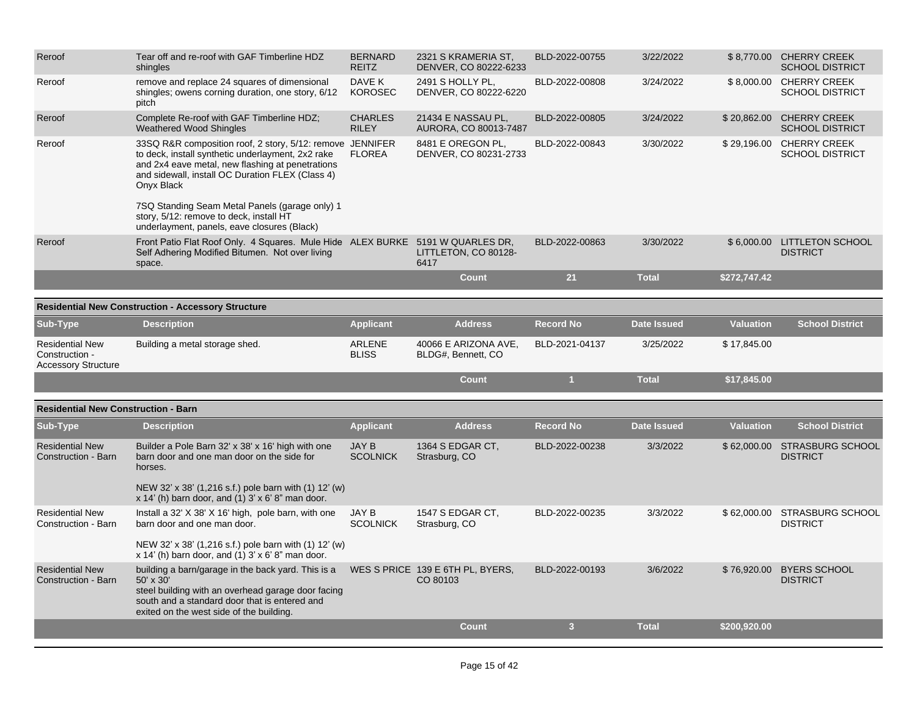| Reroof                                                                 | Tear off and re-roof with GAF Timberline HDZ<br>shingles                                                                                                                                                                             | <b>BERNARD</b><br><b>REITZ</b>  | 2321 S KRAMERIA ST,<br>DENVER, CO 80222-6233 | BLD-2022-00755   | 3/22/2022          |                  | \$8,770.00 CHERRY CREEK<br><b>SCHOOL DISTRICT</b>  |
|------------------------------------------------------------------------|--------------------------------------------------------------------------------------------------------------------------------------------------------------------------------------------------------------------------------------|---------------------------------|----------------------------------------------|------------------|--------------------|------------------|----------------------------------------------------|
| Reroof                                                                 | remove and replace 24 squares of dimensional<br>shingles; owens corning duration, one story, 6/12<br>pitch                                                                                                                           | DAVE K<br><b>KOROSEC</b>        | 2491 S HOLLY PL,<br>DENVER, CO 80222-6220    | BLD-2022-00808   | 3/24/2022          |                  | \$8,000.00 CHERRY CREEK<br><b>SCHOOL DISTRICT</b>  |
| Reroof                                                                 | Complete Re-roof with GAF Timberline HDZ;<br><b>Weathered Wood Shingles</b>                                                                                                                                                          | <b>CHARLES</b><br><b>RILEY</b>  | 21434 E NASSAU PL,<br>AURORA, CO 80013-7487  | BLD-2022-00805   | 3/24/2022          |                  | \$20,862.00 CHERRY CREEK<br><b>SCHOOL DISTRICT</b> |
| Reroof                                                                 | 33SQ R&R composition roof, 2 story, 5/12: remove JENNIFER<br>to deck, install synthetic underlayment, 2x2 rake<br>and 2x4 eave metal, new flashing at penetrations<br>and sidewall, install OC Duration FLEX (Class 4)<br>Onyx Black | <b>FLOREA</b>                   | 8481 E OREGON PL.<br>DENVER, CO 80231-2733   | BLD-2022-00843   | 3/30/2022          |                  | \$29,196.00 CHERRY CREEK<br><b>SCHOOL DISTRICT</b> |
|                                                                        | 7SQ Standing Seam Metal Panels (garage only) 1<br>story, 5/12: remove to deck, install HT<br>underlayment, panels, eave closures (Black)                                                                                             |                                 |                                              |                  |                    |                  |                                                    |
| Reroof                                                                 | Front Patio Flat Roof Only. 4 Squares. Mule Hide ALEX BURKE 5191 W QUARLES DR,<br>Self Adhering Modified Bitumen. Not over living<br>space.                                                                                          |                                 | LITTLETON, CO 80128-<br>6417                 | BLD-2022-00863   | 3/30/2022          |                  | \$6,000.00 LITTLETON SCHOOL<br><b>DISTRICT</b>     |
|                                                                        |                                                                                                                                                                                                                                      |                                 | <b>Count</b>                                 | 21               | <b>Total</b>       | \$272,747.42     |                                                    |
|                                                                        | <b>Residential New Construction - Accessory Structure</b>                                                                                                                                                                            |                                 |                                              |                  |                    |                  |                                                    |
| Sub-Type                                                               | <b>Description</b>                                                                                                                                                                                                                   | <b>Applicant</b>                | <b>Address</b>                               | <b>Record No</b> | <b>Date Issued</b> | <b>Valuation</b> | <b>School District</b>                             |
| <b>Residential New</b><br>Construction -<br><b>Accessory Structure</b> | Building a metal storage shed.                                                                                                                                                                                                       | ARLENE<br><b>BLISS</b>          | 40066 E ARIZONA AVE,<br>BLDG#, Bennett, CO   | BLD-2021-04137   | 3/25/2022          | \$17,845.00      |                                                    |
|                                                                        |                                                                                                                                                                                                                                      |                                 | <b>Count</b>                                 | $\mathbf{1}$     | <b>Total</b>       | \$17,845.00      |                                                    |
| <b>Residential New Construction - Barn</b>                             |                                                                                                                                                                                                                                      |                                 |                                              |                  |                    |                  |                                                    |
| Sub-Type                                                               | <b>Description</b>                                                                                                                                                                                                                   | <b>Applicant</b>                | <b>Address</b>                               | <b>Record No</b> | <b>Date Issued</b> | <b>Valuation</b> | <b>School District</b>                             |
| <b>Residential New</b><br>Construction - Barn                          | Builder a Pole Barn 32' x 38' x 16' high with one<br>barn door and one man door on the side for<br>horses.                                                                                                                           | <b>JAY B</b><br><b>SCOLNICK</b> | 1364 S EDGAR CT,<br>Strasburg, CO            | BLD-2022-00238   | 3/3/2022           |                  | \$62,000.00 STRASBURG SCHOOL<br><b>DISTRICT</b>    |
|                                                                        | NEW 32' x 38' (1,216 s.f.) pole barn with (1) 12' (w)<br>$x$ 14' (h) barn door, and (1) 3' $x$ 6' 8" man door.                                                                                                                       |                                 |                                              |                  |                    |                  |                                                    |
| <b>Residential New</b><br>Construction - Barn                          | Install a 32' X 38' X 16' high, pole barn, with one<br>barn door and one man door.                                                                                                                                                   | JAY B<br><b>SCOLNICK</b>        | 1547 S EDGAR CT.<br>Strasburg, CO            | BLD-2022-00235   | 3/3/2022           | \$62,000.00      | STRASBURG SCHOOL<br><b>DISTRICT</b>                |
|                                                                        | NEW 32' x 38' (1,216 s.f.) pole barn with (1) 12' (w)<br>$x$ 14' (h) barn door, and (1) 3' $x$ 6' 8" man door.                                                                                                                       |                                 |                                              |                  |                    |                  |                                                    |
| <b>Residential New</b><br>Construction - Barn                          | building a barn/garage in the back yard. This is a<br>50' x 30'<br>steel building with an overhead garage door facing<br>south and a standard door that is entered and<br>exited on the west side of the building.                   |                                 | WES S PRICE 139 E 6TH PL, BYERS,<br>CO 80103 | BLD-2022-00193   | 3/6/2022           | \$76,920.00      | <b>BYERS SCHOOL</b><br><b>DISTRICT</b>             |
|                                                                        |                                                                                                                                                                                                                                      |                                 | <b>Count</b>                                 | 3 <sup>2</sup>   | <b>Total</b>       | \$200,920.00     |                                                    |
|                                                                        |                                                                                                                                                                                                                                      |                                 |                                              |                  |                    |                  |                                                    |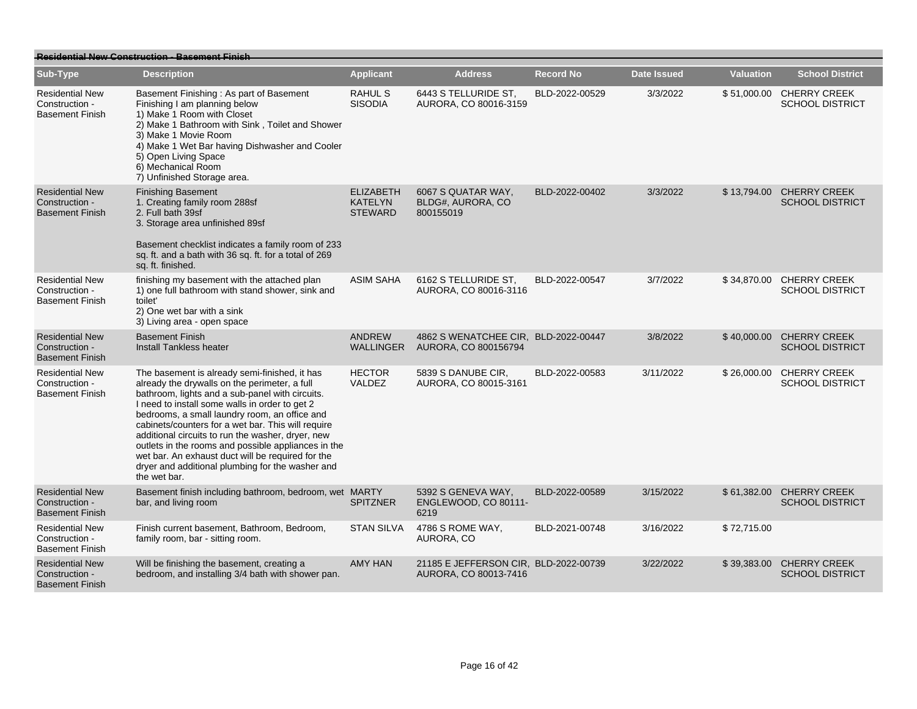| <b>Residential New Construction - Basement Finish</b>              |                                                                                                                                                                                                                                                                                                                                                                                                                                                                                                                                                 |                                                      |                                                                |                  |                    |                  |                                                    |  |  |
|--------------------------------------------------------------------|-------------------------------------------------------------------------------------------------------------------------------------------------------------------------------------------------------------------------------------------------------------------------------------------------------------------------------------------------------------------------------------------------------------------------------------------------------------------------------------------------------------------------------------------------|------------------------------------------------------|----------------------------------------------------------------|------------------|--------------------|------------------|----------------------------------------------------|--|--|
| Sub-Type                                                           | <b>Description</b>                                                                                                                                                                                                                                                                                                                                                                                                                                                                                                                              | <b>Applicant</b>                                     | <b>Address</b>                                                 | <b>Record No</b> | <b>Date Issued</b> | <b>Valuation</b> | <b>School District</b>                             |  |  |
| <b>Residential New</b><br>Construction -<br><b>Basement Finish</b> | Basement Finishing: As part of Basement<br>Finishing I am planning below<br>1) Make 1 Room with Closet<br>2) Make 1 Bathroom with Sink, Toilet and Shower<br>3) Make 1 Movie Room<br>4) Make 1 Wet Bar having Dishwasher and Cooler<br>5) Open Living Space<br>6) Mechanical Room<br>7) Unfinished Storage area.                                                                                                                                                                                                                                | RAHUL S<br><b>SISODIA</b>                            | 6443 S TELLURIDE ST,<br>AURORA, CO 80016-3159                  | BLD-2022-00529   | 3/3/2022           |                  | \$51,000.00 CHERRY CREEK<br><b>SCHOOL DISTRICT</b> |  |  |
| <b>Residential New</b><br>Construction -<br><b>Basement Finish</b> | <b>Finishing Basement</b><br>1. Creating family room 288sf<br>2. Full bath 39sf<br>3. Storage area unfinished 89sf<br>Basement checklist indicates a family room of 233<br>sq. ft. and a bath with 36 sq. ft. for a total of 269<br>sq. ft. finished.                                                                                                                                                                                                                                                                                           | <b>ELIZABETH</b><br><b>KATELYN</b><br><b>STEWARD</b> | 6067 S QUATAR WAY,<br>BLDG#, AURORA, CO<br>800155019           | BLD-2022-00402   | 3/3/2022           |                  | \$13,794.00 CHERRY CREEK<br><b>SCHOOL DISTRICT</b> |  |  |
| <b>Residential New</b><br>Construction -<br><b>Basement Finish</b> | finishing my basement with the attached plan<br>1) one full bathroom with stand shower, sink and<br>toilet'<br>2) One wet bar with a sink<br>3) Living area - open space                                                                                                                                                                                                                                                                                                                                                                        | <b>ASIM SAHA</b>                                     | 6162 S TELLURIDE ST.<br>AURORA, CO 80016-3116                  | BLD-2022-00547   | 3/7/2022           |                  | \$34,870.00 CHERRY CREEK<br><b>SCHOOL DISTRICT</b> |  |  |
| <b>Residential New</b><br>Construction -<br><b>Basement Finish</b> | <b>Basement Finish</b><br><b>Install Tankless heater</b>                                                                                                                                                                                                                                                                                                                                                                                                                                                                                        | <b>ANDREW</b><br><b>WALLINGER</b>                    | 4862 S WENATCHEE CIR, BLD-2022-00447<br>AURORA, CO 800156794   |                  | 3/8/2022           |                  | \$40,000.00 CHERRY CREEK<br><b>SCHOOL DISTRICT</b> |  |  |
| <b>Residential New</b><br>Construction -<br><b>Basement Finish</b> | The basement is already semi-finished, it has<br>already the drywalls on the perimeter, a full<br>bathroom, lights and a sub-panel with circuits.<br>I need to install some walls in order to get 2<br>bedrooms, a small laundry room, an office and<br>cabinets/counters for a wet bar. This will require<br>additional circuits to run the washer, dryer, new<br>outlets in the rooms and possible appliances in the<br>wet bar. An exhaust duct will be required for the<br>dryer and additional plumbing for the washer and<br>the wet bar. | <b>HECTOR</b><br><b>VALDEZ</b>                       | 5839 S DANUBE CIR.<br>AURORA, CO 80015-3161                    | BLD-2022-00583   | 3/11/2022          | \$26,000.00      | <b>CHERRY CREEK</b><br><b>SCHOOL DISTRICT</b>      |  |  |
| <b>Residential New</b><br>Construction -<br><b>Basement Finish</b> | Basement finish including bathroom, bedroom, wet MARTY<br>bar, and living room                                                                                                                                                                                                                                                                                                                                                                                                                                                                  | <b>SPITZNER</b>                                      | 5392 S GENEVA WAY.<br>ENGLEWOOD, CO 80111-<br>6219             | BLD-2022-00589   | 3/15/2022          |                  | \$61,382.00 CHERRY CREEK<br><b>SCHOOL DISTRICT</b> |  |  |
| <b>Residential New</b><br>Construction -<br><b>Basement Finish</b> | Finish current basement, Bathroom, Bedroom,<br>family room, bar - sitting room.                                                                                                                                                                                                                                                                                                                                                                                                                                                                 | <b>STAN SILVA</b>                                    | 4786 S ROME WAY.<br>AURORA, CO                                 | BLD-2021-00748   | 3/16/2022          | \$72,715.00      |                                                    |  |  |
| <b>Residential New</b><br>Construction -<br><b>Basement Finish</b> | Will be finishing the basement, creating a<br>bedroom, and installing 3/4 bath with shower pan.                                                                                                                                                                                                                                                                                                                                                                                                                                                 | <b>AMY HAN</b>                                       | 21185 E JEFFERSON CIR, BLD-2022-00739<br>AURORA, CO 80013-7416 |                  | 3/22/2022          |                  | \$39,383.00 CHERRY CREEK<br><b>SCHOOL DISTRICT</b> |  |  |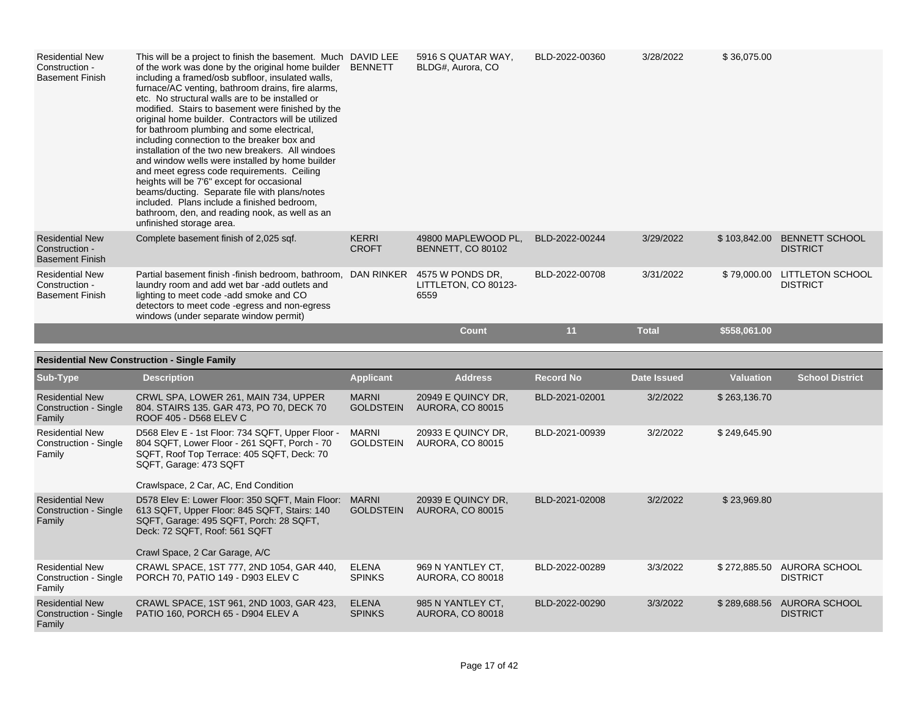| <b>Residential New</b><br>Construction -<br><b>Basement Finish</b> | This will be a project to finish the basement. Much DAVID LEE<br>of the work was done by the original home builder<br>including a framed/osb subfloor, insulated walls,<br>furnace/AC venting, bathroom drains, fire alarms,<br>etc. No structural walls are to be installed or<br>modified. Stairs to basement were finished by the<br>original home builder. Contractors will be utilized<br>for bathroom plumbing and some electrical,<br>including connection to the breaker box and<br>installation of the two new breakers. All windoes<br>and window wells were installed by home builder<br>and meet egress code requirements. Ceiling<br>heights will be 7'6" except for occasional<br>beams/ducting. Separate file with plans/notes<br>included. Plans include a finished bedroom,<br>bathroom, den, and reading nook, as well as an<br>unfinished storage area. | BENNETT                      | 5916 S QUATAR WAY,<br>BLDG#, Aurora, CO          | BLD-2022-00360 | 3/28/2022    | \$36,075.00  |                                            |
|--------------------------------------------------------------------|----------------------------------------------------------------------------------------------------------------------------------------------------------------------------------------------------------------------------------------------------------------------------------------------------------------------------------------------------------------------------------------------------------------------------------------------------------------------------------------------------------------------------------------------------------------------------------------------------------------------------------------------------------------------------------------------------------------------------------------------------------------------------------------------------------------------------------------------------------------------------|------------------------------|--------------------------------------------------|----------------|--------------|--------------|--------------------------------------------|
| <b>Residential New</b><br>Construction -<br><b>Basement Finish</b> | Complete basement finish of 2,025 sqf.                                                                                                                                                                                                                                                                                                                                                                                                                                                                                                                                                                                                                                                                                                                                                                                                                                     | <b>KERRI</b><br><b>CROFT</b> | 49800 MAPLEWOOD PL,<br><b>BENNETT, CO 80102</b>  | BLD-2022-00244 | 3/29/2022    | \$103,842.00 | <b>BENNETT SCHOOL</b><br><b>DISTRICT</b>   |
| <b>Residential New</b><br>Construction -<br><b>Basement Finish</b> | Partial basement finish -finish bedroom, bathroom, DAN RINKER<br>laundry room and add wet bar -add outlets and<br>lighting to meet code -add smoke and CO<br>detectors to meet code -egress and non-egress<br>windows (under separate window permit)                                                                                                                                                                                                                                                                                                                                                                                                                                                                                                                                                                                                                       |                              | 4575 W PONDS DR.<br>LITTLETON, CO 80123-<br>6559 | BLD-2022-00708 | 3/31/2022    | \$79,000.00  | <b>LITTLETON SCHOOL</b><br><b>DISTRICT</b> |
|                                                                    |                                                                                                                                                                                                                                                                                                                                                                                                                                                                                                                                                                                                                                                                                                                                                                                                                                                                            |                              | <b>Count</b>                                     | 11             | <b>Total</b> | \$558,061.00 |                                            |

| <b>Residential New Construction - Single Family</b>       |                                                                                                                                                                                                                     |                                  |                                               |                  |                    |                  |                                  |  |  |
|-----------------------------------------------------------|---------------------------------------------------------------------------------------------------------------------------------------------------------------------------------------------------------------------|----------------------------------|-----------------------------------------------|------------------|--------------------|------------------|----------------------------------|--|--|
| Sub-Type                                                  | <b>Description</b>                                                                                                                                                                                                  | <b>Applicant</b>                 | <b>Address</b>                                | <b>Record No</b> | <b>Date Issued</b> | <b>Valuation</b> | <b>School District</b>           |  |  |
| <b>Residential New</b><br>Construction - Single<br>Family | CRWL SPA, LOWER 261, MAIN 734, UPPER<br>804. STAIRS 135. GAR 473, PO 70, DECK 70<br>ROOF 405 - D568 ELEV C                                                                                                          | <b>MARNI</b><br><b>GOLDSTEIN</b> | 20949 E QUINCY DR.<br><b>AURORA, CO 80015</b> | BLD-2021-02001   | 3/2/2022           | \$263,136.70     |                                  |  |  |
| <b>Residential New</b><br>Construction - Single<br>Family | D568 Elev E - 1st Floor: 734 SQFT, Upper Floor -<br>804 SQFT, Lower Floor - 261 SQFT, Porch - 70<br>SQFT, Roof Top Terrace: 405 SQFT, Deck: 70<br>SQFT, Garage: 473 SQFT<br>Crawlspace, 2 Car, AC, End Condition    | MARNI<br><b>GOLDSTEIN</b>        | 20933 E QUINCY DR.<br><b>AURORA, CO 80015</b> | BLD-2021-00939   | 3/2/2022           | \$249,645.90     |                                  |  |  |
| <b>Residential New</b><br>Construction - Single<br>Family | D578 Elev E: Lower Floor: 350 SQFT, Main Floor: MARNI<br>613 SQFT, Upper Floor: 845 SQFT, Stairs: 140<br>SQFT, Garage: 495 SQFT, Porch: 28 SQFT,<br>Deck: 72 SQFT, Roof: 561 SQFT<br>Crawl Space, 2 Car Garage, A/C | <b>GOLDSTEIN</b>                 | 20939 E QUINCY DR.<br><b>AURORA, CO 80015</b> | BLD-2021-02008   | 3/2/2022           | \$23,969.80      |                                  |  |  |
| <b>Residential New</b><br>Construction - Single<br>Family | CRAWL SPACE, 1ST 777, 2ND 1054, GAR 440,<br>PORCH 70, PATIO 149 - D903 ELEV C                                                                                                                                       | <b>ELENA</b><br><b>SPINKS</b>    | 969 N YANTLEY CT.<br><b>AURORA, CO 80018</b>  | BLD-2022-00289   | 3/3/2022           | \$272,885.50     | AURORA SCHOOL<br><b>DISTRICT</b> |  |  |
| <b>Residential New</b><br>Construction - Single<br>Family | CRAWL SPACE, 1ST 961, 2ND 1003, GAR 423,<br>PATIO 160, PORCH 65 - D904 ELEV A                                                                                                                                       | <b>ELENA</b><br><b>SPINKS</b>    | 985 N YANTLEY CT.<br><b>AURORA, CO 80018</b>  | BLD-2022-00290   | 3/3/2022           | \$289,688.56     | AURORA SCHOOL<br><b>DISTRICT</b> |  |  |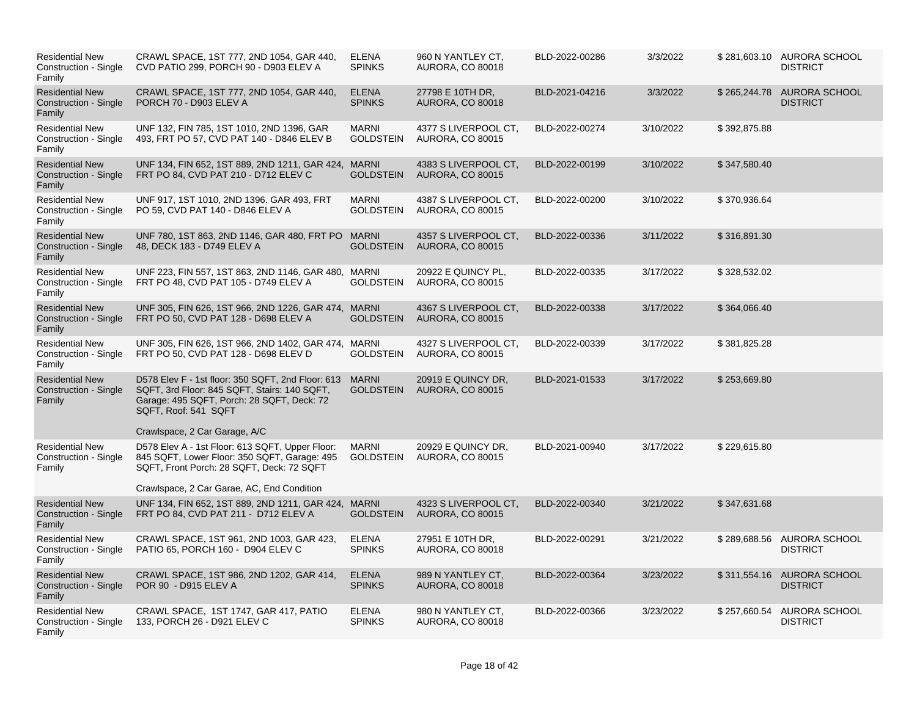| <b>Residential New</b><br>Construction - Single<br>Family | CRAWL SPACE, 1ST 777, 2ND 1054, GAR 440,<br>CVD PATIO 299, PORCH 90 - D903 ELEV A                                                                                                                              | <b>ELENA</b><br><b>SPINKS</b>    | 960 N YANTLEY CT.<br><b>AURORA, CO 80018</b>    | BLD-2022-00286 | 3/3/2022  |              | \$281,603.10 AURORA SCHOOL<br><b>DISTRICT</b> |
|-----------------------------------------------------------|----------------------------------------------------------------------------------------------------------------------------------------------------------------------------------------------------------------|----------------------------------|-------------------------------------------------|----------------|-----------|--------------|-----------------------------------------------|
| <b>Residential New</b><br>Construction - Single<br>Family | CRAWL SPACE, 1ST 777, 2ND 1054, GAR 440,<br>PORCH 70 - D903 ELEV A                                                                                                                                             | <b>ELENA</b><br><b>SPINKS</b>    | 27798 E 10TH DR,<br>AURORA, CO 80018            | BLD-2021-04216 | 3/3/2022  |              | \$265,244.78 AURORA SCHOOL<br><b>DISTRICT</b> |
| <b>Residential New</b><br>Construction - Single<br>Family | UNF 132, FIN 785, 1ST 1010, 2ND 1396, GAR<br>493, FRT PO 57, CVD PAT 140 - D846 ELEV B                                                                                                                         | <b>MARNI</b><br><b>GOLDSTEIN</b> | 4377 S LIVERPOOL CT,<br><b>AURORA, CO 80015</b> | BLD-2022-00274 | 3/10/2022 | \$392,875.88 |                                               |
| <b>Residential New</b><br>Construction - Single<br>Family | UNF 134, FIN 652, 1ST 889, 2ND 1211, GAR 424, MARNI<br>FRT PO 84, CVD PAT 210 - D712 ELEV C                                                                                                                    | <b>GOLDSTEIN</b>                 | 4383 S LIVERPOOL CT,<br><b>AURORA, CO 80015</b> | BLD-2022-00199 | 3/10/2022 | \$347,580.40 |                                               |
| <b>Residential New</b><br>Construction - Single<br>Family | UNF 917, 1ST 1010, 2ND 1396. GAR 493, FRT<br>PO 59, CVD PAT 140 - D846 ELEV A                                                                                                                                  | <b>MARNI</b><br><b>GOLDSTEIN</b> | 4387 S LIVERPOOL CT,<br><b>AURORA, CO 80015</b> | BLD-2022-00200 | 3/10/2022 | \$370,936.64 |                                               |
| <b>Residential New</b><br>Construction - Single<br>Family | UNF 780, 1ST 863, 2ND 1146, GAR 480, FRT PO MARNI<br>48, DECK 183 - D749 ELEV A                                                                                                                                | <b>GOLDSTEIN</b>                 | 4357 S LIVERPOOL CT,<br><b>AURORA, CO 80015</b> | BLD-2022-00336 | 3/11/2022 | \$316,891.30 |                                               |
| <b>Residential New</b><br>Construction - Single<br>Family | UNF 223, FIN 557, 1ST 863, 2ND 1146, GAR 480, MARNI<br>FRT PO 48, CVD PAT 105 - D749 ELEV A                                                                                                                    | <b>GOLDSTEIN</b>                 | 20922 E QUINCY PL,<br><b>AURORA, CO 80015</b>   | BLD-2022-00335 | 3/17/2022 | \$328,532.02 |                                               |
| <b>Residential New</b><br>Construction - Single<br>Family | UNF 305, FIN 626, 1ST 966, 2ND 1226, GAR 474, MARNI<br>FRT PO 50, CVD PAT 128 - D698 ELEV A                                                                                                                    | <b>GOLDSTEIN</b>                 | 4367 S LIVERPOOL CT,<br><b>AURORA, CO 80015</b> | BLD-2022-00338 | 3/17/2022 | \$364,066.40 |                                               |
| <b>Residential New</b><br>Construction - Single<br>Family | UNF 305, FIN 626, 1ST 966, 2ND 1402, GAR 474, MARNI<br>FRT PO 50, CVD PAT 128 - D698 ELEV D                                                                                                                    | <b>GOLDSTEIN</b>                 | 4327 S LIVERPOOL CT,<br><b>AURORA, CO 80015</b> | BLD-2022-00339 | 3/17/2022 | \$381,825.28 |                                               |
| <b>Residential New</b><br>Construction - Single<br>Family | D578 Elev F - 1st floor: 350 SQFT, 2nd Floor: 613 MARNI<br>SQFT, 3rd Floor: 845 SQFT, Stairs: 140 SQFT,<br>Garage: 495 SQFT, Porch: 28 SQFT, Deck: 72<br>SQFT, Roof: 541 SQFT<br>Crawlspace, 2 Car Garage, A/C | <b>GOLDSTEIN</b>                 | 20919 E QUINCY DR,<br><b>AURORA, CO 80015</b>   | BLD-2021-01533 | 3/17/2022 | \$253,669.80 |                                               |
| <b>Residential New</b>                                    | D578 Elev A - 1st Floor: 613 SQFT, Upper Floor:                                                                                                                                                                | <b>MARNI</b>                     | 20929 E QUINCY DR.                              | BLD-2021-00940 | 3/17/2022 | \$229,615.80 |                                               |
| Construction - Single<br>Family                           | 845 SQFT, Lower Floor: 350 SQFT, Garage: 495<br>SQFT, Front Porch: 28 SQFT, Deck: 72 SQFT                                                                                                                      | <b>GOLDSTEIN</b>                 | <b>AURORA, CO 80015</b>                         |                |           |              |                                               |
| <b>Residential New</b>                                    | Crawlspace, 2 Car Garae, AC, End Condition<br>UNF 134, FIN 652, 1ST 889, 2ND 1211, GAR 424, MARNI                                                                                                              |                                  | 4323 S LIVERPOOL CT,                            | BLD-2022-00340 | 3/21/2022 | \$347,631.68 |                                               |
| Construction - Single<br>Family                           | FRT PO 84, CVD PAT 211 - D712 ELEV A                                                                                                                                                                           | <b>GOLDSTEIN</b>                 | <b>AURORA, CO 80015</b>                         |                |           |              |                                               |
| <b>Residential New</b><br>Construction - Single<br>Family | CRAWL SPACE, 1ST 961, 2ND 1003, GAR 423,<br>PATIO 65, PORCH 160 - D904 ELEV C                                                                                                                                  | <b>ELENA</b><br><b>SPINKS</b>    | 27951 E 10TH DR,<br><b>AURORA, CO 80018</b>     | BLD-2022-00291 | 3/21/2022 |              | \$289,688.56 AURORA SCHOOL<br><b>DISTRICT</b> |
| <b>Residential New</b><br>Construction - Single<br>Family | CRAWL SPACE, 1ST 986, 2ND 1202, GAR 414,<br>POR 90 - D915 ELEV A                                                                                                                                               | <b>ELENA</b><br><b>SPINKS</b>    | 989 N YANTLEY CT.<br><b>AURORA, CO 80018</b>    | BLD-2022-00364 | 3/23/2022 |              | \$311,554.16 AURORA SCHOOL<br><b>DISTRICT</b> |
| <b>Residential New</b><br>Construction - Single<br>Family | CRAWL SPACE, 1ST 1747, GAR 417, PATIO<br>133, PORCH 26 - D921 ELEV C                                                                                                                                           | <b>ELENA</b><br><b>SPINKS</b>    | 980 N YANTLEY CT,<br><b>AURORA, CO 80018</b>    | BLD-2022-00366 | 3/23/2022 | \$257,660.54 | <b>AURORA SCHOOL</b><br><b>DISTRICT</b>       |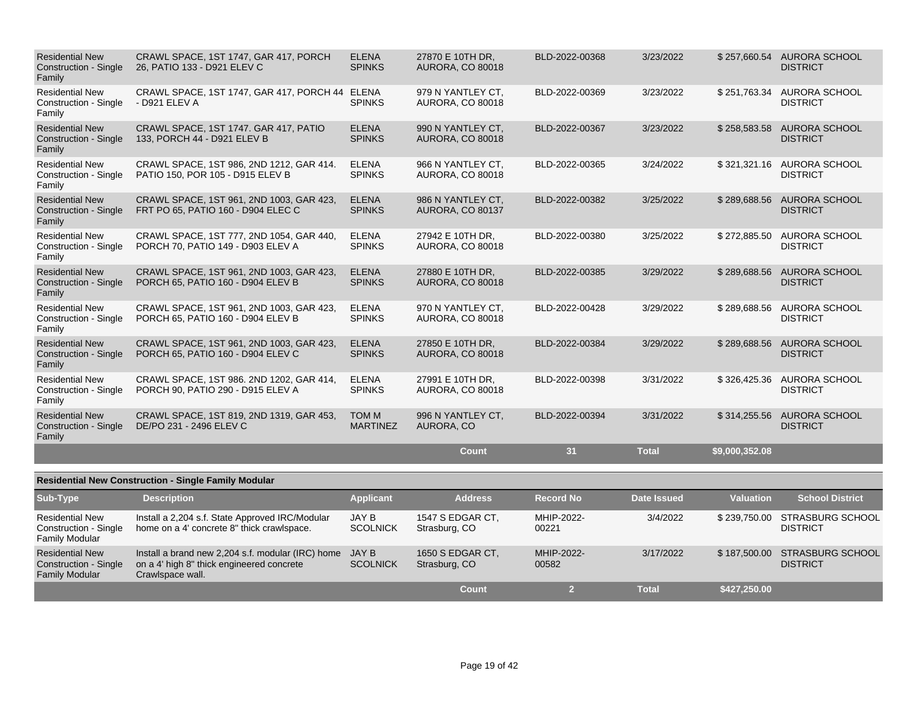| <b>Residential New</b><br><b>Construction - Single</b><br>Family | CRAWL SPACE, 1ST 1747, GAR 417, PORCH<br>26, PATIO 133 - D921 ELEV C           | <b>ELENA</b><br><b>SPINKS</b>   | 27870 E 10TH DR,<br><b>AURORA, CO 80018</b>  | BLD-2022-00368 | 3/23/2022    | \$257,660.54   | AURORA SCHOOL<br><b>DISTRICT</b>        |
|------------------------------------------------------------------|--------------------------------------------------------------------------------|---------------------------------|----------------------------------------------|----------------|--------------|----------------|-----------------------------------------|
| <b>Residential New</b><br>Construction - Single<br>Family        | CRAWL SPACE, 1ST 1747, GAR 417, PORCH 44 ELENA<br>- D921 ELEV A                | <b>SPINKS</b>                   | 979 N YANTLEY CT.<br><b>AURORA, CO 80018</b> | BLD-2022-00369 | 3/23/2022    | \$251,763.34   | AURORA SCHOOL<br><b>DISTRICT</b>        |
| <b>Residential New</b><br><b>Construction - Single</b><br>Family | CRAWL SPACE, 1ST 1747. GAR 417, PATIO<br>133, PORCH 44 - D921 ELEV B           | <b>ELENA</b><br><b>SPINKS</b>   | 990 N YANTLEY CT.<br><b>AURORA, CO 80018</b> | BLD-2022-00367 | 3/23/2022    | \$258,583.58   | <b>AURORA SCHOOL</b><br><b>DISTRICT</b> |
| <b>Residential New</b><br><b>Construction - Single</b><br>Family | CRAWL SPACE, 1ST 986, 2ND 1212, GAR 414.<br>PATIO 150, POR 105 - D915 ELEV B   | <b>ELENA</b><br><b>SPINKS</b>   | 966 N YANTLEY CT.<br><b>AURORA, CO 80018</b> | BLD-2022-00365 | 3/24/2022    | \$321,321.16   | AURORA SCHOOL<br><b>DISTRICT</b>        |
| <b>Residential New</b><br><b>Construction - Single</b><br>Family | CRAWL SPACE, 1ST 961, 2ND 1003, GAR 423,<br>FRT PO 65, PATIO 160 - D904 ELEC C | <b>ELENA</b><br><b>SPINKS</b>   | 986 N YANTLEY CT.<br>AURORA, CO 80137        | BLD-2022-00382 | 3/25/2022    | \$289,688.56   | <b>AURORA SCHOOL</b><br><b>DISTRICT</b> |
| <b>Residential New</b><br>Construction - Single<br>Family        | CRAWL SPACE, 1ST 777, 2ND 1054, GAR 440,<br>PORCH 70, PATIO 149 - D903 ELEV A  | <b>ELENA</b><br><b>SPINKS</b>   | 27942 E 10TH DR.<br><b>AURORA, CO 80018</b>  | BLD-2022-00380 | 3/25/2022    | \$272,885.50   | AURORA SCHOOL<br><b>DISTRICT</b>        |
| <b>Residential New</b><br><b>Construction - Single</b><br>Family | CRAWL SPACE, 1ST 961, 2ND 1003, GAR 423,<br>PORCH 65, PATIO 160 - D904 ELEV B  | <b>ELENA</b><br><b>SPINKS</b>   | 27880 E 10TH DR.<br><b>AURORA, CO 80018</b>  | BLD-2022-00385 | 3/29/2022    | \$289,688.56   | <b>AURORA SCHOOL</b><br><b>DISTRICT</b> |
| <b>Residential New</b><br><b>Construction - Single</b><br>Family | CRAWL SPACE, 1ST 961, 2ND 1003, GAR 423,<br>PORCH 65, PATIO 160 - D904 ELEV B  | <b>ELENA</b><br><b>SPINKS</b>   | 970 N YANTLEY CT.<br><b>AURORA, CO 80018</b> | BLD-2022-00428 | 3/29/2022    | \$289,688.56   | AURORA SCHOOL<br><b>DISTRICT</b>        |
| <b>Residential New</b><br><b>Construction - Single</b><br>Family | CRAWL SPACE, 1ST 961, 2ND 1003, GAR 423,<br>PORCH 65, PATIO 160 - D904 ELEV C  | <b>ELENA</b><br><b>SPINKS</b>   | 27850 E 10TH DR,<br><b>AURORA, CO 80018</b>  | BLD-2022-00384 | 3/29/2022    | \$289,688.56   | AURORA SCHOOL<br><b>DISTRICT</b>        |
| <b>Residential New</b><br><b>Construction - Single</b><br>Family | CRAWL SPACE, 1ST 986. 2ND 1202, GAR 414,<br>PORCH 90, PATIO 290 - D915 ELEV A  | <b>ELENA</b><br><b>SPINKS</b>   | 27991 E 10TH DR,<br><b>AURORA, CO 80018</b>  | BLD-2022-00398 | 3/31/2022    | \$326,425.36   | AURORA SCHOOL<br><b>DISTRICT</b>        |
| <b>Residential New</b><br><b>Construction - Single</b><br>Family | CRAWL SPACE, 1ST 819, 2ND 1319, GAR 453,<br>DE/PO 231 - 2496 ELEV C            | <b>TOM M</b><br><b>MARTINEZ</b> | 996 N YANTLEY CT.<br>AURORA, CO              | BLD-2022-00394 | 3/31/2022    | \$314,255.56   | <b>AURORA SCHOOL</b><br><b>DISTRICT</b> |
|                                                                  |                                                                                |                                 | <b>Count</b>                                 | 31             | <b>Total</b> | \$9,000,352.08 |                                         |

| <b>Residential New Construction - Single Family Modular</b>                     |                                                                                                                    |                                 |                                   |                     |              |                  |                                            |  |  |  |
|---------------------------------------------------------------------------------|--------------------------------------------------------------------------------------------------------------------|---------------------------------|-----------------------------------|---------------------|--------------|------------------|--------------------------------------------|--|--|--|
| Sub-Type                                                                        | <b>Description</b>                                                                                                 | <b>Applicant</b>                | <b>Address</b>                    | <b>Record No</b>    | Date Issued  | <b>Valuation</b> | <b>School District</b>                     |  |  |  |
| <b>Residential New</b><br>Construction - Single<br><b>Family Modular</b>        | Install a 2,204 s.f. State Approved IRC/Modular<br>home on a 4' concrete 8" thick crawlspace.                      | JAY B<br><b>SCOLNICK</b>        | 1547 S EDGAR CT.<br>Strasburg, CO | MHIP-2022-<br>00221 | 3/4/2022     | \$239,750,00     | STRASBURG SCHOOL<br><b>DISTRICT</b>        |  |  |  |
| <b>Residential New</b><br><b>Construction - Single</b><br><b>Family Modular</b> | Install a brand new 2,204 s.f. modular (IRC) home<br>on a 4' high 8" thick engineered concrete<br>Crawlspace wall. | <b>JAY B</b><br><b>SCOLNICK</b> | 1650 S EDGAR CT,<br>Strasburg, CO | MHIP-2022-<br>00582 | 3/17/2022    | \$187,500,00     | <b>STRASBURG SCHOOL</b><br><b>DISTRICT</b> |  |  |  |
|                                                                                 |                                                                                                                    |                                 | Count                             |                     | <b>Total</b> | \$427,250.00     |                                            |  |  |  |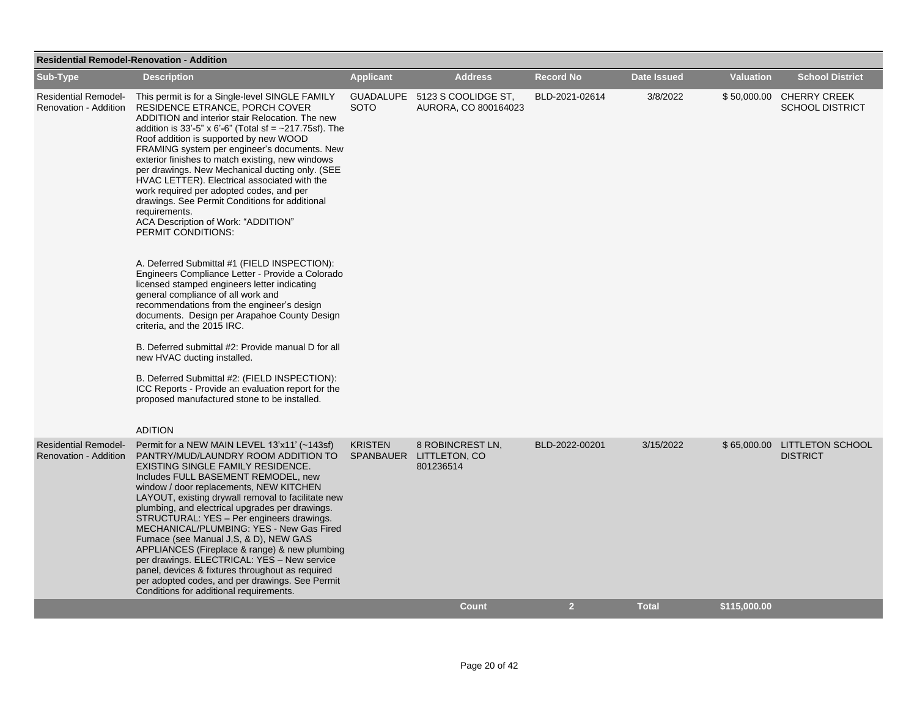| <b>Residential Remodel-Renovation - Addition</b>     |                                                                                                                                                                                                                                                                                                                                                                                                                                                                                                                                                                                                                                                                                                           |                                 |                                                          |                  |                    |                  |                                                    |  |  |
|------------------------------------------------------|-----------------------------------------------------------------------------------------------------------------------------------------------------------------------------------------------------------------------------------------------------------------------------------------------------------------------------------------------------------------------------------------------------------------------------------------------------------------------------------------------------------------------------------------------------------------------------------------------------------------------------------------------------------------------------------------------------------|---------------------------------|----------------------------------------------------------|------------------|--------------------|------------------|----------------------------------------------------|--|--|
| Sub-Type                                             | <b>Description</b>                                                                                                                                                                                                                                                                                                                                                                                                                                                                                                                                                                                                                                                                                        | <b>Applicant</b>                | <b>Address</b>                                           | <b>Record No</b> | <b>Date Issued</b> | <b>Valuation</b> | <b>School District</b>                             |  |  |
| <b>Residential Remodel-</b><br>Renovation - Addition | This permit is for a Single-level SINGLE FAMILY<br><b>RESIDENCE ETRANCE, PORCH COVER</b><br>ADDITION and interior stair Relocation. The new<br>addition is 33'-5" x 6'-6" (Total sf = $\sim$ 217.75sf). The<br>Roof addition is supported by new WOOD<br>FRAMING system per engineer's documents. New<br>exterior finishes to match existing, new windows<br>per drawings. New Mechanical ducting only. (SEE<br>HVAC LETTER). Electrical associated with the<br>work required per adopted codes, and per<br>drawings. See Permit Conditions for additional<br>requirements.<br>ACA Description of Work: "ADDITION"<br>PERMIT CONDITIONS:                                                                  | <b>GUADALUPE</b><br><b>SOTO</b> | 5123 S COOLIDGE ST,<br>AURORA, CO 800164023              | BLD-2021-02614   | 3/8/2022           |                  | \$50,000.00 CHERRY CREEK<br><b>SCHOOL DISTRICT</b> |  |  |
|                                                      | A. Deferred Submittal #1 (FIELD INSPECTION):<br>Engineers Compliance Letter - Provide a Colorado<br>licensed stamped engineers letter indicating<br>general compliance of all work and<br>recommendations from the engineer's design<br>documents. Design per Arapahoe County Design<br>criteria, and the 2015 IRC.                                                                                                                                                                                                                                                                                                                                                                                       |                                 |                                                          |                  |                    |                  |                                                    |  |  |
|                                                      | B. Deferred submittal #2: Provide manual D for all<br>new HVAC ducting installed.<br>B. Deferred Submittal #2: (FIELD INSPECTION):                                                                                                                                                                                                                                                                                                                                                                                                                                                                                                                                                                        |                                 |                                                          |                  |                    |                  |                                                    |  |  |
|                                                      | ICC Reports - Provide an evaluation report for the<br>proposed manufactured stone to be installed.<br><b>ADITION</b>                                                                                                                                                                                                                                                                                                                                                                                                                                                                                                                                                                                      |                                 |                                                          |                  |                    |                  |                                                    |  |  |
| <b>Residential Remodel-</b><br>Renovation - Addition | Permit for a NEW MAIN LEVEL 13'x11' (~143sf)<br>PANTRY/MUD/LAUNDRY ROOM ADDITION TO<br>EXISTING SINGLE FAMILY RESIDENCE.<br>Includes FULL BASEMENT REMODEL, new<br>window / door replacements, NEW KITCHEN<br>LAYOUT, existing drywall removal to facilitate new<br>plumbing, and electrical upgrades per drawings.<br>STRUCTURAL: YES - Per engineers drawings.<br>MECHANICAL/PLUMBING: YES - New Gas Fired<br>Furnace (see Manual J, S, & D), NEW GAS<br>APPLIANCES (Fireplace & range) & new plumbing<br>per drawings. ELECTRICAL: YES - New service<br>panel, devices & fixtures throughout as required<br>per adopted codes, and per drawings. See Permit<br>Conditions for additional requirements. | <b>KRISTEN</b>                  | 8 ROBINCREST LN.<br>SPANBAUER LITTLETON, CO<br>801236514 | BLD-2022-00201   | 3/15/2022          |                  | \$65,000.00 LITTLETON SCHOOL<br><b>DISTRICT</b>    |  |  |
|                                                      |                                                                                                                                                                                                                                                                                                                                                                                                                                                                                                                                                                                                                                                                                                           |                                 | <b>Count</b>                                             | $\overline{2}$   | <b>Total</b>       | \$115,000.00     |                                                    |  |  |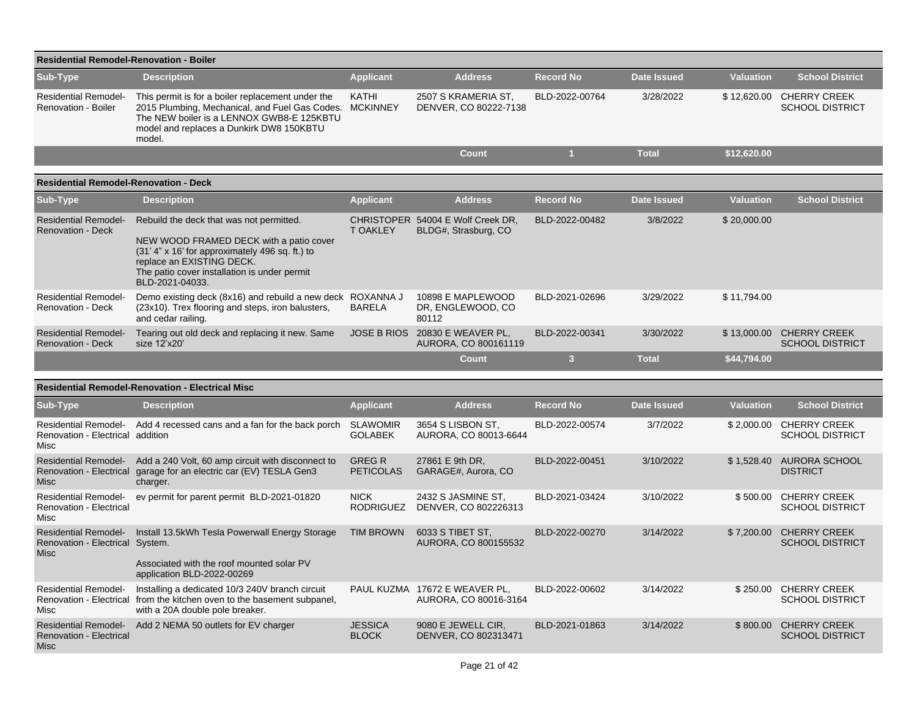| <b>Residential Remodel-Renovation - Boiler</b>                                |                                                                                                                                                                                                                                           |                                   |                                                           |                         |                    |                  |                                                    |
|-------------------------------------------------------------------------------|-------------------------------------------------------------------------------------------------------------------------------------------------------------------------------------------------------------------------------------------|-----------------------------------|-----------------------------------------------------------|-------------------------|--------------------|------------------|----------------------------------------------------|
| Sub-Type                                                                      | <b>Description</b>                                                                                                                                                                                                                        | <b>Applicant</b>                  | <b>Address</b>                                            | <b>Record No</b>        | <b>Date Issued</b> | <b>Valuation</b> | <b>School District</b>                             |
| <b>Residential Remodel-</b><br>Renovation - Boiler                            | This permit is for a boiler replacement under the<br>2015 Plumbing, Mechanical, and Fuel Gas Codes. MCKINNEY<br>The NEW boiler is a LENNOX GWB8-E 125KBTU<br>model and replaces a Dunkirk DW8 150KBTU<br>model.                           | KATHI                             | 2507 S KRAMERIA ST.<br>DENVER, CO 80222-7138              | BLD-2022-00764          | 3/28/2022          | \$12,620.00      | <b>CHERRY CREEK</b><br><b>SCHOOL DISTRICT</b>      |
|                                                                               |                                                                                                                                                                                                                                           |                                   | <b>Count</b>                                              | $\mathbf{1}$            | <b>Total</b>       | \$12,620.00      |                                                    |
| <b>Residential Remodel-Renovation - Deck</b>                                  |                                                                                                                                                                                                                                           |                                   |                                                           |                         |                    |                  |                                                    |
| Sub-Type                                                                      | <b>Description</b>                                                                                                                                                                                                                        | <b>Applicant</b>                  | <b>Address</b>                                            | <b>Record No</b>        | <b>Date Issued</b> | <b>Valuation</b> | <b>School District</b>                             |
| <b>Residential Remodel-</b><br><b>Renovation - Deck</b>                       | Rebuild the deck that was not permitted.<br>NEW WOOD FRAMED DECK with a patio cover<br>$(31' 4'' x 16'$ for approximately 496 sq. ft.) to<br>replace an EXISTING DECK.<br>The patio cover installation is under permit<br>BLD-2021-04033. | <b>T OAKLEY</b>                   | CHRISTOPER 54004 E Wolf Creek DR,<br>BLDG#, Strasburg, CO | BLD-2022-00482          | 3/8/2022           | \$20,000.00      |                                                    |
| <b>Residential Remodel-</b><br>Renovation - Deck                              | Demo existing deck (8x16) and rebuild a new deck ROXANNA J<br>(23x10). Trex flooring and steps, iron balusters,<br>and cedar railing.                                                                                                     | <b>BARELA</b>                     | 10898 E MAPLEWOOD<br>DR, ENGLEWOOD, CO<br>80112           | BLD-2021-02696          | 3/29/2022          | \$11.794.00      |                                                    |
| <b>Residential Remodel-</b><br><b>Renovation - Deck</b>                       | Tearing out old deck and replacing it new. Same<br>size 12'x20'                                                                                                                                                                           |                                   | JOSE B RIOS 20830 E WEAVER PL,<br>AURORA, CO 800161119    | BLD-2022-00341          | 3/30/2022          |                  | \$13,000.00 CHERRY CREEK<br><b>SCHOOL DISTRICT</b> |
|                                                                               |                                                                                                                                                                                                                                           |                                   | <b>Count</b>                                              | $\overline{\mathbf{3}}$ | <b>Total</b>       | \$44,794.00      |                                                    |
|                                                                               | <b>Residential Remodel-Renovation - Electrical Misc</b>                                                                                                                                                                                   |                                   |                                                           |                         |                    |                  |                                                    |
| Sub-Type                                                                      | <b>Description</b>                                                                                                                                                                                                                        | <b>Applicant</b>                  | <b>Address</b>                                            | <b>Record No</b>        | <b>Date Issued</b> | <b>Valuation</b> | <b>School District</b>                             |
| <b>Residential Remodel-</b><br>Renovation - Electrical addition<br>Misc       | Add 4 recessed cans and a fan for the back porch                                                                                                                                                                                          | <b>SLAWOMIR</b><br><b>GOLABEK</b> | 3654 S LISBON ST.<br>AURORA, CO 80013-6644                | BLD-2022-00574          | 3/7/2022           | \$2,000.00       | <b>CHERRY CREEK</b><br><b>SCHOOL DISTRICT</b>      |
| <b>Residential Remodel-</b><br>Renovation - Electrical<br><b>Misc</b>         | Add a 240 Volt, 60 amp circuit with disconnect to<br>garage for an electric car (EV) TESLA Gen3<br>charger.                                                                                                                               | <b>GREGR</b><br><b>PETICOLAS</b>  | 27861 E 9th DR,<br>GARAGE#, Aurora, CO                    | BLD-2022-00451          | 3/10/2022          |                  | \$1,528.40 AURORA SCHOOL<br><b>DISTRICT</b>        |
| <b>Residential Remodel-</b><br>Renovation - Electrical<br>Misc                | ev permit for parent permit BLD-2021-01820                                                                                                                                                                                                | <b>NICK</b><br><b>RODRIGUEZ</b>   | 2432 S JASMINE ST,<br>DENVER, CO 802226313                | BLD-2021-03424          | 3/10/2022          | \$500.00         | <b>CHERRY CREEK</b><br><b>SCHOOL DISTRICT</b>      |
| <b>Residential Remodel-</b><br>Renovation - Electrical System.<br><b>Misc</b> | Install 13.5kWh Tesla Powerwall Energy Storage<br>Associated with the roof mounted solar PV<br>application BLD-2022-00269                                                                                                                 | <b>TIM BROWN</b>                  | 6033 S TIBET ST,<br>AURORA, CO 800155532                  | BLD-2022-00270          | 3/14/2022          | \$7,200.00       | <b>CHERRY CREEK</b><br><b>SCHOOL DISTRICT</b>      |
| <b>Residential Remodel-</b><br>Misc                                           | Installing a dedicated 10/3 240V branch circuit<br>Renovation - Electrical from the kitchen oven to the basement subpanel,<br>with a 20A double pole breaker.                                                                             |                                   | PAUL KUZMA 17672 E WEAVER PL,<br>AURORA, CO 80016-3164    | BLD-2022-00602          | 3/14/2022          | \$250.00         | <b>CHERRY CREEK</b><br><b>SCHOOL DISTRICT</b>      |
| <b>Residential Remodel-</b><br><b>Renovation - Electrical</b><br>Misc         | Add 2 NEMA 50 outlets for EV charger                                                                                                                                                                                                      | <b>JESSICA</b><br><b>BLOCK</b>    | 9080 E JEWELL CIR,<br>DENVER, CO 802313471                | BLD-2021-01863          | 3/14/2022          | \$800.00         | <b>CHERRY CREEK</b><br><b>SCHOOL DISTRICT</b>      |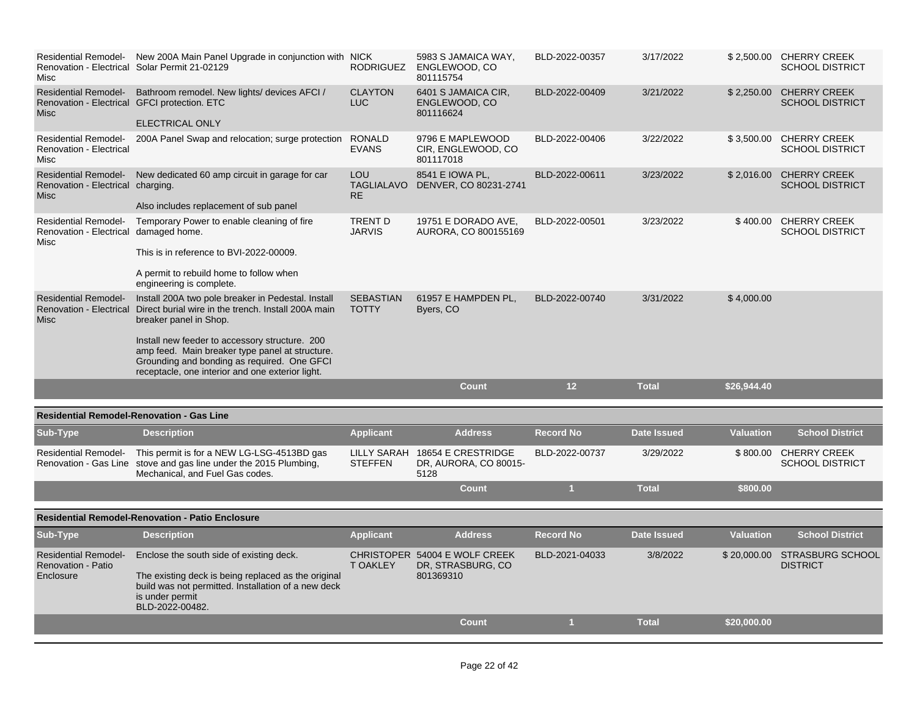| Misc                                                                  | Residential Remodel- New 200A Main Panel Upgrade in conjunction with NICK<br>Renovation - Electrical Solar Permit 21-02129                                                                                                                                                                                                                                          | RODRIGUEZ                             | 5983 S JAMAICA WAY,<br>ENGLEWOOD, CO<br>801115754               | BLD-2022-00357   | 3/17/2022          |                  | \$2,500.00 CHERRY CREEK<br><b>SCHOOL DISTRICT</b> |
|-----------------------------------------------------------------------|---------------------------------------------------------------------------------------------------------------------------------------------------------------------------------------------------------------------------------------------------------------------------------------------------------------------------------------------------------------------|---------------------------------------|-----------------------------------------------------------------|------------------|--------------------|------------------|---------------------------------------------------|
| Renovation - Electrical GFCI protection. ETC<br><b>Misc</b>           | Residential Remodel- Bathroom remodel. New lights/ devices AFCI /<br><b>ELECTRICAL ONLY</b>                                                                                                                                                                                                                                                                         | <b>CLAYTON</b><br><b>LUC</b>          | 6401 S JAMAICA CIR.<br>ENGLEWOOD, CO<br>801116624               | BLD-2022-00409   | 3/21/2022          | \$2,250.00       | <b>CHERRY CREEK</b><br><b>SCHOOL DISTRICT</b>     |
| <b>Renovation - Electrical</b><br>Misc                                | Residential Remodel- 200A Panel Swap and relocation; surge protection                                                                                                                                                                                                                                                                                               | <b>RONALD</b><br><b>EVANS</b>         | 9796 E MAPLEWOOD<br>CIR, ENGLEWOOD, CO<br>801117018             | BLD-2022-00406   | 3/22/2022          |                  | \$3,500.00 CHERRY CREEK<br><b>SCHOOL DISTRICT</b> |
| Renovation - Electrical charging.<br><b>Misc</b>                      | Residential Remodel- New dedicated 60 amp circuit in garage for car<br>Also includes replacement of sub panel                                                                                                                                                                                                                                                       | LOU<br><b>TAGLIALAVO</b><br><b>RE</b> | 8541 E IOWA PL,<br>DENVER, CO 80231-2741                        | BLD-2022-00611   | 3/23/2022          | \$2,016.00       | <b>CHERRY CREEK</b><br><b>SCHOOL DISTRICT</b>     |
| Renovation - Electrical damaged home.<br>Misc                         | Residential Remodel- Temporary Power to enable cleaning of fire<br>This is in reference to BVI-2022-00009.<br>A permit to rebuild home to follow when<br>engineering is complete.                                                                                                                                                                                   | TRENT D<br><b>JARVIS</b>              | 19751 E DORADO AVE,<br>AURORA, CO 800155169                     | BLD-2022-00501   | 3/23/2022          |                  | \$400.00 CHERRY CREEK<br><b>SCHOOL DISTRICT</b>   |
| <b>Residential Remodel-</b><br>Misc                                   | Install 200A two pole breaker in Pedestal. Install<br>Renovation - Electrical Direct burial wire in the trench. Install 200A main<br>breaker panel in Shop.<br>Install new feeder to accessory structure. 200<br>amp feed. Main breaker type panel at structure.<br>Grounding and bonding as required. One GFCI<br>receptacle, one interior and one exterior light. | <b>SEBASTIAN</b><br><b>TOTTY</b>      | 61957 E HAMPDEN PL,<br>Byers, CO                                | BLD-2022-00740   | 3/31/2022          | \$4,000.00       |                                                   |
|                                                                       |                                                                                                                                                                                                                                                                                                                                                                     |                                       | <b>Count</b>                                                    | 12               | <b>Total</b>       | \$26,944.40      |                                                   |
|                                                                       | <b>Residential Remodel-Renovation - Gas Line</b>                                                                                                                                                                                                                                                                                                                    |                                       |                                                                 |                  |                    |                  |                                                   |
| Sub-Type                                                              | <b>Description</b>                                                                                                                                                                                                                                                                                                                                                  | <b>Applicant</b>                      | <b>Address</b>                                                  | <b>Record No</b> | <b>Date Issued</b> | <b>Valuation</b> | <b>School District</b>                            |
| <b>Residential Remodel-</b>                                           | This permit is for a NEW LG-LSG-4513BD gas<br>Renovation - Gas Line stove and gas line under the 2015 Plumbing,<br>Mechanical, and Fuel Gas codes.                                                                                                                                                                                                                  | <b>LILLY SARAH</b><br><b>STEFFEN</b>  | 18654 E CRESTRIDGE<br>DR, AURORA, CO 80015-<br>5128             | BLD-2022-00737   | 3/29/2022          | \$800.00         | <b>CHERRY CREEK</b><br><b>SCHOOL DISTRICT</b>     |
|                                                                       |                                                                                                                                                                                                                                                                                                                                                                     |                                       | <b>Count</b>                                                    | $\overline{1}$   | <b>Total</b>       | \$800.00         |                                                   |
|                                                                       | <b>Residential Remodel-Renovation - Patio Enclosure</b>                                                                                                                                                                                                                                                                                                             |                                       |                                                                 |                  |                    |                  |                                                   |
| Sub-Type                                                              | <b>Description</b>                                                                                                                                                                                                                                                                                                                                                  | <b>Applicant</b>                      | <b>Address</b>                                                  | <b>Record No</b> | <b>Date Issued</b> | <b>Valuation</b> | <b>School District</b>                            |
| <b>Residential Remodel-</b><br><b>Renovation - Patio</b><br>Enclosure | Enclose the south side of existing deck.<br>The existing deck is being replaced as the original<br>build was not permitted. Installation of a new deck<br>is under permit<br>BLD-2022-00482.                                                                                                                                                                        | <b>T OAKLEY</b>                       | CHRISTOPER 54004 E WOLF CREEK<br>DR, STRASBURG, CO<br>801369310 | BLD-2021-04033   | 3/8/2022           |                  | \$20,000.00 STRASBURG SCHOOL<br><b>DISTRICT</b>   |
|                                                                       |                                                                                                                                                                                                                                                                                                                                                                     |                                       | <b>Count</b>                                                    | $\mathbf{1}$     | <b>Total</b>       | \$20,000.00      |                                                   |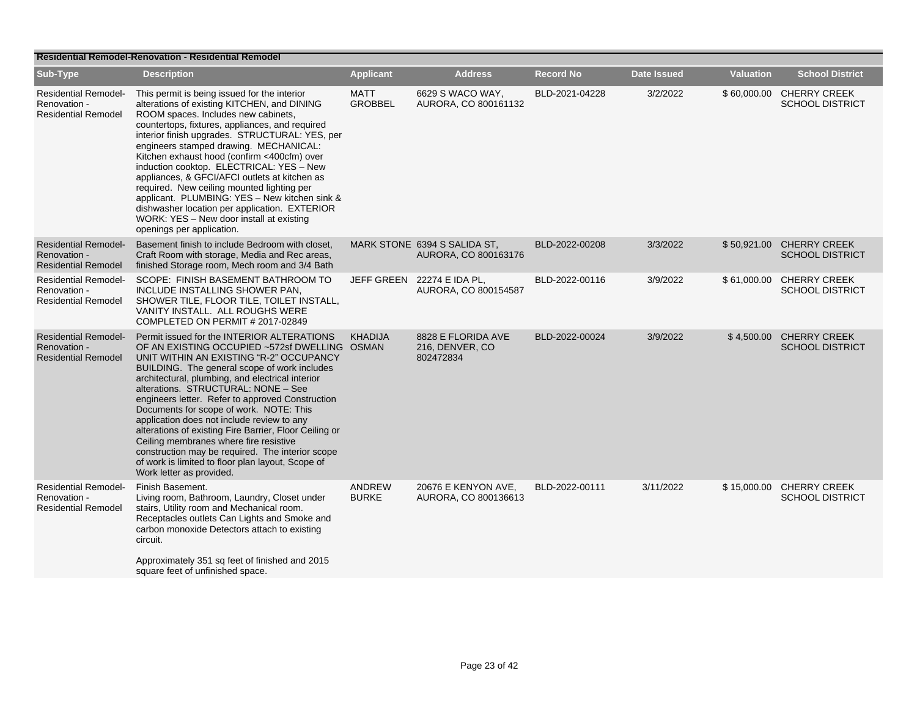|                                                                           | <b>Residential Remodel-Renovation - Residential Remodel</b>                                                                                                                                                                                                                                                                                                                                                                                                                                                                                                                                                                                                             |                               |                                                      |                  |                    |                  |                                                    |  |  |  |
|---------------------------------------------------------------------------|-------------------------------------------------------------------------------------------------------------------------------------------------------------------------------------------------------------------------------------------------------------------------------------------------------------------------------------------------------------------------------------------------------------------------------------------------------------------------------------------------------------------------------------------------------------------------------------------------------------------------------------------------------------------------|-------------------------------|------------------------------------------------------|------------------|--------------------|------------------|----------------------------------------------------|--|--|--|
| Sub-Type                                                                  | <b>Description</b>                                                                                                                                                                                                                                                                                                                                                                                                                                                                                                                                                                                                                                                      | <b>Applicant</b>              | <b>Address</b>                                       | <b>Record No</b> | <b>Date Issued</b> | <b>Valuation</b> | <b>School District</b>                             |  |  |  |
| <b>Residential Remodel-</b><br>Renovation -<br><b>Residential Remodel</b> | This permit is being issued for the interior<br>alterations of existing KITCHEN, and DINING<br>ROOM spaces. Includes new cabinets,<br>countertops, fixtures, appliances, and required<br>interior finish upgrades. STRUCTURAL: YES, per<br>engineers stamped drawing. MECHANICAL:<br>Kitchen exhaust hood (confirm <400cfm) over<br>induction cooktop. ELECTRICAL: YES - New<br>appliances, & GFCI/AFCI outlets at kitchen as<br>required. New ceiling mounted lighting per<br>applicant. PLUMBING: YES - New kitchen sink &<br>dishwasher location per application. EXTERIOR<br>WORK: YES - New door install at existing<br>openings per application.                  | <b>MATT</b><br><b>GROBBEL</b> | 6629 S WACO WAY.<br>AURORA, CO 800161132             | BLD-2021-04228   | 3/2/2022           |                  | \$60,000.00 CHERRY CREEK<br><b>SCHOOL DISTRICT</b> |  |  |  |
| <b>Residential Remodel-</b><br>Renovation -<br><b>Residential Remodel</b> | Basement finish to include Bedroom with closet.<br>Craft Room with storage, Media and Rec areas,<br>finished Storage room, Mech room and 3/4 Bath                                                                                                                                                                                                                                                                                                                                                                                                                                                                                                                       |                               | MARK STONE 6394 S SALIDA ST.<br>AURORA, CO 800163176 | BLD-2022-00208   | 3/3/2022           |                  | \$50,921.00 CHERRY CREEK<br><b>SCHOOL DISTRICT</b> |  |  |  |
| <b>Residential Remodel-</b><br>Renovation -<br><b>Residential Remodel</b> | SCOPE: FINISH BASEMENT BATHROOM TO<br>INCLUDE INSTALLING SHOWER PAN,<br>SHOWER TILE, FLOOR TILE, TOILET INSTALL,<br>VANITY INSTALL. ALL ROUGHS WERE<br>COMPLETED ON PERMIT # 2017-02849                                                                                                                                                                                                                                                                                                                                                                                                                                                                                 |                               | JEFF GREEN 22274 E IDA PL,<br>AURORA, CO 800154587   | BLD-2022-00116   | 3/9/2022           | \$61,000.00      | <b>CHERRY CREEK</b><br><b>SCHOOL DISTRICT</b>      |  |  |  |
| <b>Residential Remodel-</b><br>Renovation -<br><b>Residential Remodel</b> | Permit issued for the INTERIOR ALTERATIONS<br>OF AN EXISTING OCCUPIED ~572sf DWELLING OSMAN<br>UNIT WITHIN AN EXISTING "R-2" OCCUPANCY<br>BUILDING. The general scope of work includes<br>architectural, plumbing, and electrical interior<br>alterations. STRUCTURAL: NONE - See<br>engineers letter. Refer to approved Construction<br>Documents for scope of work. NOTE: This<br>application does not include review to any<br>alterations of existing Fire Barrier, Floor Ceiling or<br>Ceiling membranes where fire resistive<br>construction may be required. The interior scope<br>of work is limited to floor plan layout, Scope of<br>Work letter as provided. | <b>KHADIJA</b>                | 8828 E FLORIDA AVE<br>216, DENVER, CO<br>802472834   | BLD-2022-00024   | 3/9/2022           | \$4,500.00       | <b>CHERRY CREEK</b><br><b>SCHOOL DISTRICT</b>      |  |  |  |
| <b>Residential Remodel-</b><br>Renovation -<br><b>Residential Remodel</b> | Finish Basement.<br>Living room, Bathroom, Laundry, Closet under<br>stairs, Utility room and Mechanical room.<br>Receptacles outlets Can Lights and Smoke and<br>carbon monoxide Detectors attach to existing<br>circuit.<br>Approximately 351 sq feet of finished and 2015<br>square feet of unfinished space.                                                                                                                                                                                                                                                                                                                                                         | ANDREW<br><b>BURKE</b>        | 20676 E KENYON AVE,<br>AURORA, CO 800136613          | BLD-2022-00111   | 3/11/2022          |                  | \$15,000.00 CHERRY CREEK<br><b>SCHOOL DISTRICT</b> |  |  |  |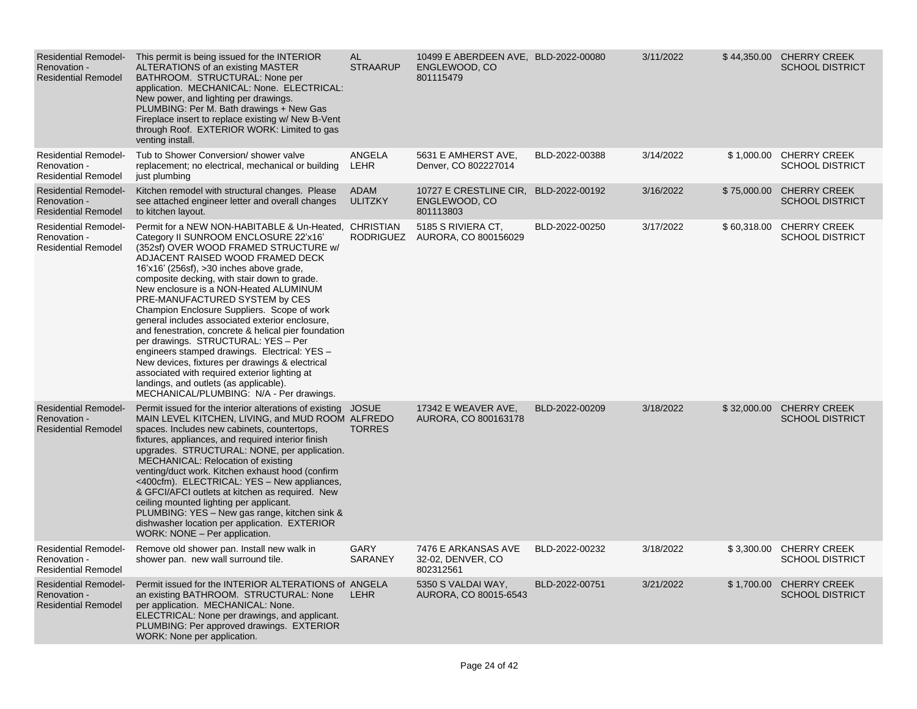| <b>Residential Remodel-</b><br>Renovation -<br><b>Residential Remodel</b> | This permit is being issued for the INTERIOR<br>ALTERATIONS of an existing MASTER<br>BATHROOM. STRUCTURAL: None per<br>application. MECHANICAL: None. ELECTRICAL:<br>New power, and lighting per drawings.<br>PLUMBING: Per M. Bath drawings + New Gas<br>Fireplace insert to replace existing w/ New B-Vent<br>through Roof. EXTERIOR WORK: Limited to gas<br>venting install.                                                                                                                                                                                                                                                                                                                                                                                                                 | AL<br><b>STRAARUP</b>  | 10499 E ABERDEEN AVE, BLD-2022-00080<br>ENGLEWOOD, CO<br>801115479 |                | 3/11/2022 |             | \$44,350.00 CHERRY CREEK<br><b>SCHOOL DISTRICT</b> |
|---------------------------------------------------------------------------|-------------------------------------------------------------------------------------------------------------------------------------------------------------------------------------------------------------------------------------------------------------------------------------------------------------------------------------------------------------------------------------------------------------------------------------------------------------------------------------------------------------------------------------------------------------------------------------------------------------------------------------------------------------------------------------------------------------------------------------------------------------------------------------------------|------------------------|--------------------------------------------------------------------|----------------|-----------|-------------|----------------------------------------------------|
| <b>Residential Remodel-</b><br>Renovation -<br><b>Residential Remodel</b> | Tub to Shower Conversion/ shower valve<br>replacement; no electrical, mechanical or building<br>just plumbing                                                                                                                                                                                                                                                                                                                                                                                                                                                                                                                                                                                                                                                                                   | ANGELA<br>LEHR         | 5631 E AMHERST AVE,<br>Denver, CO 802227014                        | BLD-2022-00388 | 3/14/2022 |             | \$1,000.00 CHERRY CREEK<br><b>SCHOOL DISTRICT</b>  |
| <b>Residential Remodel-</b><br>Renovation -<br><b>Residential Remodel</b> | Kitchen remodel with structural changes. Please<br>see attached engineer letter and overall changes<br>to kitchen layout.                                                                                                                                                                                                                                                                                                                                                                                                                                                                                                                                                                                                                                                                       | ADAM<br><b>ULITZKY</b> | 10727 E CRESTLINE CIR,<br>ENGLEWOOD, CO<br>801113803               | BLD-2022-00192 | 3/16/2022 | \$75,000.00 | <b>CHERRY CREEK</b><br><b>SCHOOL DISTRICT</b>      |
| <b>Residential Remodel-</b><br>Renovation -<br><b>Residential Remodel</b> | Permit for a NEW NON-HABITABLE & Un-Heated, CHRISTIAN<br>Category II SUNROOM ENCLOSURE 22'x16'<br>(352sf) OVER WOOD FRAMED STRUCTURE w/<br>ADJACENT RAISED WOOD FRAMED DECK<br>16'x16' (256sf), >30 inches above grade,<br>composite decking, with stair down to grade.<br>New enclosure is a NON-Heated ALUMINUM<br>PRE-MANUFACTURED SYSTEM by CES<br>Champion Enclosure Suppliers. Scope of work<br>general includes associated exterior enclosure,<br>and fenestration, concrete & helical pier foundation<br>per drawings. STRUCTURAL: YES - Per<br>engineers stamped drawings. Electrical: YES -<br>New devices, fixtures per drawings & electrical<br>associated with required exterior lighting at<br>landings, and outlets (as applicable).<br>MECHANICAL/PLUMBING: N/A - Per drawings. |                        | 5185 S RIVIERA CT,<br>RODRIGUEZ AURORA, CO 800156029               | BLD-2022-00250 | 3/17/2022 |             | \$60,318.00 CHERRY CREEK<br><b>SCHOOL DISTRICT</b> |
| <b>Residential Remodel-</b><br>Renovation -<br><b>Residential Remodel</b> | Permit issued for the interior alterations of existing JOSUE<br>MAIN LEVEL KITCHEN, LIVING, and MUD ROOM ALFREDO<br>spaces. Includes new cabinets, countertops,<br>fixtures, appliances, and required interior finish<br>upgrades. STRUCTURAL: NONE, per application.<br>MECHANICAL: Relocation of existing<br>venting/duct work. Kitchen exhaust hood (confirm<br><400cfm). ELECTRICAL: YES - New appliances,<br>& GFCI/AFCI outlets at kitchen as required. New<br>ceiling mounted lighting per applicant.<br>PLUMBING: YES - New gas range, kitchen sink &<br>dishwasher location per application. EXTERIOR<br>WORK: NONE - Per application.                                                                                                                                                 | <b>TORRES</b>          | 17342 E WEAVER AVE.<br>AURORA, CO 800163178                        | BLD-2022-00209 | 3/18/2022 | \$32,000.00 | <b>CHERRY CREEK</b><br><b>SCHOOL DISTRICT</b>      |
| <b>Residential Remodel-</b><br>Renovation -<br><b>Residential Remodel</b> | Remove old shower pan. Install new walk in<br>shower pan. new wall surround tile.                                                                                                                                                                                                                                                                                                                                                                                                                                                                                                                                                                                                                                                                                                               | GARY<br>SARANEY        | 7476 E ARKANSAS AVE<br>32-02, DENVER, CO<br>802312561              | BLD-2022-00232 | 3/18/2022 |             | \$3,300.00 CHERRY CREEK<br><b>SCHOOL DISTRICT</b>  |
| <b>Residential Remodel-</b><br>Renovation -<br><b>Residential Remodel</b> | Permit issued for the INTERIOR ALTERATIONS of ANGELA<br>an existing BATHROOM. STRUCTURAL: None<br>per application. MECHANICAL: None.<br>ELECTRICAL: None per drawings, and applicant.<br>PLUMBING: Per approved drawings. EXTERIOR<br>WORK: None per application.                                                                                                                                                                                                                                                                                                                                                                                                                                                                                                                               | <b>LEHR</b>            | 5350 S VALDAI WAY,<br>AURORA, CO 80015-6543                        | BLD-2022-00751 | 3/21/2022 | \$1,700.00  | <b>CHERRY CREEK</b><br><b>SCHOOL DISTRICT</b>      |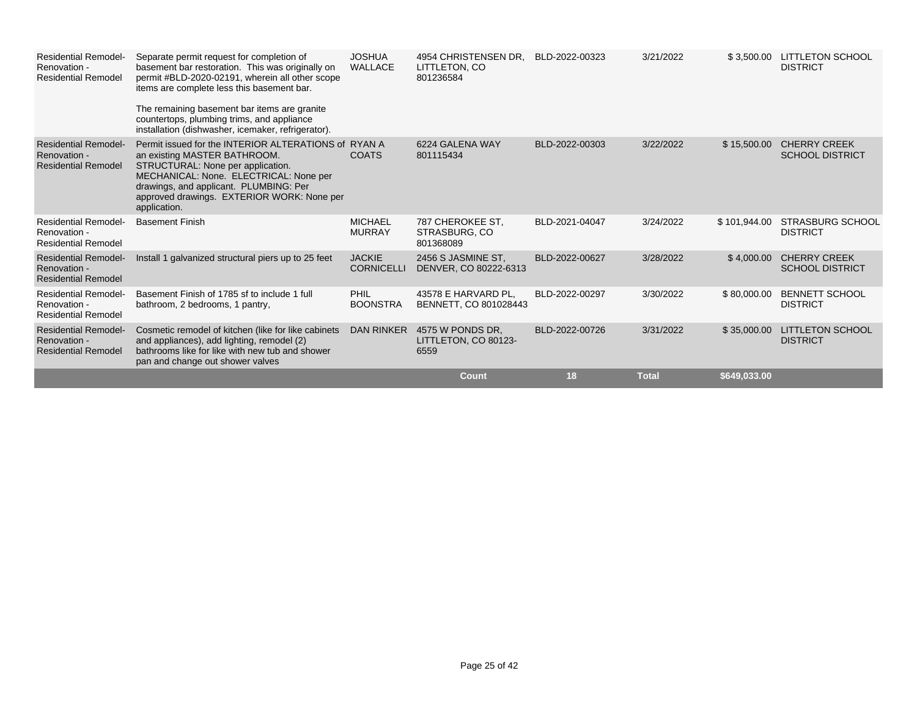| <b>Residential Remodel-</b><br>Renovation -<br><b>Residential Remodel</b> | Separate permit request for completion of<br>basement bar restoration. This was originally on<br>permit #BLD-2020-02191, wherein all other scope<br>items are complete less this basement bar.<br>The remaining basement bar items are granite<br>countertops, plumbing trims, and appliance<br>installation (dishwasher, icemaker, refrigerator). | <b>JOSHUA</b><br><b>WALLACE</b>    | 4954 CHRISTENSEN DR.<br>LITTLETON, CO<br>801236584 | BLD-2022-00323 | 3/21/2022    | \$3,500.00   | <b>LITTLETON SCHOOL</b><br><b>DISTRICT</b>    |
|---------------------------------------------------------------------------|----------------------------------------------------------------------------------------------------------------------------------------------------------------------------------------------------------------------------------------------------------------------------------------------------------------------------------------------------|------------------------------------|----------------------------------------------------|----------------|--------------|--------------|-----------------------------------------------|
| <b>Residential Remodel-</b><br>Renovation -<br><b>Residential Remodel</b> | Permit issued for the INTERIOR ALTERATIONS of RYAN A<br>an existing MASTER BATHROOM.<br>STRUCTURAL: None per application.<br>MECHANICAL: None. ELECTRICAL: None per<br>drawings, and applicant. PLUMBING: Per<br>approved drawings. EXTERIOR WORK: None per<br>application.                                                                        | <b>COATS</b>                       | 6224 GALENA WAY<br>801115434                       | BLD-2022-00303 | 3/22/2022    | \$15,500.00  | <b>CHERRY CREEK</b><br><b>SCHOOL DISTRICT</b> |
| <b>Residential Remodel-</b><br>Renovation -<br><b>Residential Remodel</b> | <b>Basement Finish</b>                                                                                                                                                                                                                                                                                                                             | <b>MICHAEL</b><br><b>MURRAY</b>    | 787 CHEROKEE ST.<br>STRASBURG, CO<br>801368089     | BLD-2021-04047 | 3/24/2022    | \$101,944.00 | <b>STRASBURG SCHOOL</b><br><b>DISTRICT</b>    |
| <b>Residential Remodel-</b><br>Renovation -<br><b>Residential Remodel</b> | Install 1 galvanized structural piers up to 25 feet                                                                                                                                                                                                                                                                                                | <b>JACKIE</b><br><b>CORNICELLI</b> | 2456 S JASMINE ST.<br>DENVER, CO 80222-6313        | BLD-2022-00627 | 3/28/2022    | \$4,000.00   | <b>CHERRY CREEK</b><br><b>SCHOOL DISTRICT</b> |
| <b>Residential Remodel-</b><br>Renovation -<br><b>Residential Remodel</b> | Basement Finish of 1785 sf to include 1 full<br>bathroom, 2 bedrooms, 1 pantry,                                                                                                                                                                                                                                                                    | <b>PHIL</b><br><b>BOONSTRA</b>     | 43578 E HARVARD PL.<br>BENNETT, CO 801028443       | BLD-2022-00297 | 3/30/2022    | \$80,000.00  | <b>BENNETT SCHOOL</b><br><b>DISTRICT</b>      |
| <b>Residential Remodel-</b><br>Renovation -<br><b>Residential Remodel</b> | Cosmetic remodel of kitchen (like for like cabinets<br>and appliances), add lighting, remodel (2)<br>bathrooms like for like with new tub and shower<br>pan and change out shower valves                                                                                                                                                           | DAN RINKER                         | 4575 W PONDS DR.<br>LITTLETON, CO 80123-<br>6559   | BLD-2022-00726 | 3/31/2022    | \$35,000.00  | <b>LITTLETON SCHOOL</b><br><b>DISTRICT</b>    |
|                                                                           |                                                                                                                                                                                                                                                                                                                                                    |                                    | <b>Count</b>                                       | 18             | <b>Total</b> | \$649,033.00 |                                               |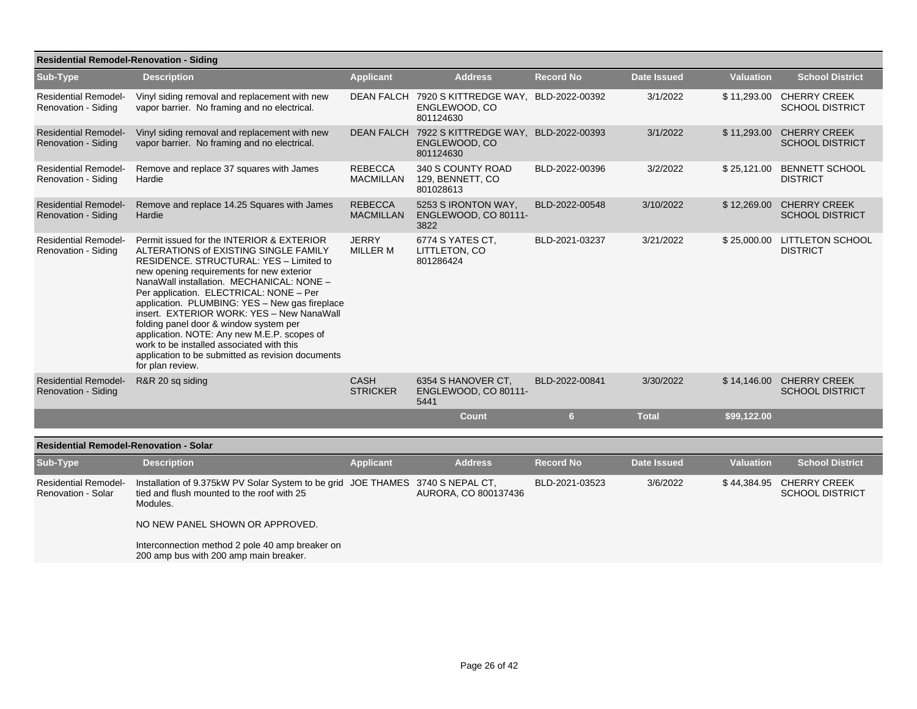| <b>Residential Remodel-Renovation - Siding</b>           |                                                                                                                                                                                                                                                                                                                                                                                                                                                                                                                                                                                  |                                    |                                                                               |                  |                    |                  |                                                    |  |  |  |
|----------------------------------------------------------|----------------------------------------------------------------------------------------------------------------------------------------------------------------------------------------------------------------------------------------------------------------------------------------------------------------------------------------------------------------------------------------------------------------------------------------------------------------------------------------------------------------------------------------------------------------------------------|------------------------------------|-------------------------------------------------------------------------------|------------------|--------------------|------------------|----------------------------------------------------|--|--|--|
| Sub-Type                                                 | <b>Description</b>                                                                                                                                                                                                                                                                                                                                                                                                                                                                                                                                                               | <b>Applicant</b>                   | <b>Address</b>                                                                | <b>Record No</b> | <b>Date Issued</b> | <b>Valuation</b> | <b>School District</b>                             |  |  |  |
| <b>Residential Remodel-</b><br>Renovation - Siding       | Vinyl siding removal and replacement with new<br>vapor barrier. No framing and no electrical.                                                                                                                                                                                                                                                                                                                                                                                                                                                                                    | DEAN FALCH                         | 7920 S KITTREDGE WAY, BLD-2022-00392<br>ENGLEWOOD, CO<br>801124630            |                  | 3/1/2022           |                  | \$11,293.00 CHERRY CREEK<br><b>SCHOOL DISTRICT</b> |  |  |  |
| <b>Residential Remodel-</b><br>Renovation - Siding       | Vinyl siding removal and replacement with new<br>vapor barrier. No framing and no electrical.                                                                                                                                                                                                                                                                                                                                                                                                                                                                                    |                                    | DEAN FALCH 7922 S KITTREDGE WAY, BLD-2022-00393<br>ENGLEWOOD, CO<br>801124630 |                  | 3/1/2022           |                  | \$11,293.00 CHERRY CREEK<br><b>SCHOOL DISTRICT</b> |  |  |  |
| <b>Residential Remodel-</b><br>Renovation - Siding       | Remove and replace 37 squares with James<br>Hardie                                                                                                                                                                                                                                                                                                                                                                                                                                                                                                                               | <b>REBECCA</b><br>MACMILLAN        | 340 S COUNTY ROAD<br>129, BENNETT, CO<br>801028613                            | BLD-2022-00396   | 3/2/2022           |                  | \$25,121.00 BENNETT SCHOOL<br><b>DISTRICT</b>      |  |  |  |
| <b>Residential Remodel-</b><br>Renovation - Siding       | Remove and replace 14.25 Squares with James<br>Hardie                                                                                                                                                                                                                                                                                                                                                                                                                                                                                                                            | <b>REBECCA</b><br><b>MACMILLAN</b> | 5253 S IRONTON WAY,<br>ENGLEWOOD, CO 80111-<br>3822                           | BLD-2022-00548   | 3/10/2022          | \$12,269.00      | <b>CHERRY CREEK</b><br><b>SCHOOL DISTRICT</b>      |  |  |  |
| <b>Residential Remodel-</b><br>Renovation - Siding       | Permit issued for the INTERIOR & EXTERIOR<br>ALTERATIONS of EXISTING SINGLE FAMILY<br>RESIDENCE. STRUCTURAL: YES - Limited to<br>new opening requirements for new exterior<br>NanaWall installation. MECHANICAL: NONE -<br>Per application. ELECTRICAL: NONE - Per<br>application. PLUMBING: YES - New gas fireplace<br>insert. EXTERIOR WORK: YES - New NanaWall<br>folding panel door & window system per<br>application. NOTE: Any new M.E.P. scopes of<br>work to be installed associated with this<br>application to be submitted as revision documents<br>for plan review. | <b>JERRY</b><br><b>MILLER M</b>    | 6774 S YATES CT,<br>LITTLETON, CO<br>801286424                                | BLD-2021-03237   | 3/21/2022          |                  | \$25,000.00 LITTLETON SCHOOL<br><b>DISTRICT</b>    |  |  |  |
| <b>Residential Remodel-</b><br>Renovation - Siding       | R&R 20 sq siding                                                                                                                                                                                                                                                                                                                                                                                                                                                                                                                                                                 | <b>CASH</b><br><b>STRICKER</b>     | 6354 S HANOVER CT.<br>ENGLEWOOD, CO 80111-<br>5441                            | BLD-2022-00841   | 3/30/2022          |                  | \$14,146.00 CHERRY CREEK<br><b>SCHOOL DISTRICT</b> |  |  |  |
|                                                          |                                                                                                                                                                                                                                                                                                                                                                                                                                                                                                                                                                                  |                                    | <b>Count</b>                                                                  | 6                | <b>Total</b>       | \$99,122.00      |                                                    |  |  |  |
| <b>Residential Remodel-Renovation - Solar</b>            |                                                                                                                                                                                                                                                                                                                                                                                                                                                                                                                                                                                  |                                    |                                                                               |                  |                    |                  |                                                    |  |  |  |
| Sub-Type                                                 | <b>Description</b>                                                                                                                                                                                                                                                                                                                                                                                                                                                                                                                                                               | <b>Applicant</b>                   | <b>Address</b>                                                                | <b>Record No</b> | <b>Date Issued</b> | <b>Valuation</b> | <b>School District</b>                             |  |  |  |
| <b>Residential Remodel-</b><br><b>Renovation - Solar</b> | Installation of 9.375kW PV Solar System to be grid JOE THAMES 3740 S NEPAL CT,<br>tied and flush mounted to the roof with 25<br>Modules.                                                                                                                                                                                                                                                                                                                                                                                                                                         |                                    | AURORA, CO 800137436                                                          | BLD-2021-03523   | 3/6/2022           |                  | \$44,384.95 CHERRY CREEK<br><b>SCHOOL DISTRICT</b> |  |  |  |
|                                                          | NO NEW PANEL SHOWN OR APPROVED.                                                                                                                                                                                                                                                                                                                                                                                                                                                                                                                                                  |                                    |                                                                               |                  |                    |                  |                                                    |  |  |  |
|                                                          | Interconnection method 2 pole 40 amp breaker on<br>200 amp bus with 200 amp main breaker.                                                                                                                                                                                                                                                                                                                                                                                                                                                                                        |                                    |                                                                               |                  |                    |                  |                                                    |  |  |  |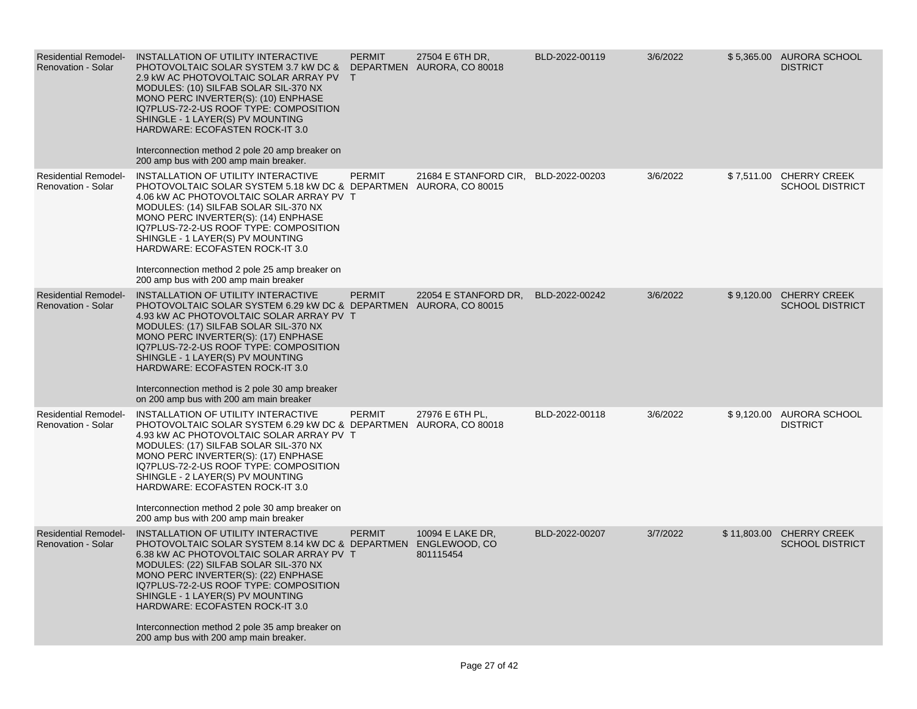| <b>Residential Remodel-</b><br><b>Renovation - Solar</b> | INSTALLATION OF UTILITY INTERACTIVE<br>PHOTOVOLTAIC SOLAR SYSTEM 3.7 KW DC &<br>2.9 kW AC PHOTOVOLTAIC SOLAR ARRAY PV T<br>MODULES: (10) SILFAB SOLAR SIL-370 NX<br>MONO PERC INVERTER(S): (10) ENPHASE<br>IQ7PLUS-72-2-US ROOF TYPE: COMPOSITION<br>SHINGLE - 1 LAYER(S) PV MOUNTING<br><b>HARDWARE: ECOFASTEN ROCK-IT 3.0</b><br>Interconnection method 2 pole 20 amp breaker on<br>200 amp bus with 200 amp main breaker.                               | <b>PERMIT</b> | 27504 E 6TH DR,<br>DEPARTMEN AURORA, CO 80018 | BLD-2022-00119 | 3/6/2022 |             | \$5,365.00 AURORA SCHOOL<br><b>DISTRICT</b>       |
|----------------------------------------------------------|------------------------------------------------------------------------------------------------------------------------------------------------------------------------------------------------------------------------------------------------------------------------------------------------------------------------------------------------------------------------------------------------------------------------------------------------------------|---------------|-----------------------------------------------|----------------|----------|-------------|---------------------------------------------------|
| <b>Residential Remodel-</b><br><b>Renovation - Solar</b> | INSTALLATION OF UTILITY INTERACTIVE<br>PHOTOVOLTAIC SOLAR SYSTEM 5.18 kW DC & DEPARTMEN AURORA, CO 80015<br>4.06 kW AC PHOTOVOLTAIC SOLAR ARRAY PV T<br>MODULES: (14) SILFAB SOLAR SIL-370 NX<br>MONO PERC INVERTER(S): (14) ENPHASE<br>IQ7PLUS-72-2-US ROOF TYPE: COMPOSITION<br>SHINGLE - 1 LAYER(S) PV MOUNTING<br>HARDWARE: ECOFASTEN ROCK-IT 3.0<br>Interconnection method 2 pole 25 amp breaker on<br>200 amp bus with 200 amp main breaker          | <b>PERMIT</b> | 21684 E STANFORD CIR, BLD-2022-00203          |                | 3/6/2022 |             | \$7,511.00 CHERRY CREEK<br><b>SCHOOL DISTRICT</b> |
| <b>Residential Remodel-</b><br><b>Renovation - Solar</b> | INSTALLATION OF UTILITY INTERACTIVE<br>PHOTOVOLTAIC SOLAR SYSTEM 6.29 kW DC & DEPARTMEN AURORA, CO 80015<br>4.93 kW AC PHOTOVOLTAIC SOLAR ARRAY PV T<br>MODULES: (17) SILFAB SOLAR SIL-370 NX<br>MONO PERC INVERTER(S): (17) ENPHASE<br>IQ7PLUS-72-2-US ROOF TYPE: COMPOSITION<br>SHINGLE - 1 LAYER(S) PV MOUNTING<br><b>HARDWARE: ECOFASTEN ROCK-IT 3.0</b><br>Interconnection method is 2 pole 30 amp breaker<br>on 200 amp bus with 200 am main breaker | <b>PERMIT</b> | 22054 E STANFORD DR.                          | BLD-2022-00242 | 3/6/2022 |             | \$9,120.00 CHERRY CREEK<br><b>SCHOOL DISTRICT</b> |
| <b>Residential Remodel-</b><br><b>Renovation - Solar</b> | INSTALLATION OF UTILITY INTERACTIVE<br>PHOTOVOLTAIC SOLAR SYSTEM 6.29 kW DC & DEPARTMEN AURORA, CO 80018<br>4.93 kW AC PHOTOVOLTAIC SOLAR ARRAY PV T<br>MODULES: (17) SILFAB SOLAR SIL-370 NX<br>MONO PERC INVERTER(S): (17) ENPHASE<br>IQ7PLUS-72-2-US ROOF TYPE: COMPOSITION<br>SHINGLE - 2 LAYER(S) PV MOUNTING<br>HARDWARE: ECOFASTEN ROCK-IT 3.0<br>Interconnection method 2 pole 30 amp breaker on<br>200 amp bus with 200 amp main breaker          | <b>PERMIT</b> | 27976 E 6TH PL,                               | BLD-2022-00118 | 3/6/2022 |             | \$9,120.00 AURORA SCHOOL<br><b>DISTRICT</b>       |
| <b>Residential Remodel-</b><br><b>Renovation - Solar</b> | INSTALLATION OF UTILITY INTERACTIVE<br>PHOTOVOLTAIC SOLAR SYSTEM 8.14 kW DC & DEPARTMEN ENGLEWOOD, CO<br>6.38 kW AC PHOTOVOLTAIC SOLAR ARRAY PV T<br>MODULES: (22) SILFAB SOLAR SIL-370 NX<br>MONO PERC INVERTER(S): (22) ENPHASE<br>IQ7PLUS-72-2-US ROOF TYPE: COMPOSITION<br>SHINGLE - 1 LAYER(S) PV MOUNTING<br>HARDWARE: ECOFASTEN ROCK-IT 3.0<br>Interconnection method 2 pole 35 amp breaker on<br>200 amp bus with 200 amp main breaker.            | <b>PERMIT</b> | 10094 E LAKE DR,<br>801115454                 | BLD-2022-00207 | 3/7/2022 | \$11,803.00 | <b>CHERRY CREEK</b><br><b>SCHOOL DISTRICT</b>     |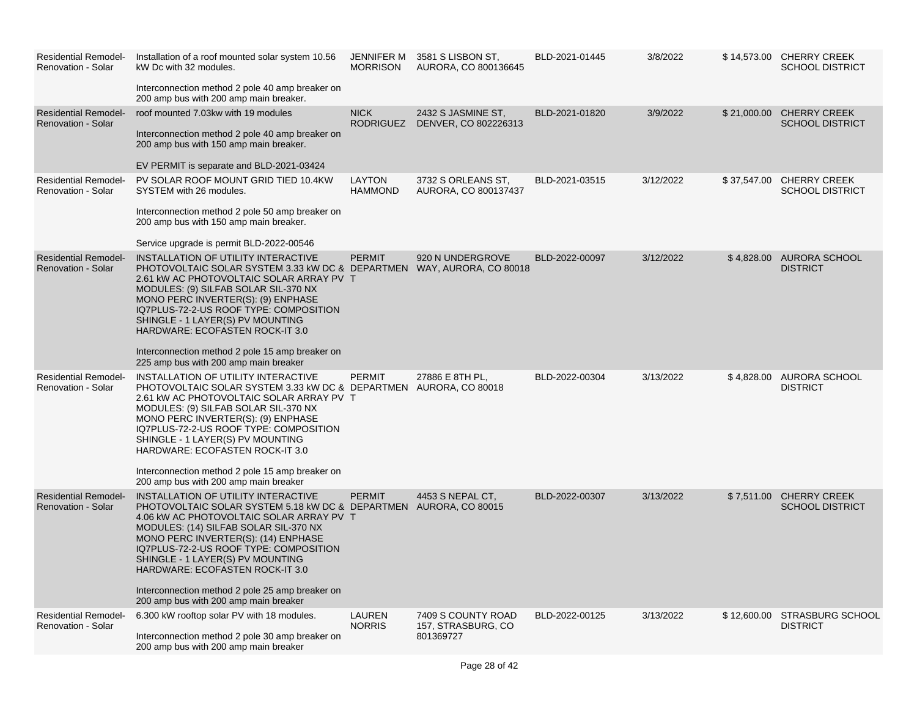| <b>Residential Remodel-</b><br>Renovation - Solar        | Installation of a roof mounted solar system 10.56<br>kW Dc with 32 modules.<br>Interconnection method 2 pole 40 amp breaker on<br>200 amp bus with 200 amp main breaker.                                                                                                                                                                                                                                                                             | JENNIFER M<br><b>MORRISON</b>   | 3581 S LISBON ST.<br>AURORA, CO 800136645             | BLD-2021-01445 | 3/8/2022  |             | \$14,573.00 CHERRY CREEK<br><b>SCHOOL DISTRICT</b> |
|----------------------------------------------------------|------------------------------------------------------------------------------------------------------------------------------------------------------------------------------------------------------------------------------------------------------------------------------------------------------------------------------------------------------------------------------------------------------------------------------------------------------|---------------------------------|-------------------------------------------------------|----------------|-----------|-------------|----------------------------------------------------|
| <b>Residential Remodel-</b><br><b>Renovation - Solar</b> | roof mounted 7.03kw with 19 modules<br>Interconnection method 2 pole 40 amp breaker on<br>200 amp bus with 150 amp main breaker.<br>EV PERMIT is separate and BLD-2021-03424                                                                                                                                                                                                                                                                         | <b>NICK</b><br><b>RODRIGUEZ</b> | 2432 S JASMINE ST,<br>DENVER, CO 802226313            | BLD-2021-01820 | 3/9/2022  |             | \$21,000.00 CHERRY CREEK<br><b>SCHOOL DISTRICT</b> |
| <b>Residential Remodel-</b><br><b>Renovation - Solar</b> | PV SOLAR ROOF MOUNT GRID TIED 10.4KW<br>SYSTEM with 26 modules.<br>Interconnection method 2 pole 50 amp breaker on<br>200 amp bus with 150 amp main breaker.<br>Service upgrade is permit BLD-2022-00546                                                                                                                                                                                                                                             | LAYTON<br><b>HAMMOND</b>        | 3732 S ORLEANS ST,<br>AURORA, CO 800137437            | BLD-2021-03515 | 3/12/2022 | \$37,547.00 | <b>CHERRY CREEK</b><br><b>SCHOOL DISTRICT</b>      |
| <b>Residential Remodel-</b><br><b>Renovation - Solar</b> | INSTALLATION OF UTILITY INTERACTIVE<br>PHOTOVOLTAIC SOLAR SYSTEM 3.33 KW DC & DEPARTMEN WAY, AURORA, CO 80018<br>2.61 kW AC PHOTOVOLTAIC SOLAR ARRAY PV T<br>MODULES: (9) SILFAB SOLAR SIL-370 NX<br>MONO PERC INVERTER(S): (9) ENPHASE<br>IQ7PLUS-72-2-US ROOF TYPE: COMPOSITION<br>SHINGLE - 1 LAYER(S) PV MOUNTING<br>HARDWARE: ECOFASTEN ROCK-IT 3.0<br>Interconnection method 2 pole 15 amp breaker on<br>225 amp bus with 200 amp main breaker | <b>PERMIT</b>                   | 920 N UNDERGROVE                                      | BLD-2022-00097 | 3/12/2022 |             | \$4,828.00 AURORA SCHOOL<br><b>DISTRICT</b>        |
| <b>Residential Remodel-</b><br><b>Renovation - Solar</b> | INSTALLATION OF UTILITY INTERACTIVE<br>PHOTOVOLTAIC SOLAR SYSTEM 3.33 kW DC & DEPARTMEN AURORA, CO 80018<br>2.61 KW AC PHOTOVOLTAIC SOLAR ARRAY PV T<br>MODULES: (9) SILFAB SOLAR SIL-370 NX<br>MONO PERC INVERTER(S): (9) ENPHASE<br>IQ7PLUS-72-2-US ROOF TYPE: COMPOSITION<br>SHINGLE - 1 LAYER(S) PV MOUNTING<br>HARDWARE: ECOFASTEN ROCK-IT 3.0<br>Interconnection method 2 pole 15 amp breaker on<br>200 amp bus with 200 amp main breaker      | <b>PERMIT</b>                   | 27886 E 8TH PL.                                       | BLD-2022-00304 | 3/13/2022 |             | \$4,828.00 AURORA SCHOOL<br><b>DISTRICT</b>        |
| <b>Residential Remodel-</b><br><b>Renovation - Solar</b> | INSTALLATION OF UTILITY INTERACTIVE<br>PHOTOVOLTAIC SOLAR SYSTEM 5.18 kW DC & DEPARTMEN AURORA, CO 80015<br>4.06 kW AC PHOTOVOLTAIC SOLAR ARRAY PV T<br>MODULES: (14) SILFAB SOLAR SIL-370 NX<br>MONO PERC INVERTER(S): (14) ENPHASE<br>IQ7PLUS-72-2-US ROOF TYPE: COMPOSITION<br>SHINGLE - 1 LAYER(S) PV MOUNTING<br>HARDWARE: ECOFASTEN ROCK-IT 3.0<br>Interconnection method 2 pole 25 amp breaker on<br>200 amp bus with 200 amp main breaker    | <b>PERMIT</b>                   | 4453 S NEPAL CT.                                      | BLD-2022-00307 | 3/13/2022 | \$7,511.00  | <b>CHERRY CREEK</b><br><b>SCHOOL DISTRICT</b>      |
| <b>Residential Remodel-</b><br>Renovation - Solar        | 6.300 kW rooftop solar PV with 18 modules.<br>Interconnection method 2 pole 30 amp breaker on<br>200 amp bus with 200 amp main breaker                                                                                                                                                                                                                                                                                                               | <b>LAUREN</b><br><b>NORRIS</b>  | 7409 S COUNTY ROAD<br>157, STRASBURG, CO<br>801369727 | BLD-2022-00125 | 3/13/2022 |             | \$12,600.00 STRASBURG SCHOOL<br><b>DISTRICT</b>    |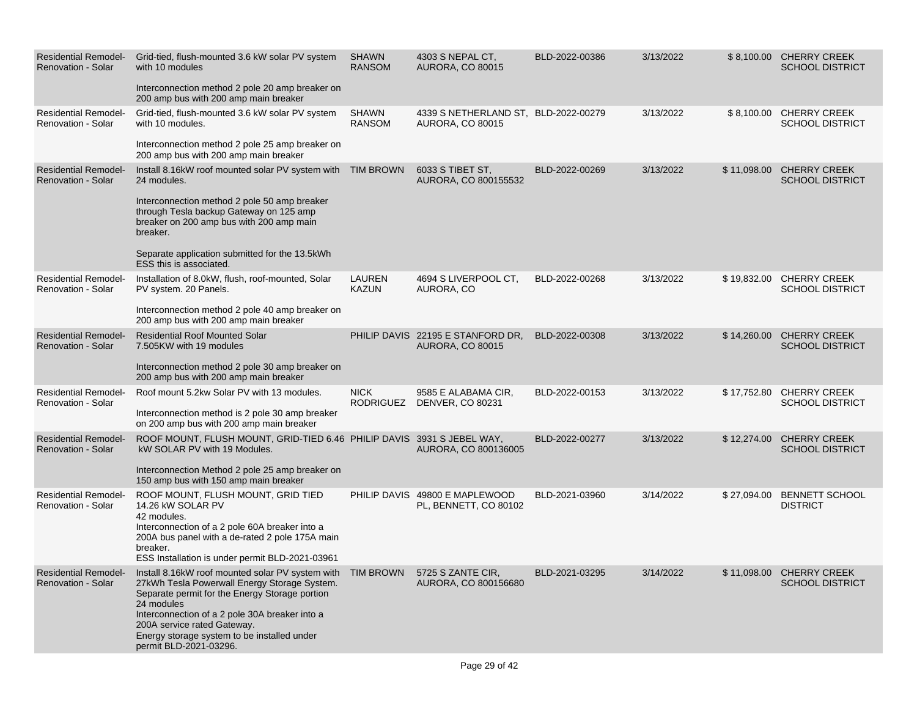| <b>Residential Remodel-</b><br><b>Renovation - Solar</b> | Grid-tied, flush-mounted 3.6 kW solar PV system<br>with 10 modules<br>Interconnection method 2 pole 20 amp breaker on<br>200 amp bus with 200 amp main breaker                                                                                                                                                                       | <b>SHAWN</b><br><b>RANSOM</b> | 4303 S NEPAL CT,<br><b>AURORA, CO 80015</b>                     | BLD-2022-00386 | 3/13/2022 |             | \$8,100.00 CHERRY CREEK<br><b>SCHOOL DISTRICT</b> |
|----------------------------------------------------------|--------------------------------------------------------------------------------------------------------------------------------------------------------------------------------------------------------------------------------------------------------------------------------------------------------------------------------------|-------------------------------|-----------------------------------------------------------------|----------------|-----------|-------------|---------------------------------------------------|
| <b>Residential Remodel-</b><br>Renovation - Solar        | Grid-tied, flush-mounted 3.6 kW solar PV system<br>with 10 modules.<br>Interconnection method 2 pole 25 amp breaker on<br>200 amp bus with 200 amp main breaker                                                                                                                                                                      | <b>SHAWN</b><br><b>RANSOM</b> | 4339 S NETHERLAND ST, BLD-2022-00279<br><b>AURORA, CO 80015</b> |                | 3/13/2022 |             | \$8,100.00 CHERRY CREEK<br>SCHOOL DISTRICT        |
| <b>Residential Remodel-</b><br><b>Renovation - Solar</b> | Install 8.16kW roof mounted solar PV system with TIM BROWN<br>24 modules.<br>Interconnection method 2 pole 50 amp breaker<br>through Tesla backup Gateway on 125 amp<br>breaker on 200 amp bus with 200 amp main<br>breaker.<br>Separate application submitted for the 13.5kWh<br>ESS this is associated.                            |                               | 6033 S TIBET ST,<br>AURORA, CO 800155532                        | BLD-2022-00269 | 3/13/2022 | \$11,098.00 | <b>CHERRY CREEK</b><br><b>SCHOOL DISTRICT</b>     |
| <b>Residential Remodel-</b><br>Renovation - Solar        | Installation of 8.0kW, flush, roof-mounted, Solar<br>PV system. 20 Panels.<br>Interconnection method 2 pole 40 amp breaker on<br>200 amp bus with 200 amp main breaker                                                                                                                                                               | <b>LAUREN</b><br><b>KAZUN</b> | 4694 S LIVERPOOL CT,<br>AURORA, CO                              | BLD-2022-00268 | 3/13/2022 | \$19,832.00 | <b>CHERRY CREEK</b><br><b>SCHOOL DISTRICT</b>     |
| <b>Residential Remodel-</b><br><b>Renovation - Solar</b> | <b>Residential Roof Mounted Solar</b><br>7.505KW with 19 modules<br>Interconnection method 2 pole 30 amp breaker on<br>200 amp bus with 200 amp main breaker                                                                                                                                                                         |                               | PHILIP DAVIS 22195 E STANFORD DR,<br><b>AURORA, CO 80015</b>    | BLD-2022-00308 | 3/13/2022 | \$14,260.00 | <b>CHERRY CREEK</b><br><b>SCHOOL DISTRICT</b>     |
| <b>Residential Remodel-</b><br><b>Renovation - Solar</b> | Roof mount 5.2kw Solar PV with 13 modules.<br>Interconnection method is 2 pole 30 amp breaker<br>on 200 amp bus with 200 amp main breaker                                                                                                                                                                                            | <b>NICK</b><br>RODRIGUEZ      | 9585 E ALABAMA CIR,<br><b>DENVER, CO 80231</b>                  | BLD-2022-00153 | 3/13/2022 | \$17,752.80 | <b>CHERRY CREEK</b><br><b>SCHOOL DISTRICT</b>     |
| <b>Residential Remodel-</b><br><b>Renovation - Solar</b> | ROOF MOUNT, FLUSH MOUNT, GRID-TIED 6.46 PHILIP DAVIS 3931 S JEBEL WAY,<br>kW SOLAR PV with 19 Modules.<br>Interconnection Method 2 pole 25 amp breaker on<br>150 amp bus with 150 amp main breaker                                                                                                                                   |                               | AURORA, CO 800136005                                            | BLD-2022-00277 | 3/13/2022 | \$12,274.00 | <b>CHERRY CREEK</b><br><b>SCHOOL DISTRICT</b>     |
| <b>Residential Remodel-</b><br>Renovation - Solar        | ROOF MOUNT, FLUSH MOUNT, GRID TIED<br>14.26 kW SOLAR PV<br>42 modules.<br>Interconnection of a 2 pole 60A breaker into a<br>200A bus panel with a de-rated 2 pole 175A main<br>breaker.<br>ESS Installation is under permit BLD-2021-03961                                                                                           |                               | PHILIP DAVIS 49800 E MAPLEWOOD<br>PL, BENNETT, CO 80102         | BLD-2021-03960 | 3/14/2022 | \$27,094.00 | <b>BENNETT SCHOOL</b><br><b>DISTRICT</b>          |
| <b>Residential Remodel-</b><br><b>Renovation - Solar</b> | Install 8.16kW roof mounted solar PV system with TIM BROWN<br>27kWh Tesla Powerwall Energy Storage System.<br>Separate permit for the Energy Storage portion<br>24 modules<br>Interconnection of a 2 pole 30A breaker into a<br>200A service rated Gateway.<br>Energy storage system to be installed under<br>permit BLD-2021-03296. |                               | 5725 S ZANTE CIR,<br>AURORA, CO 800156680                       | BLD-2021-03295 | 3/14/2022 | \$11,098.00 | <b>CHERRY CREEK</b><br><b>SCHOOL DISTRICT</b>     |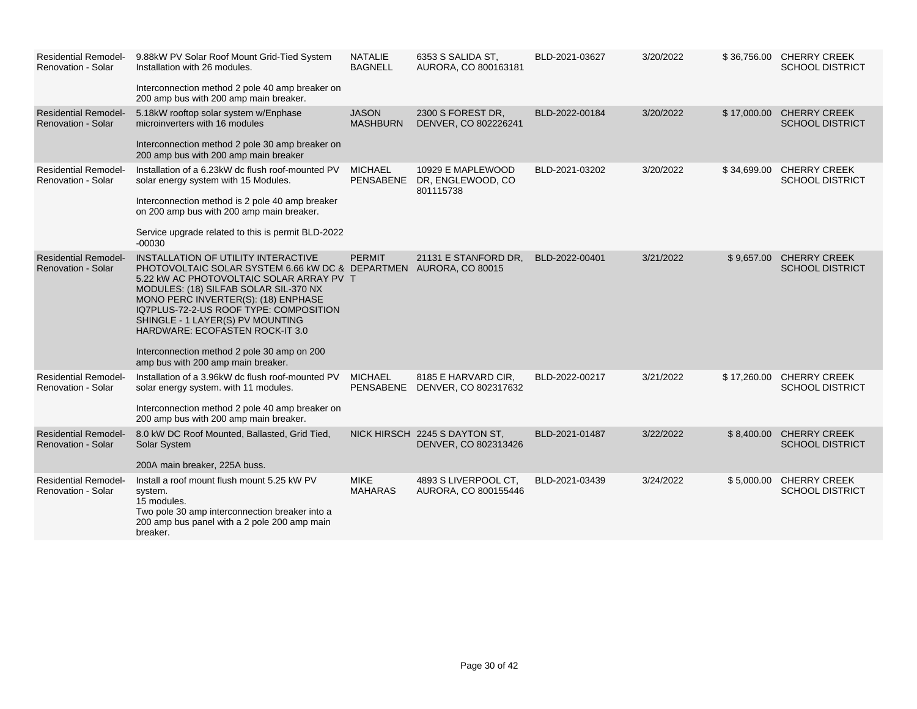| <b>Residential Remodel-</b><br><b>Renovation - Solar</b> | 9.88kW PV Solar Roof Mount Grid-Tied System<br>Installation with 26 modules.<br>Interconnection method 2 pole 40 amp breaker on<br>200 amp bus with 200 amp main breaker.                                                                                                                                                                                                                                                                  | <b>NATALIE</b><br><b>BAGNELL</b> | 6353 S SALIDA ST,<br>AURORA, CO 800163181                      | BLD-2021-03627 | 3/20/2022 |             | \$36,756.00 CHERRY CREEK<br><b>SCHOOL DISTRICT</b> |
|----------------------------------------------------------|--------------------------------------------------------------------------------------------------------------------------------------------------------------------------------------------------------------------------------------------------------------------------------------------------------------------------------------------------------------------------------------------------------------------------------------------|----------------------------------|----------------------------------------------------------------|----------------|-----------|-------------|----------------------------------------------------|
| <b>Residential Remodel-</b><br><b>Renovation - Solar</b> | 5.18kW rooftop solar system w/Enphase<br>microinverters with 16 modules<br>Interconnection method 2 pole 30 amp breaker on<br>200 amp bus with 200 amp main breaker                                                                                                                                                                                                                                                                        | <b>JASON</b><br><b>MASHBURN</b>  | 2300 S FOREST DR.<br>DENVER, CO 802226241                      | BLD-2022-00184 | 3/20/2022 | \$17,000.00 | <b>CHERRY CREEK</b><br><b>SCHOOL DISTRICT</b>      |
| <b>Residential Remodel-</b><br>Renovation - Solar        | Installation of a 6.23kW dc flush roof-mounted PV<br>solar energy system with 15 Modules.<br>Interconnection method is 2 pole 40 amp breaker<br>on 200 amp bus with 200 amp main breaker.<br>Service upgrade related to this is permit BLD-2022<br>$-00030$                                                                                                                                                                                | <b>MICHAEL</b>                   | 10929 E MAPLEWOOD<br>PENSABENE DR, ENGLEWOOD, CO.<br>801115738 | BLD-2021-03202 | 3/20/2022 | \$34,699.00 | <b>CHERRY CREEK</b><br><b>SCHOOL DISTRICT</b>      |
| <b>Residential Remodel-</b><br><b>Renovation - Solar</b> | INSTALLATION OF UTILITY INTERACTIVE<br>PHOTOVOLTAIC SOLAR SYSTEM 6.66 kW DC & DEPARTMEN AURORA, CO 80015<br>5.22 kW AC PHOTOVOLTAIC SOLAR ARRAY PV T<br>MODULES: (18) SILFAB SOLAR SIL-370 NX<br>MONO PERC INVERTER(S): (18) ENPHASE<br>IQ7PLUS-72-2-US ROOF TYPE: COMPOSITION<br>SHINGLE - 1 LAYER(S) PV MOUNTING<br>HARDWARE: ECOFASTEN ROCK-IT 3.0<br>Interconnection method 2 pole 30 amp on 200<br>amp bus with 200 amp main breaker. | <b>PERMIT</b>                    | 21131 E STANFORD DR,                                           | BLD-2022-00401 | 3/21/2022 | \$9,657.00  | <b>CHERRY CREEK</b><br><b>SCHOOL DISTRICT</b>      |
| <b>Residential Remodel-</b><br><b>Renovation - Solar</b> | Installation of a 3.96kW dc flush roof-mounted PV<br>solar energy system. with 11 modules.<br>Interconnection method 2 pole 40 amp breaker on<br>200 amp bus with 200 amp main breaker.                                                                                                                                                                                                                                                    | <b>MICHAEL</b><br>PENSABENE      | 8185 E HARVARD CIR,<br>DENVER, CO 802317632                    | BLD-2022-00217 | 3/21/2022 | \$17,260.00 | <b>CHERRY CREEK</b><br><b>SCHOOL DISTRICT</b>      |
| <b>Residential Remodel-</b><br><b>Renovation - Solar</b> | 8.0 kW DC Roof Mounted, Ballasted, Grid Tied,<br>Solar System<br>200A main breaker, 225A buss.                                                                                                                                                                                                                                                                                                                                             |                                  | NICK HIRSCH 2245 S DAYTON ST.<br>DENVER, CO 802313426          | BLD-2021-01487 | 3/22/2022 | \$8,400.00  | <b>CHERRY CREEK</b><br><b>SCHOOL DISTRICT</b>      |
| <b>Residential Remodel-</b><br>Renovation - Solar        | Install a roof mount flush mount 5.25 kW PV<br>system.<br>15 modules.<br>Two pole 30 amp interconnection breaker into a<br>200 amp bus panel with a 2 pole 200 amp main<br>breaker.                                                                                                                                                                                                                                                        | <b>MIKE</b><br><b>MAHARAS</b>    | 4893 S LIVERPOOL CT,<br>AURORA, CO 800155446                   | BLD-2021-03439 | 3/24/2022 | \$5,000.00  | <b>CHERRY CREEK</b><br><b>SCHOOL DISTRICT</b>      |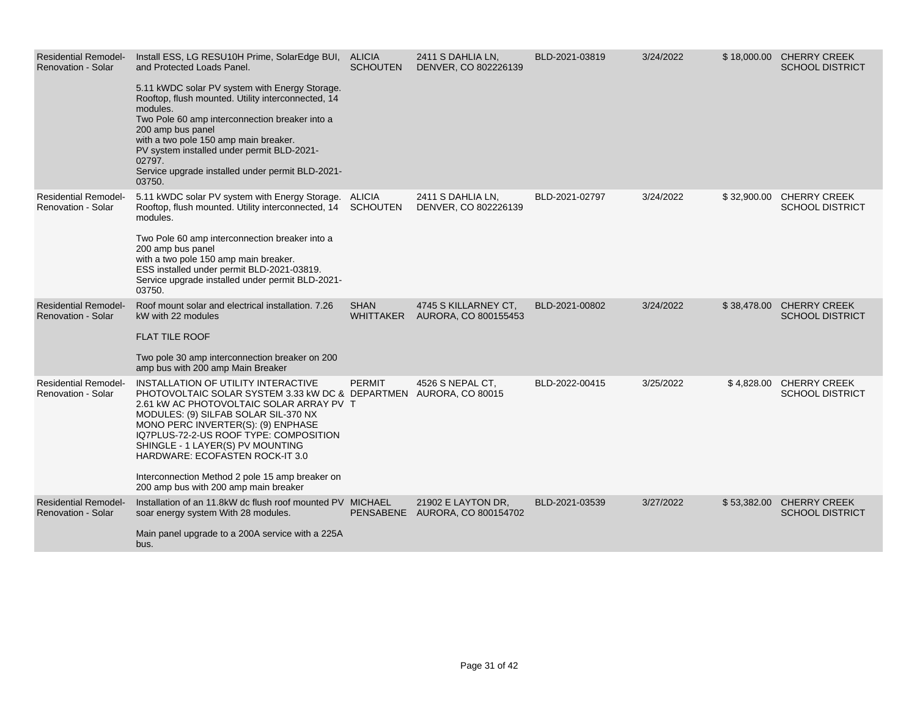| <b>Residential Remodel-</b><br>Renovation - Solar        | Install ESS, LG RESU10H Prime, SolarEdge BUI, ALICIA<br>and Protected Loads Panel.<br>5.11 kWDC solar PV system with Energy Storage.<br>Rooftop, flush mounted. Utility interconnected, 14<br>modules.<br>Two Pole 60 amp interconnection breaker into a<br>200 amp bus panel<br>with a two pole 150 amp main breaker.<br>PV system installed under permit BLD-2021-<br>02797.<br>Service upgrade installed under permit BLD-2021-<br>03750.    | <b>SCHOUTEN</b>                 | 2411 S DAHLIA LN,<br>DENVER, CO 802226139            | BLD-2021-03819 | 3/24/2022 | \$18,000.00 CHERRY CREEK<br><b>SCHOOL DISTRICT</b> |
|----------------------------------------------------------|-------------------------------------------------------------------------------------------------------------------------------------------------------------------------------------------------------------------------------------------------------------------------------------------------------------------------------------------------------------------------------------------------------------------------------------------------|---------------------------------|------------------------------------------------------|----------------|-----------|----------------------------------------------------|
| <b>Residential Remodel-</b><br><b>Renovation - Solar</b> | 5.11 kWDC solar PV system with Energy Storage. ALICIA<br>Rooftop, flush mounted. Utility interconnected, 14 SCHOUTEN<br>modules.<br>Two Pole 60 amp interconnection breaker into a<br>200 amp bus panel<br>with a two pole 150 amp main breaker.<br>ESS installed under permit BLD-2021-03819.<br>Service upgrade installed under permit BLD-2021-<br>03750.                                                                                    |                                 | 2411 S DAHLIA LN,<br>DENVER, CO 802226139            | BLD-2021-02797 | 3/24/2022 | \$32,900.00 CHERRY CREEK<br><b>SCHOOL DISTRICT</b> |
| <b>Residential Remodel-</b><br><b>Renovation - Solar</b> | Roof mount solar and electrical installation. 7.26<br>kW with 22 modules<br><b>FLAT TILE ROOF</b><br>Two pole 30 amp interconnection breaker on 200<br>amp bus with 200 amp Main Breaker                                                                                                                                                                                                                                                        | <b>SHAN</b><br><b>WHITTAKER</b> | 4745 S KILLARNEY CT.<br>AURORA, CO 800155453         | BLD-2021-00802 | 3/24/2022 | \$38,478.00 CHERRY CREEK<br><b>SCHOOL DISTRICT</b> |
| <b>Residential Remodel-</b><br><b>Renovation - Solar</b> | INSTALLATION OF UTILITY INTERACTIVE<br>PHOTOVOLTAIC SOLAR SYSTEM 3.33 kW DC & DEPARTMEN AURORA, CO 80015<br>2.61 kW AC PHOTOVOLTAIC SOLAR ARRAY PV T<br>MODULES: (9) SILFAB SOLAR SIL-370 NX<br>MONO PERC INVERTER(S): (9) ENPHASE<br>IQ7PLUS-72-2-US ROOF TYPE: COMPOSITION<br>SHINGLE - 1 LAYER(S) PV MOUNTING<br>HARDWARE: ECOFASTEN ROCK-IT 3.0<br>Interconnection Method 2 pole 15 amp breaker on<br>200 amp bus with 200 amp main breaker | <b>PERMIT</b>                   | 4526 S NEPAL CT.                                     | BLD-2022-00415 | 3/25/2022 | \$4,828.00 CHERRY CREEK<br><b>SCHOOL DISTRICT</b>  |
| <b>Residential Remodel-</b><br><b>Renovation - Solar</b> | Installation of an 11.8kW dc flush roof mounted PV MICHAEL<br>soar energy system With 28 modules.<br>Main panel upgrade to a 200A service with a 225A<br>bus.                                                                                                                                                                                                                                                                                   |                                 | 21902 E LAYTON DR.<br>PENSABENE AURORA, CO 800154702 | BLD-2021-03539 | 3/27/2022 | \$53,382.00 CHERRY CREEK<br><b>SCHOOL DISTRICT</b> |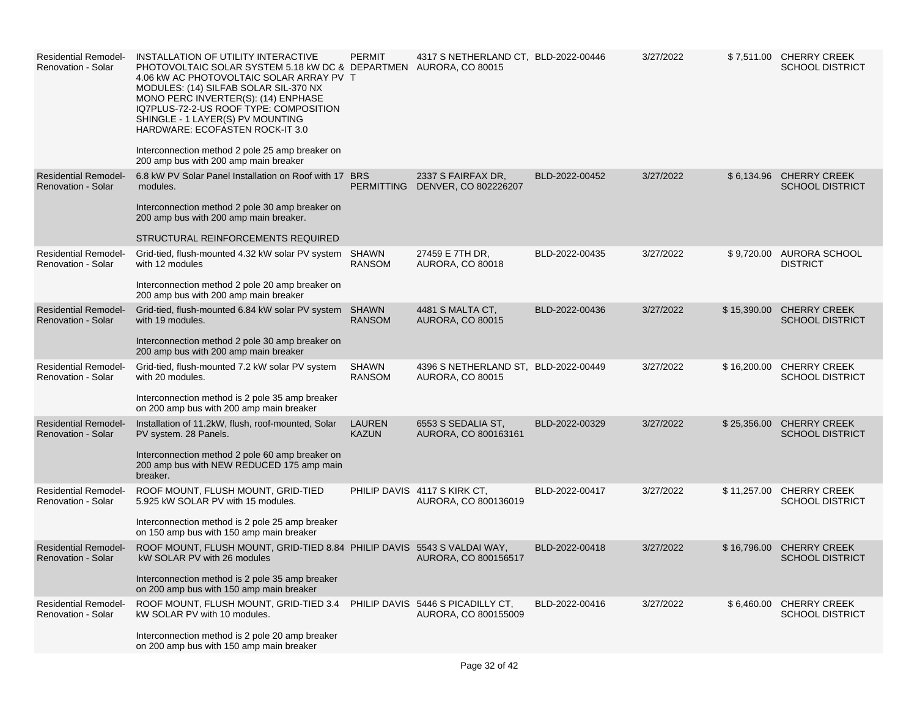| <b>Residential Remodel-</b><br>Renovation - Solar        | INSTALLATION OF UTILITY INTERACTIVE<br>PHOTOVOLTAIC SOLAR SYSTEM 5.18 kW DC & DEPARTMEN AURORA, CO 80015<br>4.06 kW AC PHOTOVOLTAIC SOLAR ARRAY PV T<br>MODULES: (14) SILFAB SOLAR SIL-370 NX<br>MONO PERC INVERTER(S): (14) ENPHASE<br>IQ7PLUS-72-2-US ROOF TYPE: COMPOSITION<br>SHINGLE - 1 LAYER(S) PV MOUNTING<br>HARDWARE: ECOFASTEN ROCK-IT 3.0<br>Interconnection method 2 pole 25 amp breaker on<br>200 amp bus with 200 amp main breaker | <b>PERMIT</b>                 | 4317 S NETHERLAND CT, BLD-2022-00446                            |                | 3/27/2022 |             | \$7,511.00 CHERRY CREEK<br><b>SCHOOL DISTRICT</b>  |
|----------------------------------------------------------|---------------------------------------------------------------------------------------------------------------------------------------------------------------------------------------------------------------------------------------------------------------------------------------------------------------------------------------------------------------------------------------------------------------------------------------------------|-------------------------------|-----------------------------------------------------------------|----------------|-----------|-------------|----------------------------------------------------|
| <b>Residential Remodel-</b><br><b>Renovation - Solar</b> | 6.8 kW PV Solar Panel Installation on Roof with 17 BRS<br>modules.<br>Interconnection method 2 pole 30 amp breaker on<br>200 amp bus with 200 amp main breaker.<br>STRUCTURAL REINFORCEMENTS REQUIRED                                                                                                                                                                                                                                             |                               | 2337 S FAIRFAX DR.<br>PERMITTING DENVER, CO 802226207           | BLD-2022-00452 | 3/27/2022 |             | \$6,134.96 CHERRY CREEK<br><b>SCHOOL DISTRICT</b>  |
| <b>Residential Remodel-</b><br><b>Renovation - Solar</b> | Grid-tied, flush-mounted 4.32 kW solar PV system SHAWN<br>with 12 modules<br>Interconnection method 2 pole 20 amp breaker on<br>200 amp bus with 200 amp main breaker                                                                                                                                                                                                                                                                             | <b>RANSOM</b>                 | 27459 E 7TH DR.<br>AURORA, CO 80018                             | BLD-2022-00435 | 3/27/2022 |             | \$9,720.00 AURORA SCHOOL<br><b>DISTRICT</b>        |
| <b>Residential Remodel-</b><br>Renovation - Solar        | Grid-tied, flush-mounted 6.84 kW solar PV system SHAWN<br>with 19 modules.<br>Interconnection method 2 pole 30 amp breaker on<br>200 amp bus with 200 amp main breaker                                                                                                                                                                                                                                                                            | <b>RANSOM</b>                 | 4481 S MALTA CT,<br><b>AURORA, CO 80015</b>                     | BLD-2022-00436 | 3/27/2022 | \$15,390.00 | <b>CHERRY CREEK</b><br><b>SCHOOL DISTRICT</b>      |
| <b>Residential Remodel-</b><br><b>Renovation - Solar</b> | Grid-tied, flush-mounted 7.2 kW solar PV system<br>with 20 modules.<br>Interconnection method is 2 pole 35 amp breaker<br>on 200 amp bus with 200 amp main breaker                                                                                                                                                                                                                                                                                | <b>SHAWN</b><br><b>RANSOM</b> | 4396 S NETHERLAND ST, BLD-2022-00449<br><b>AURORA, CO 80015</b> |                | 3/27/2022 |             | \$16,200.00 CHERRY CREEK<br><b>SCHOOL DISTRICT</b> |
| <b>Residential Remodel-</b><br><b>Renovation - Solar</b> | Installation of 11.2kW, flush, roof-mounted, Solar<br>PV system. 28 Panels.<br>Interconnection method 2 pole 60 amp breaker on<br>200 amp bus with NEW REDUCED 175 amp main<br>breaker.                                                                                                                                                                                                                                                           | <b>LAUREN</b><br><b>KAZUN</b> | 6553 S SEDALIA ST,<br>AURORA, CO 800163161                      | BLD-2022-00329 | 3/27/2022 | \$25,356.00 | <b>CHERRY CREEK</b><br><b>SCHOOL DISTRICT</b>      |
| <b>Residential Remodel-</b><br>Renovation - Solar        | ROOF MOUNT, FLUSH MOUNT, GRID-TIED<br>5.925 kW SOLAR PV with 15 modules.<br>Interconnection method is 2 pole 25 amp breaker<br>on 150 amp bus with 150 amp main breaker                                                                                                                                                                                                                                                                           |                               | PHILIP DAVIS 4117 S KIRK CT,<br>AURORA, CO 800136019            | BLD-2022-00417 | 3/27/2022 | \$11,257.00 | <b>CHERRY CREEK</b><br><b>SCHOOL DISTRICT</b>      |
| <b>Residential Remodel-</b><br><b>Renovation - Solar</b> | ROOF MOUNT, FLUSH MOUNT, GRID-TIED 8.84 PHILIP DAVIS 5543 S VALDAI WAY,<br>kW SOLAR PV with 26 modules<br>Interconnection method is 2 pole 35 amp breaker<br>on 200 amp bus with 150 amp main breaker                                                                                                                                                                                                                                             |                               | AURORA, CO 800156517                                            | BLD-2022-00418 | 3/27/2022 | \$16,796.00 | <b>CHERRY CREEK</b><br><b>SCHOOL DISTRICT</b>      |
| <b>Residential Remodel-</b><br>Renovation - Solar        | ROOF MOUNT, FLUSH MOUNT, GRID-TIED 3.4 PHILIP DAVIS 5446 S PICADILLY CT,<br>kW SOLAR PV with 10 modules.<br>Interconnection method is 2 pole 20 amp breaker<br>on 200 amp bus with 150 amp main breaker                                                                                                                                                                                                                                           |                               | AURORA, CO 800155009                                            | BLD-2022-00416 | 3/27/2022 | \$6,460.00  | CHERRY CREEK<br><b>SCHOOL DISTRICT</b>             |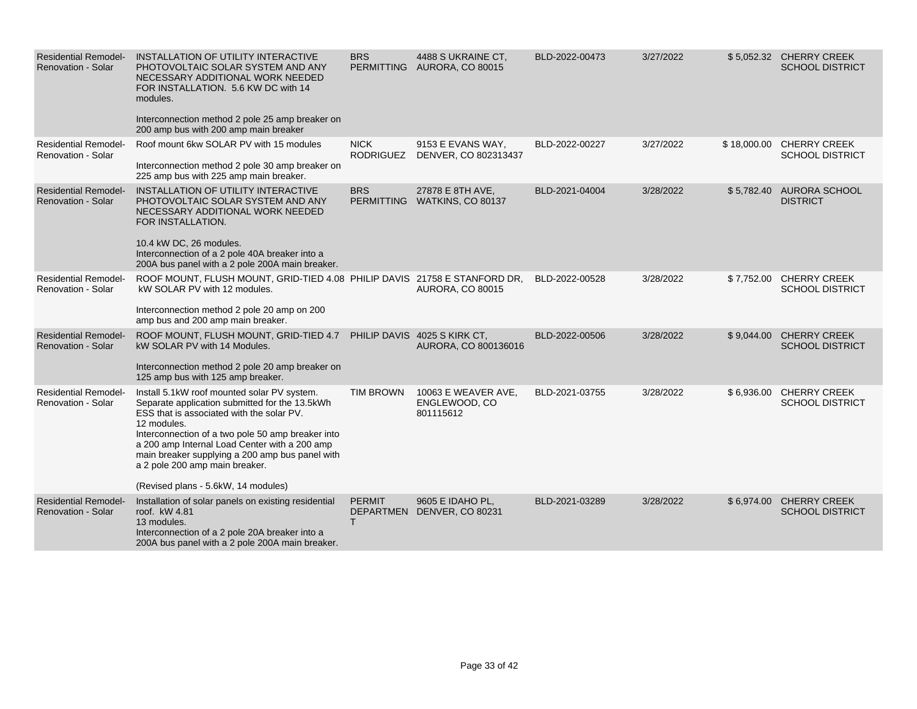| <b>Residential Remodel-</b><br><b>Renovation - Solar</b> | INSTALLATION OF UTILITY INTERACTIVE<br>PHOTOVOLTAIC SOLAR SYSTEM AND ANY<br>NECESSARY ADDITIONAL WORK NEEDED<br>FOR INSTALLATION. 5.6 KW DC with 14<br>modules.<br>Interconnection method 2 pole 25 amp breaker on<br>200 amp bus with 200 amp main breaker                                                                                                                                 | <b>BRS</b>       | 4488 S UKRAINE CT.<br>PERMITTING AURORA, CO 80015   | BLD-2022-00473 | 3/27/2022 |            | \$5,052.32 CHERRY CREEK<br><b>SCHOOL DISTRICT</b>  |
|----------------------------------------------------------|---------------------------------------------------------------------------------------------------------------------------------------------------------------------------------------------------------------------------------------------------------------------------------------------------------------------------------------------------------------------------------------------|------------------|-----------------------------------------------------|----------------|-----------|------------|----------------------------------------------------|
| <b>Residential Remodel-</b><br>Renovation - Solar        | Roof mount 6kw SOLAR PV with 15 modules<br>Interconnection method 2 pole 30 amp breaker on<br>225 amp bus with 225 amp main breaker.                                                                                                                                                                                                                                                        | <b>NICK</b>      | 9153 E EVANS WAY,<br>RODRIGUEZ DENVER, CO 802313437 | BLD-2022-00227 | 3/27/2022 |            | \$18,000.00 CHERRY CREEK<br><b>SCHOOL DISTRICT</b> |
| <b>Residential Remodel-</b><br><b>Renovation - Solar</b> | INSTALLATION OF UTILITY INTERACTIVE<br>PHOTOVOLTAIC SOLAR SYSTEM AND ANY<br>NECESSARY ADDITIONAL WORK NEEDED<br>FOR INSTALLATION.<br>10.4 kW DC, 26 modules.<br>Interconnection of a 2 pole 40A breaker into a<br>200A bus panel with a 2 pole 200A main breaker.                                                                                                                           | <b>BRS</b>       | 27878 E 8TH AVE,<br>PERMITTING WATKINS, CO 80137    | BLD-2021-04004 | 3/28/2022 |            | \$5,782.40 AURORA SCHOOL<br><b>DISTRICT</b>        |
| <b>Residential Remodel-</b><br><b>Renovation - Solar</b> | ROOF MOUNT, FLUSH MOUNT, GRID-TIED 4.08 PHILIP DAVIS 21758 E STANFORD DR,<br>kW SOLAR PV with 12 modules.<br>Interconnection method 2 pole 20 amp on 200<br>amp bus and 200 amp main breaker.                                                                                                                                                                                               |                  | <b>AURORA, CO 80015</b>                             | BLD-2022-00528 | 3/28/2022 |            | \$7,752.00 CHERRY CREEK<br><b>SCHOOL DISTRICT</b>  |
| <b>Residential Remodel-</b><br>Renovation - Solar        | ROOF MOUNT, FLUSH MOUNT, GRID-TIED 4.7 PHILIP DAVIS 4025 S KIRK CT,<br>kW SOLAR PV with 14 Modules.<br>Interconnection method 2 pole 20 amp breaker on<br>125 amp bus with 125 amp breaker.                                                                                                                                                                                                 |                  | AURORA, CO 800136016                                | BLD-2022-00506 | 3/28/2022 |            | \$9,044.00 CHERRY CREEK<br><b>SCHOOL DISTRICT</b>  |
| <b>Residential Remodel-</b><br><b>Renovation - Solar</b> | Install 5.1kW roof mounted solar PV system.<br>Separate application submitted for the 13.5kWh<br>ESS that is associated with the solar PV.<br>12 modules.<br>Interconnection of a two pole 50 amp breaker into<br>a 200 amp Internal Load Center with a 200 amp<br>main breaker supplying a 200 amp bus panel with<br>a 2 pole 200 amp main breaker.<br>(Revised plans - 5.6kW, 14 modules) | <b>TIM BROWN</b> | 10063 E WEAVER AVE.<br>ENGLEWOOD, CO<br>801115612   | BLD-2021-03755 | 3/28/2022 |            | \$6,936.00 CHERRY CREEK<br><b>SCHOOL DISTRICT</b>  |
| <b>Residential Remodel-</b><br><b>Renovation - Solar</b> | Installation of solar panels on existing residential<br>roof. kW 4.81<br>13 modules.<br>Interconnection of a 2 pole 20A breaker into a<br>200A bus panel with a 2 pole 200A main breaker.                                                                                                                                                                                                   | <b>PERMIT</b>    | 9605 E IDAHO PL,<br>DEPARTMEN DENVER, CO 80231      | BLD-2021-03289 | 3/28/2022 | \$6,974.00 | <b>CHERRY CREEK</b><br><b>SCHOOL DISTRICT</b>      |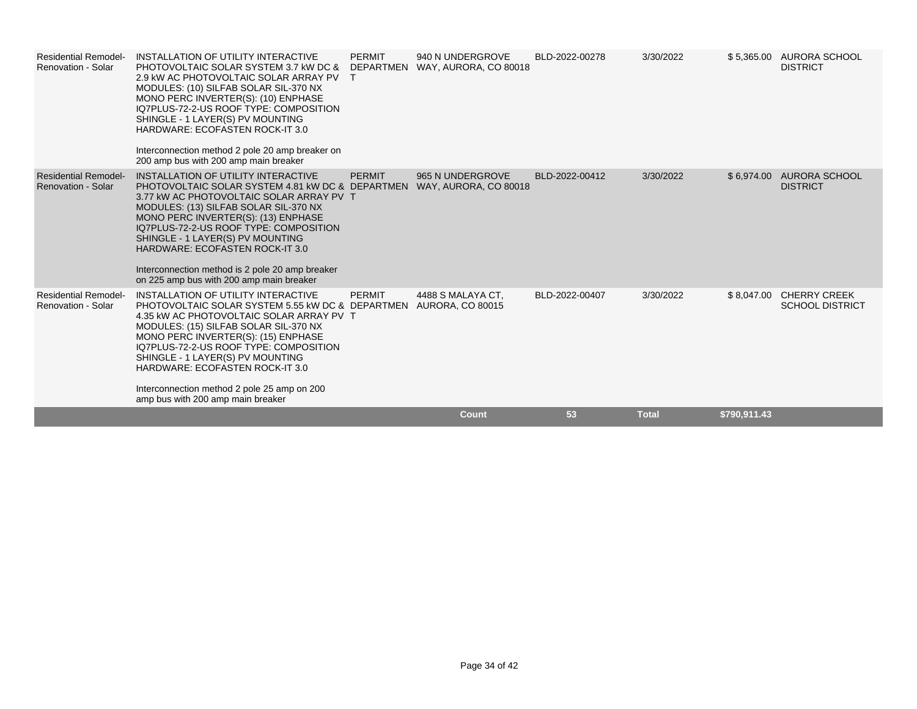| <b>Residential Remodel-</b><br>Renovation - Solar        | INSTALLATION OF UTILITY INTERACTIVE<br>PHOTOVOLTAIC SOLAR SYSTEM 3.7 KW DC &<br>2.9 KW AC PHOTOVOLTAIC SOLAR ARRAY PV<br>MODULES: (10) SILFAB SOLAR SIL-370 NX<br>MONO PERC INVERTER(S): (10) ENPHASE<br>IQ7PLUS-72-2-US ROOF TYPE: COMPOSITION<br>SHINGLE - 1 LAYER(S) PV MOUNTING<br><b>HARDWARE: ECOFASTEN ROCK-IT 3.0</b><br>Interconnection method 2 pole 20 amp breaker on<br>200 amp bus with 200 amp main breaker                  | <b>PERMIT</b><br><b>DEPARTMEN</b> | 940 N UNDERGROVE<br>WAY, AURORA, CO 80018    | BLD-2022-00278 | 3/30/2022    |              | \$5,365.00 AURORA SCHOOL<br><b>DISTRICT</b>       |
|----------------------------------------------------------|--------------------------------------------------------------------------------------------------------------------------------------------------------------------------------------------------------------------------------------------------------------------------------------------------------------------------------------------------------------------------------------------------------------------------------------------|-----------------------------------|----------------------------------------------|----------------|--------------|--------------|---------------------------------------------------|
| <b>Residential Remodel-</b><br><b>Renovation - Solar</b> | INSTALLATION OF UTILITY INTERACTIVE<br>PHOTOVOLTAIC SOLAR SYSTEM 4.81 KW DC & DEPARTMEN<br>3.77 KW AC PHOTOVOLTAIC SOLAR ARRAY PV T<br>MODULES: (13) SILFAB SOLAR SIL-370 NX<br>MONO PERC INVERTER(S): (13) ENPHASE<br>IQ7PLUS-72-2-US ROOF TYPE: COMPOSITION<br>SHINGLE - 1 LAYER(S) PV MOUNTING<br><b>HARDWARE: ECOFASTEN ROCK-IT 3.0</b><br>Interconnection method is 2 pole 20 amp breaker<br>on 225 amp bus with 200 amp main breaker | <b>PERMIT</b>                     | 965 N UNDERGROVE<br>WAY, AURORA, CO 80018    | BLD-2022-00412 | 3/30/2022    |              | \$6,974.00 AURORA SCHOOL<br><b>DISTRICT</b>       |
| <b>Residential Remodel-</b><br>Renovation - Solar        | INSTALLATION OF UTILITY INTERACTIVE<br>PHOTOVOLTAIC SOLAR SYSTEM 5.55 KW DC & DEPARTMEN<br>4.35 kW AC PHOTOVOLTAIC SOLAR ARRAY PV T<br>MODULES: (15) SILFAB SOLAR SIL-370 NX<br>MONO PERC INVERTER(S): (15) ENPHASE<br>IQ7PLUS-72-2-US ROOF TYPE: COMPOSITION<br>SHINGLE - 1 LAYER(S) PV MOUNTING<br><b>HARDWARE: ECOFASTEN ROCK-IT 3.0</b><br>Interconnection method 2 pole 25 amp on 200<br>amp bus with 200 amp main breaker            | <b>PERMIT</b>                     | 4488 S MALAYA CT.<br><b>AURORA, CO 80015</b> | BLD-2022-00407 | 3/30/2022    |              | \$8,047.00 CHERRY CREEK<br><b>SCHOOL DISTRICT</b> |
|                                                          |                                                                                                                                                                                                                                                                                                                                                                                                                                            |                                   | Count                                        | 53             | <b>Total</b> | \$790,911.43 |                                                   |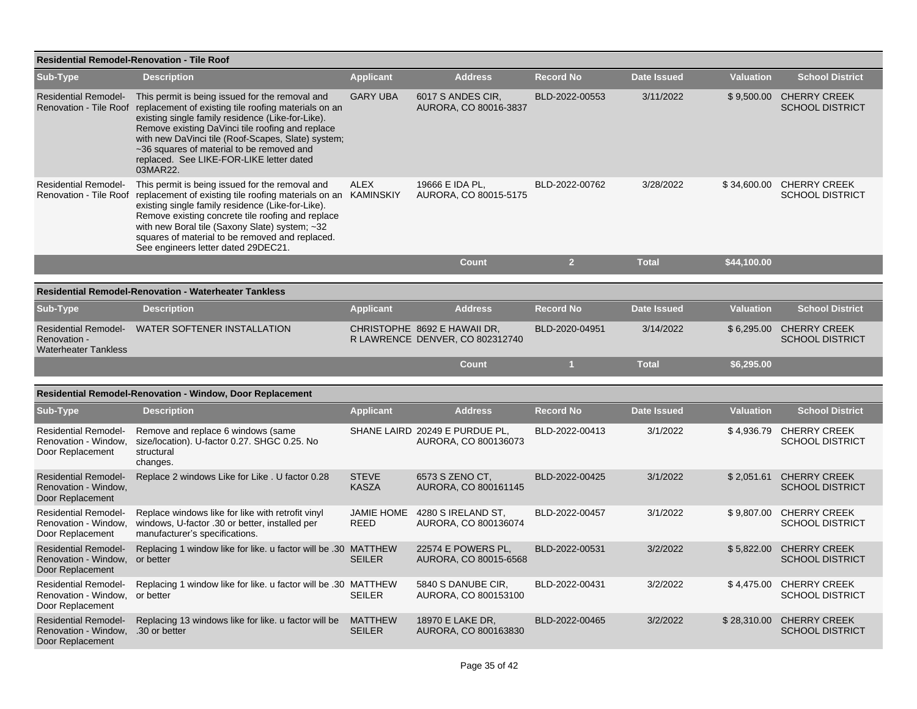| <b>Residential Remodel-Renovation - Tile Roof</b>                                     |                                                                                                                                                                                                                                                                                                                                                                                                    |                                 |                                                                 |                  |                    |                  |                                               |  |
|---------------------------------------------------------------------------------------|----------------------------------------------------------------------------------------------------------------------------------------------------------------------------------------------------------------------------------------------------------------------------------------------------------------------------------------------------------------------------------------------------|---------------------------------|-----------------------------------------------------------------|------------------|--------------------|------------------|-----------------------------------------------|--|
| Sub-Type                                                                              | <b>Description</b>                                                                                                                                                                                                                                                                                                                                                                                 | <b>Applicant</b>                | <b>Address</b>                                                  | <b>Record No</b> | <b>Date Issued</b> | <b>Valuation</b> | <b>School District</b>                        |  |
| <b>Residential Remodel-</b>                                                           | This permit is being issued for the removal and<br>Renovation - Tile Roof replacement of existing tile roofing materials on an<br>existing single family residence (Like-for-Like).<br>Remove existing DaVinci tile roofing and replace<br>with new DaVinci tile (Roof-Scapes, Slate) system;<br>~36 squares of material to be removed and<br>replaced. See LIKE-FOR-LIKE letter dated<br>03MAR22. | <b>GARY UBA</b>                 | 6017 S ANDES CIR,<br>AURORA, CO 80016-3837                      | BLD-2022-00553   | 3/11/2022          | \$9,500.00       | <b>CHERRY CREEK</b><br><b>SCHOOL DISTRICT</b> |  |
| <b>Residential Remodel-</b><br>Renovation - Tile Roof                                 | This permit is being issued for the removal and<br>replacement of existing tile roofing materials on an KAMINSKIY<br>existing single family residence (Like-for-Like).<br>Remove existing concrete tile roofing and replace<br>with new Boral tile (Saxony Slate) system; ~32<br>squares of material to be removed and replaced.<br>See engineers letter dated 29DEC21.                            | <b>ALEX</b>                     | 19666 E IDA PL,<br>AURORA, CO 80015-5175                        | BLD-2022-00762   | 3/28/2022          | \$34,600.00      | <b>CHERRY CREEK</b><br><b>SCHOOL DISTRICT</b> |  |
|                                                                                       |                                                                                                                                                                                                                                                                                                                                                                                                    |                                 | <b>Count</b>                                                    | 2 <sup>7</sup>   | <b>Total</b>       | \$44,100.00      |                                               |  |
|                                                                                       | <b>Residential Remodel-Renovation - Waterheater Tankless</b>                                                                                                                                                                                                                                                                                                                                       |                                 |                                                                 |                  |                    |                  |                                               |  |
| Sub-Type                                                                              | <b>Description</b>                                                                                                                                                                                                                                                                                                                                                                                 | <b>Applicant</b>                | <b>Address</b>                                                  | <b>Record No</b> | Date Issued        | <b>Valuation</b> | <b>School District</b>                        |  |
| <b>Residential Remodel-</b><br>Renovation -<br><b>Waterheater Tankless</b>            | WATER SOFTENER INSTALLATION                                                                                                                                                                                                                                                                                                                                                                        |                                 | CHRISTOPHE 8692 E HAWAII DR.<br>R LAWRENCE DENVER, CO 802312740 | BLD-2020-04951   | 3/14/2022          | \$6,295.00       | <b>CHERRY CREEK</b><br><b>SCHOOL DISTRICT</b> |  |
|                                                                                       |                                                                                                                                                                                                                                                                                                                                                                                                    |                                 | <b>Count</b>                                                    |                  | <b>Total</b>       | \$6,295.00       |                                               |  |
|                                                                                       | Residential Remodel-Renovation - Window, Door Replacement                                                                                                                                                                                                                                                                                                                                          |                                 |                                                                 |                  |                    |                  |                                               |  |
| Sub-Type                                                                              | <b>Description</b>                                                                                                                                                                                                                                                                                                                                                                                 | <b>Applicant</b>                | <b>Address</b>                                                  | <b>Record No</b> | <b>Date Issued</b> | <b>Valuation</b> | <b>School District</b>                        |  |
| <b>Residential Remodel-</b><br>Renovation - Window,<br>Door Replacement               | Remove and replace 6 windows (same<br>size/location). U-factor 0.27. SHGC 0.25. No<br>structural<br>changes.                                                                                                                                                                                                                                                                                       |                                 | SHANE LAIRD 20249 E PURDUE PL,<br>AURORA, CO 800136073          | BLD-2022-00413   | 3/1/2022           | \$4,936.79       | <b>CHERRY CREEK</b><br><b>SCHOOL DISTRICT</b> |  |
| <b>Residential Remodel-</b><br>Renovation - Window,<br>Door Replacement               | Replace 2 windows Like for Like . U factor 0.28                                                                                                                                                                                                                                                                                                                                                    | <b>STEVE</b><br><b>KASZA</b>    | 6573 S ZENO CT,<br>AURORA, CO 800161145                         | BLD-2022-00425   | 3/1/2022           | \$2,051.61       | <b>CHERRY CREEK</b><br><b>SCHOOL DISTRICT</b> |  |
| <b>Residential Remodel-</b><br>Renovation - Window,<br>Door Replacement               | Replace windows like for like with retrofit vinyl<br>windows, U-factor .30 or better, installed per<br>manufacturer's specifications.                                                                                                                                                                                                                                                              | <b>JAMIE HOME</b><br>REED       | 4280 S IRELAND ST,<br>AURORA, CO 800136074                      | BLD-2022-00457   | 3/1/2022           | \$9,807.00       | <b>CHERRY CREEK</b><br><b>SCHOOL DISTRICT</b> |  |
| <b>Residential Remodel-</b><br>Renovation - Window.<br>Door Replacement               | Replacing 1 window like for like. u factor will be .30 MATTHEW<br>or better                                                                                                                                                                                                                                                                                                                        | <b>SEILER</b>                   | 22574 E POWERS PL,<br>AURORA, CO 80015-6568                     | BLD-2022-00531   | 3/2/2022           | \$5,822.00       | <b>CHERRY CREEK</b><br><b>SCHOOL DISTRICT</b> |  |
| <b>Residential Remodel-</b><br>Renovation - Window,<br>Door Replacement               | Replacing 1 window like for like. u factor will be .30 MATTHEW<br>or better                                                                                                                                                                                                                                                                                                                        | <b>SEILER</b>                   | 5840 S DANUBE CIR.<br>AURORA, CO 800153100                      | BLD-2022-00431   | 3/2/2022           | \$4,475.00       | <b>CHERRY CREEK</b><br><b>SCHOOL DISTRICT</b> |  |
| <b>Residential Remodel-</b><br>Renovation - Window, .30 or better<br>Door Replacement | Replacing 13 windows like for like. u factor will be                                                                                                                                                                                                                                                                                                                                               | <b>MATTHEW</b><br><b>SEILER</b> | 18970 E LAKE DR,<br>AURORA, CO 800163830                        | BLD-2022-00465   | 3/2/2022           | \$28,310.00      | <b>CHERRY CREEK</b><br><b>SCHOOL DISTRICT</b> |  |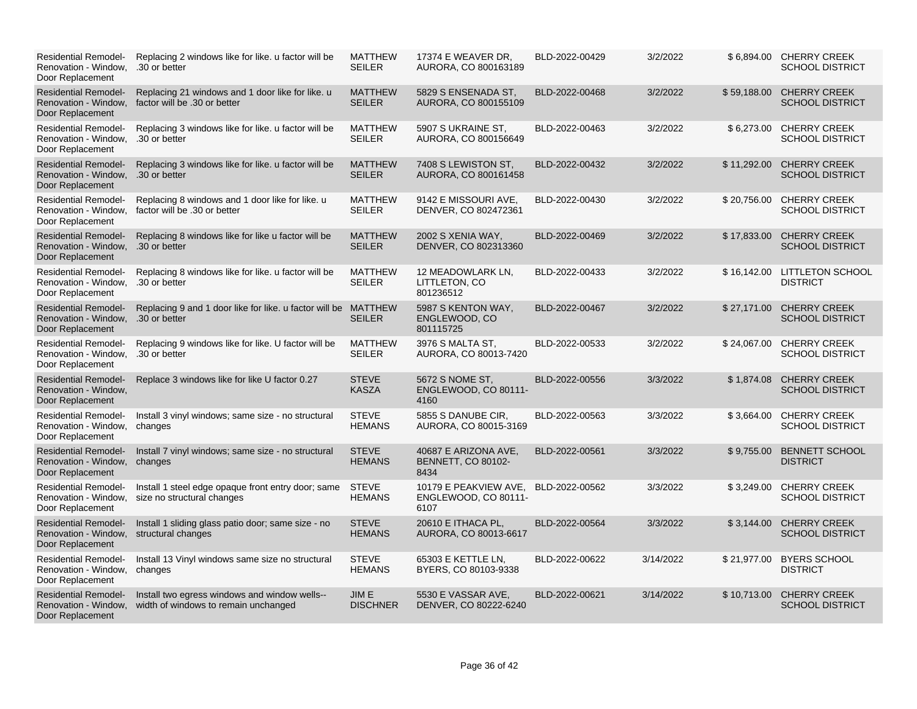| <b>Residential Remodel-</b><br>Renovation - Window.<br>Door Replacement                    | Replacing 2 windows like for like, u factor will be<br>.30 or better                  | <b>MATTHEW</b><br><b>SEILER</b> | 17374 E WEAVER DR.<br>AURORA, CO 800163189                | BLD-2022-00429 | 3/2/2022  |             | \$6,894.00 CHERRY CREEK<br><b>SCHOOL DISTRICT</b>  |
|--------------------------------------------------------------------------------------------|---------------------------------------------------------------------------------------|---------------------------------|-----------------------------------------------------------|----------------|-----------|-------------|----------------------------------------------------|
| <b>Residential Remodel-</b><br>Renovation - Window,<br>Door Replacement                    | Replacing 21 windows and 1 door like for like. u<br>factor will be .30 or better      | <b>MATTHEW</b><br><b>SEILER</b> | 5829 S ENSENADA ST,<br>AURORA, CO 800155109               | BLD-2022-00468 | 3/2/2022  | \$59,188.00 | <b>CHERRY CREEK</b><br><b>SCHOOL DISTRICT</b>      |
| <b>Residential Remodel-</b><br>Renovation - Window,<br>Door Replacement                    | Replacing 3 windows like for like. u factor will be<br>.30 or better                  | <b>MATTHEW</b><br><b>SEILER</b> | 5907 S UKRAINE ST.<br>AURORA, CO 800156649                | BLD-2022-00463 | 3/2/2022  |             | \$6,273.00 CHERRY CREEK<br><b>SCHOOL DISTRICT</b>  |
| <b>Residential Remodel-</b><br>Renovation - Window,<br>Door Replacement                    | Replacing 3 windows like for like, u factor will be<br>.30 or better                  | <b>MATTHEW</b><br><b>SEILER</b> | 7408 S LEWISTON ST.<br>AURORA, CO 800161458               | BLD-2022-00432 | 3/2/2022  |             | \$11.292.00 CHERRY CREEK<br><b>SCHOOL DISTRICT</b> |
| <b>Residential Remodel-</b><br>Renovation - Window,<br>Door Replacement                    | Replacing 8 windows and 1 door like for like. u<br>factor will be .30 or better       | <b>MATTHEW</b><br><b>SEILER</b> | 9142 E MISSOURI AVE,<br>DENVER, CO 802472361              | BLD-2022-00430 | 3/2/2022  |             | \$20,756.00 CHERRY CREEK<br><b>SCHOOL DISTRICT</b> |
| <b>Residential Remodel-</b><br>Renovation - Window, .30 or better<br>Door Replacement      | Replacing 8 windows like for like u factor will be                                    | <b>MATTHEW</b><br><b>SEILER</b> | 2002 S XENIA WAY,<br>DENVER, CO 802313360                 | BLD-2022-00469 | 3/2/2022  | \$17,833.00 | <b>CHERRY CREEK</b><br><b>SCHOOL DISTRICT</b>      |
| <b>Residential Remodel-</b><br>Renovation - Window,<br>Door Replacement                    | Replacing 8 windows like for like, u factor will be<br>.30 or better                  | <b>MATTHEW</b><br><b>SEILER</b> | 12 MEADOWLARK LN,<br>LITTLETON, CO<br>801236512           | BLD-2022-00433 | 3/2/2022  |             | \$16,142.00 LITTLETON SCHOOL<br><b>DISTRICT</b>    |
| <b>Residential Remodel-</b><br>Renovation - Window, .30 or better<br>Door Replacement      | Replacing 9 and 1 door like for like. u factor will be MATTHEW                        | <b>SEILER</b>                   | 5987 S KENTON WAY,<br>ENGLEWOOD, CO<br>801115725          | BLD-2022-00467 | 3/2/2022  | \$27.171.00 | <b>CHERRY CREEK</b><br><b>SCHOOL DISTRICT</b>      |
| <b>Residential Remodel-</b><br>Renovation - Window,<br>Door Replacement                    | Replacing 9 windows like for like. U factor will be<br>.30 or better                  | <b>MATTHEW</b><br><b>SEILER</b> | 3976 S MALTA ST,<br>AURORA, CO 80013-7420                 | BLD-2022-00533 | 3/2/2022  | \$24,067.00 | <b>CHERRY CREEK</b><br><b>SCHOOL DISTRICT</b>      |
| <b>Residential Remodel-</b><br>Renovation - Window,<br>Door Replacement                    | Replace 3 windows like for like U factor 0.27                                         | <b>STEVE</b><br><b>KASZA</b>    | 5672 S NOME ST,<br>ENGLEWOOD, CO 80111-<br>4160           | BLD-2022-00556 | 3/3/2022  |             | \$1,874.08 CHERRY CREEK<br><b>SCHOOL DISTRICT</b>  |
| <b>Residential Remodel-</b><br>Renovation - Window, changes<br>Door Replacement            | Install 3 vinyl windows; same size - no structural                                    | <b>STEVE</b><br><b>HEMANS</b>   | 5855 S DANUBE CIR.<br>AURORA, CO 80015-3169               | BLD-2022-00563 | 3/3/2022  | \$3,664.00  | <b>CHERRY CREEK</b><br><b>SCHOOL DISTRICT</b>      |
| <b>Residential Remodel-</b><br>Renovation - Window,<br>Door Replacement                    | Install 7 vinyl windows; same size - no structural<br>changes                         | <b>STEVE</b><br><b>HEMANS</b>   | 40687 E ARIZONA AVE,<br><b>BENNETT, CO 80102-</b><br>8434 | BLD-2022-00561 | 3/3/2022  | \$9,755.00  | <b>BENNETT SCHOOL</b><br><b>DISTRICT</b>           |
| <b>Residential Remodel-</b><br>Renovation - Window.<br>Door Replacement                    | Install 1 steel edge opaque front entry door; same<br>size no structural changes      | <b>STEVE</b><br><b>HEMANS</b>   | 10179 E PEAKVIEW AVE,<br>ENGLEWOOD, CO 80111-<br>6107     | BLD-2022-00562 | 3/3/2022  |             | \$3,249.00 CHERRY CREEK<br><b>SCHOOL DISTRICT</b>  |
| <b>Residential Remodel-</b><br>Renovation - Window, structural changes<br>Door Replacement | Install 1 sliding glass patio door; same size - no                                    | <b>STEVE</b><br><b>HEMANS</b>   | 20610 E ITHACA PL,<br>AURORA, CO 80013-6617               | BLD-2022-00564 | 3/3/2022  | \$3,144.00  | <b>CHERRY CREEK</b><br><b>SCHOOL DISTRICT</b>      |
| <b>Residential Remodel-</b><br>Renovation - Window,<br>Door Replacement                    | Install 13 Vinyl windows same size no structural<br>changes                           | <b>STEVE</b><br><b>HEMANS</b>   | 65303 E KETTLE LN,<br>BYERS, CO 80103-9338                | BLD-2022-00622 | 3/14/2022 |             | \$21,977.00 BYERS SCHOOL<br><b>DISTRICT</b>        |
| <b>Residential Remodel-</b><br>Renovation - Window,<br>Door Replacement                    | Install two egress windows and window wells--<br>width of windows to remain unchanged | JIM E<br><b>DISCHNER</b>        | 5530 E VASSAR AVE.<br>DENVER, CO 80222-6240               | BLD-2022-00621 | 3/14/2022 | \$10,713.00 | <b>CHERRY CREEK</b><br><b>SCHOOL DISTRICT</b>      |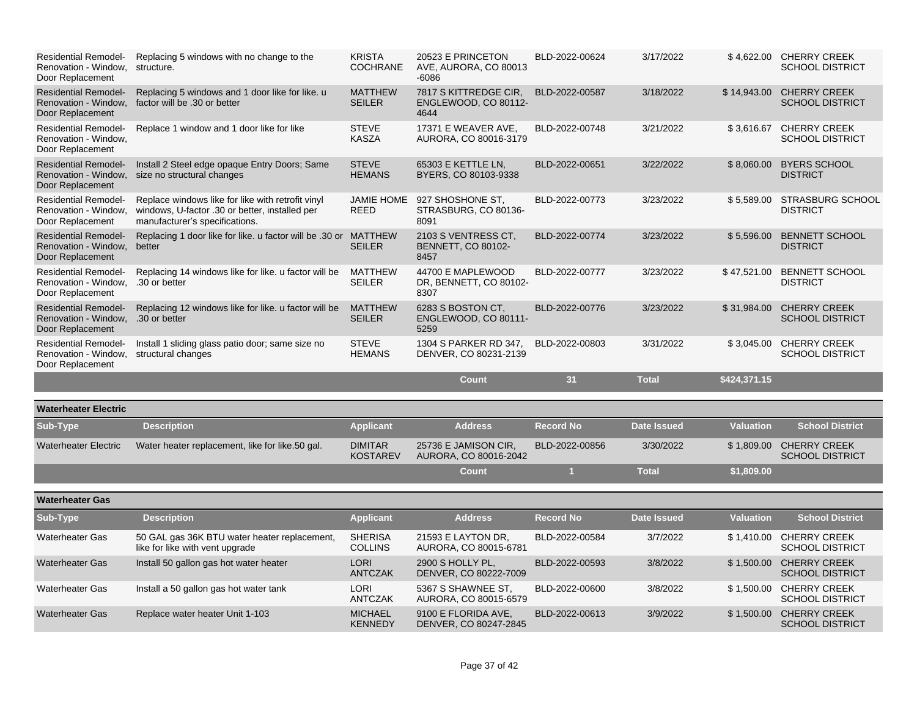| <b>Residential Remodel-</b><br>Renovation - Window.<br>Door Replacement | Replacing 5 windows with no change to the<br>structure.                                                                               | <b>KRISTA</b><br><b>COCHRANE</b>  | 20523 E PRINCETON<br>AVE, AURORA, CO 80013<br>$-6086$    | BLD-2022-00624   | 3/17/2022          |                  | \$4,622.00 CHERRY CREEK<br><b>SCHOOL DISTRICT</b> |
|-------------------------------------------------------------------------|---------------------------------------------------------------------------------------------------------------------------------------|-----------------------------------|----------------------------------------------------------|------------------|--------------------|------------------|---------------------------------------------------|
| <b>Residential Remodel-</b><br>Renovation - Window,<br>Door Replacement | Replacing 5 windows and 1 door like for like. u<br>factor will be .30 or better                                                       | <b>MATTHEW</b><br><b>SEILER</b>   | 7817 S KITTREDGE CIR,<br>ENGLEWOOD, CO 80112-<br>4644    | BLD-2022-00587   | 3/18/2022          | \$14,943.00      | <b>CHERRY CREEK</b><br><b>SCHOOL DISTRICT</b>     |
| <b>Residential Remodel-</b><br>Renovation - Window,<br>Door Replacement | Replace 1 window and 1 door like for like                                                                                             | <b>STEVE</b><br><b>KASZA</b>      | 17371 E WEAVER AVE,<br>AURORA, CO 80016-3179             | BLD-2022-00748   | 3/21/2022          | \$3,616.67       | <b>CHERRY CREEK</b><br><b>SCHOOL DISTRICT</b>     |
| <b>Residential Remodel-</b><br>Renovation - Window.<br>Door Replacement | Install 2 Steel edge opaque Entry Doors; Same<br>size no structural changes                                                           | <b>STEVE</b><br><b>HEMANS</b>     | 65303 E KETTLE LN,<br>BYERS, CO 80103-9338               | BLD-2022-00651   | 3/22/2022          | \$8,060.00       | <b>BYERS SCHOOL</b><br><b>DISTRICT</b>            |
| <b>Residential Remodel-</b><br>Renovation - Window,<br>Door Replacement | Replace windows like for like with retrofit vinyl<br>windows, U-factor .30 or better, installed per<br>manufacturer's specifications. | <b>JAMIE HOME</b><br>REED         | 927 SHOSHONE ST.<br>STRASBURG, CO 80136-<br>8091         | BLD-2022-00773   | 3/23/2022          | \$5,589.00       | <b>STRASBURG SCHOOL</b><br><b>DISTRICT</b>        |
| <b>Residential Remodel-</b><br>Renovation - Window,<br>Door Replacement | Replacing 1 door like for like. u factor will be .30 or<br>better                                                                     | <b>MATTHEW</b><br><b>SEILER</b>   | 2103 S VENTRESS CT,<br><b>BENNETT, CO 80102-</b><br>8457 | BLD-2022-00774   | 3/23/2022          | \$5,596.00       | <b>BENNETT SCHOOL</b><br><b>DISTRICT</b>          |
| <b>Residential Remodel-</b><br>Renovation - Window,<br>Door Replacement | Replacing 14 windows like for like, u factor will be<br>.30 or better                                                                 | <b>MATTHEW</b><br><b>SEILER</b>   | 44700 E MAPLEWOOD<br>DR, BENNETT, CO 80102-<br>8307      | BLD-2022-00777   | 3/23/2022          | \$47,521.00      | <b>BENNETT SCHOOL</b><br><b>DISTRICT</b>          |
| <b>Residential Remodel-</b><br>Renovation - Window,<br>Door Replacement | Replacing 12 windows like for like. u factor will be<br>.30 or better                                                                 | <b>MATTHEW</b><br><b>SEILER</b>   | 6283 S BOSTON CT,<br>ENGLEWOOD, CO 80111-<br>5259        | BLD-2022-00776   | 3/23/2022          | \$31,984.00      | <b>CHERRY CREEK</b><br><b>SCHOOL DISTRICT</b>     |
| <b>Residential Remodel-</b><br>Renovation - Window,<br>Door Replacement | Install 1 sliding glass patio door; same size no<br>structural changes                                                                | <b>STEVE</b><br><b>HEMANS</b>     | 1304 S PARKER RD 347,<br>DENVER, CO 80231-2139           | BLD-2022-00803   | 3/31/2022          | \$3,045.00       | <b>CHERRY CREEK</b><br><b>SCHOOL DISTRICT</b>     |
|                                                                         |                                                                                                                                       |                                   | <b>Count</b>                                             | 31               | <b>Total</b>       | \$424,371.15     |                                                   |
| <b>Waterheater Electric</b>                                             |                                                                                                                                       |                                   |                                                          |                  |                    |                  |                                                   |
| Sub-Type                                                                | <b>Description</b>                                                                                                                    | <b>Applicant</b>                  | <b>Address</b>                                           | <b>Record No</b> | <b>Date Issued</b> | <b>Valuation</b> | <b>School District</b>                            |
| <b>Waterheater Electric</b>                                             | Water heater replacement, like for like.50 gal.                                                                                       | <b>DIMITAR</b><br><b>KOSTAREV</b> | 25736 E JAMISON CIR,<br>AURORA, CO 80016-2042            | BLD-2022-00856   | 3/30/2022          |                  | \$1,809.00 CHERRY CREEK<br><b>SCHOOL DISTRICT</b> |
|                                                                         |                                                                                                                                       |                                   | Count                                                    | 1                | <b>Total</b>       | \$1,809.00       |                                                   |
| <b>Waterheater Gas</b>                                                  |                                                                                                                                       |                                   |                                                          |                  |                    |                  |                                                   |
| Sub-Type                                                                | <b>Description</b>                                                                                                                    | <b>Applicant</b>                  | <b>Address</b>                                           | <b>Record No</b> | <b>Date Issued</b> | <b>Valuation</b> | <b>School District</b>                            |
| <b>Waterheater Gas</b>                                                  | 50 GAL gas 36K BTU water heater replacement,<br>like for like with vent upgrade                                                       | <b>SHERISA</b><br><b>COLLINS</b>  | 21593 E LAYTON DR.<br>AURORA, CO 80015-6781              | BLD-2022-00584   | 3/7/2022           |                  | \$1,410.00 CHERRY CREEK<br><b>SCHOOL DISTRICT</b> |
| <b>Waterheater Gas</b>                                                  | Install 50 gallon gas hot water heater                                                                                                | <b>LORI</b><br><b>ANTCZAK</b>     | 2900 S HOLLY PL,<br>DENVER, CO 80222-7009                | BLD-2022-00593   | 3/8/2022           | \$1,500.00       | <b>CHERRY CREEK</b><br><b>SCHOOL DISTRICT</b>     |
| <b>Waterheater Gas</b>                                                  | Install a 50 gallon gas hot water tank                                                                                                | <b>LORI</b><br><b>ANTCZAK</b>     | 5367 S SHAWNEE ST,<br>AURORA, CO 80015-6579              | BLD-2022-00600   | 3/8/2022           |                  | \$1,500.00 CHERRY CREEK<br><b>SCHOOL DISTRICT</b> |
| <b>Waterheater Gas</b>                                                  | Replace water heater Unit 1-103                                                                                                       | <b>MICHAEL</b><br><b>KENNEDY</b>  | 9100 E FLORIDA AVE,<br>DENVER, CO 80247-2845             | BLD-2022-00613   | 3/9/2022           |                  | \$1,500.00 CHERRY CREEK<br><b>SCHOOL DISTRICT</b> |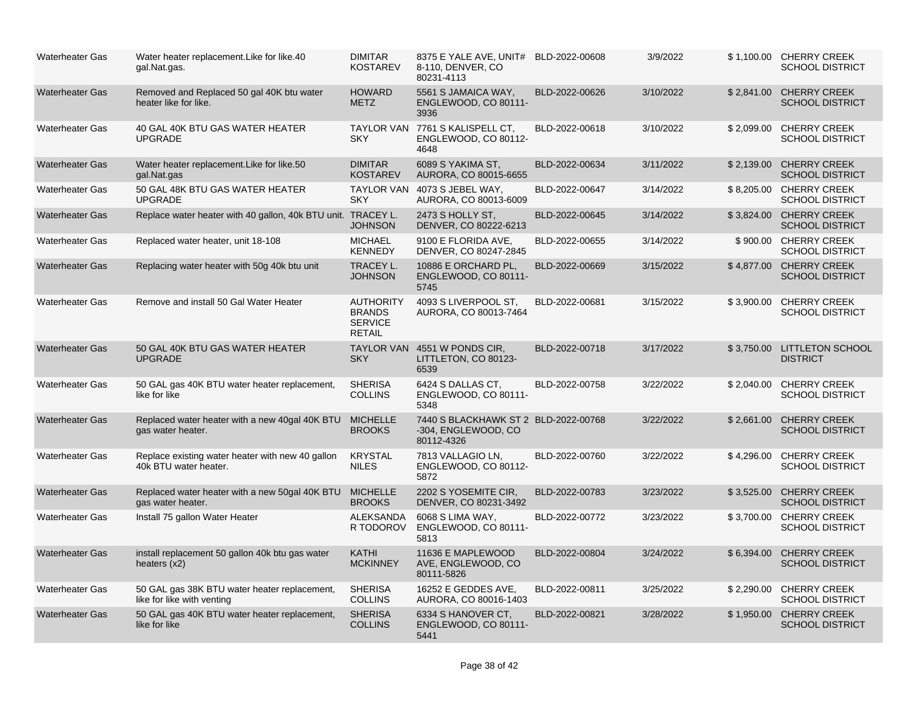| <b>Waterheater Gas</b> | Water heater replacement. Like for like. 40<br>gal.Nat.gas.                | <b>DIMITAR</b><br><b>KOSTAREV</b>                                    | 8375 E YALE AVE, UNIT# BLD-2022-00608<br>8-110, DENVER, CO<br>80231-4113  |                | 3/9/2022  |            | \$1,100.00 CHERRY CREEK<br><b>SCHOOL DISTRICT</b> |
|------------------------|----------------------------------------------------------------------------|----------------------------------------------------------------------|---------------------------------------------------------------------------|----------------|-----------|------------|---------------------------------------------------|
| <b>Waterheater Gas</b> | Removed and Replaced 50 gal 40K btu water<br>heater like for like.         | <b>HOWARD</b><br><b>METZ</b>                                         | 5561 S JAMAICA WAY,<br>ENGLEWOOD, CO 80111-<br>3936                       | BLD-2022-00626 | 3/10/2022 | \$2,841.00 | <b>CHERRY CREEK</b><br><b>SCHOOL DISTRICT</b>     |
| <b>Waterheater Gas</b> | 40 GAL 40K BTU GAS WATER HEATER<br><b>UPGRADE</b>                          | <b>SKY</b>                                                           | TAYLOR VAN 7761 S KALISPELL CT,<br>ENGLEWOOD, CO 80112-<br>4648           | BLD-2022-00618 | 3/10/2022 | \$2,099.00 | <b>CHERRY CREEK</b><br><b>SCHOOL DISTRICT</b>     |
| <b>Waterheater Gas</b> | Water heater replacement. Like for like. 50<br>gal.Nat.gas                 | <b>DIMITAR</b><br><b>KOSTAREV</b>                                    | 6089 S YAKIMA ST,<br>AURORA, CO 80015-6655                                | BLD-2022-00634 | 3/11/2022 | \$2,139.00 | <b>CHERRY CREEK</b><br><b>SCHOOL DISTRICT</b>     |
| <b>Waterheater Gas</b> | 50 GAL 48K BTU GAS WATER HEATER<br><b>UPGRADE</b>                          | <b>SKY</b>                                                           | TAYLOR VAN 4073 S JEBEL WAY,<br>AURORA, CO 80013-6009                     | BLD-2022-00647 | 3/14/2022 |            | \$8,205.00 CHERRY CREEK<br><b>SCHOOL DISTRICT</b> |
| <b>Waterheater Gas</b> | Replace water heater with 40 gallon, 40k BTU unit. TRACEY L.               | <b>JOHNSON</b>                                                       | 2473 S HOLLY ST,<br>DENVER, CO 80222-6213                                 | BLD-2022-00645 | 3/14/2022 |            | \$3,824.00 CHERRY CREEK<br><b>SCHOOL DISTRICT</b> |
| <b>Waterheater Gas</b> | Replaced water heater, unit 18-108                                         | <b>MICHAEL</b><br><b>KENNEDY</b>                                     | 9100 E FLORIDA AVE,<br>DENVER, CO 80247-2845                              | BLD-2022-00655 | 3/14/2022 |            | \$900.00 CHERRY CREEK<br><b>SCHOOL DISTRICT</b>   |
| <b>Waterheater Gas</b> | Replacing water heater with 50g 40k btu unit                               | TRACEY L.<br><b>JOHNSON</b>                                          | 10886 E ORCHARD PL,<br>ENGLEWOOD, CO 80111-<br>5745                       | BLD-2022-00669 | 3/15/2022 |            | \$4,877.00 CHERRY CREEK<br><b>SCHOOL DISTRICT</b> |
| <b>Waterheater Gas</b> | Remove and install 50 Gal Water Heater                                     | <b>AUTHORITY</b><br><b>BRANDS</b><br><b>SERVICE</b><br><b>RETAIL</b> | 4093 S LIVERPOOL ST.<br>AURORA, CO 80013-7464                             | BLD-2022-00681 | 3/15/2022 | \$3,900.00 | <b>CHERRY CREEK</b><br><b>SCHOOL DISTRICT</b>     |
| <b>Waterheater Gas</b> | 50 GAL 40K BTU GAS WATER HEATER<br><b>UPGRADE</b>                          | <b>SKY</b>                                                           | TAYLOR VAN 4551 W PONDS CIR,<br>LITTLETON, CO 80123-<br>6539              | BLD-2022-00718 | 3/17/2022 | \$3,750.00 | <b>LITTLETON SCHOOL</b><br><b>DISTRICT</b>        |
| <b>Waterheater Gas</b> | 50 GAL gas 40K BTU water heater replacement,<br>like for like              | <b>SHERISA</b><br><b>COLLINS</b>                                     | 6424 S DALLAS CT,<br>ENGLEWOOD, CO 80111-<br>5348                         | BLD-2022-00758 | 3/22/2022 | \$2,040.00 | <b>CHERRY CREEK</b><br><b>SCHOOL DISTRICT</b>     |
| <b>Waterheater Gas</b> | Replaced water heater with a new 40gal 40K BTU<br>gas water heater.        | <b>MICHELLE</b><br><b>BROOKS</b>                                     | 7440 S BLACKHAWK ST 2 BLD-2022-00768<br>-304, ENGLEWOOD, CO<br>80112-4326 |                | 3/22/2022 | \$2,661.00 | <b>CHERRY CREEK</b><br><b>SCHOOL DISTRICT</b>     |
| <b>Waterheater Gas</b> | Replace existing water heater with new 40 gallon<br>40k BTU water heater.  | <b>KRYSTAL</b><br><b>NILES</b>                                       | 7813 VALLAGIO LN,<br>ENGLEWOOD, CO 80112-<br>5872                         | BLD-2022-00760 | 3/22/2022 | \$4,296.00 | <b>CHERRY CREEK</b><br><b>SCHOOL DISTRICT</b>     |
| <b>Waterheater Gas</b> | Replaced water heater with a new 50gal 40K BTU<br>gas water heater.        | <b>MICHELLE</b><br><b>BROOKS</b>                                     | 2202 S YOSEMITE CIR,<br>DENVER, CO 80231-3492                             | BLD-2022-00783 | 3/23/2022 | \$3,525.00 | <b>CHERRY CREEK</b><br><b>SCHOOL DISTRICT</b>     |
| Waterheater Gas        | Install 75 gallon Water Heater                                             | <b>ALEKSANDA</b><br>R TODOROV                                        | 6068 S LIMA WAY,<br>ENGLEWOOD, CO 80111-<br>5813                          | BLD-2022-00772 | 3/23/2022 |            | \$3,700.00 CHERRY CREEK<br><b>SCHOOL DISTRICT</b> |
| <b>Waterheater Gas</b> | install replacement 50 gallon 40k btu gas water<br>heaters $(x2)$          | <b>KATHI</b><br><b>MCKINNEY</b>                                      | 11636 E MAPLEWOOD<br>AVE, ENGLEWOOD, CO<br>80111-5826                     | BLD-2022-00804 | 3/24/2022 | \$6,394.00 | <b>CHERRY CREEK</b><br><b>SCHOOL DISTRICT</b>     |
| <b>Waterheater Gas</b> | 50 GAL gas 38K BTU water heater replacement,<br>like for like with venting | <b>SHERISA</b><br><b>COLLINS</b>                                     | 16252 E GEDDES AVE,<br>AURORA, CO 80016-1403                              | BLD-2022-00811 | 3/25/2022 | \$2,290.00 | <b>CHERRY CREEK</b><br><b>SCHOOL DISTRICT</b>     |
| <b>Waterheater Gas</b> | 50 GAL gas 40K BTU water heater replacement,<br>like for like              | <b>SHERISA</b><br><b>COLLINS</b>                                     | 6334 S HANOVER CT.<br>ENGLEWOOD, CO 80111-<br>5441                        | BLD-2022-00821 | 3/28/2022 | \$1,950.00 | <b>CHERRY CREEK</b><br><b>SCHOOL DISTRICT</b>     |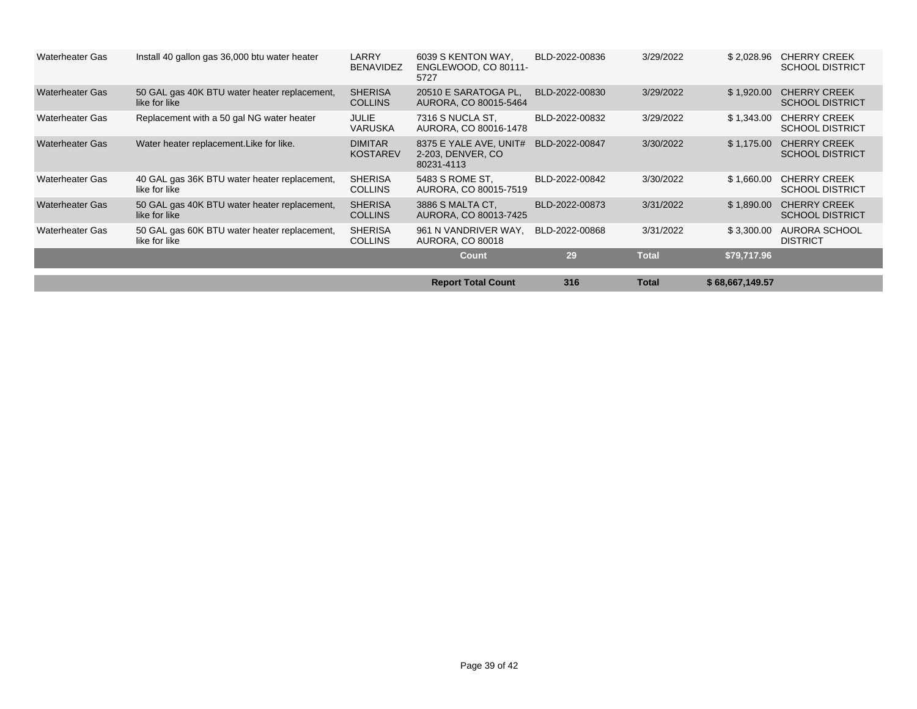| <b>Waterheater Gas</b> | Install 40 gallon gas 36,000 btu water heater                 | <b>LARRY</b><br><b>BENAVIDEZ</b>  | 6039 S KENTON WAY,<br>ENGLEWOOD, CO 80111-<br>5727         | BLD-2022-00836 | 3/29/2022    | \$2,028.96      | <b>CHERRY CREEK</b><br><b>SCHOOL DISTRICT</b> |
|------------------------|---------------------------------------------------------------|-----------------------------------|------------------------------------------------------------|----------------|--------------|-----------------|-----------------------------------------------|
| <b>Waterheater Gas</b> | 50 GAL gas 40K BTU water heater replacement,<br>like for like | <b>SHERISA</b><br><b>COLLINS</b>  | 20510 E SARATOGA PL,<br>AURORA, CO 80015-5464              | BLD-2022-00830 | 3/29/2022    | \$1,920.00      | <b>CHERRY CREEK</b><br><b>SCHOOL DISTRICT</b> |
| <b>Waterheater Gas</b> | Replacement with a 50 gal NG water heater                     | <b>JULIE</b><br>VARUSKA           | 7316 S NUCLA ST.<br>AURORA, CO 80016-1478                  | BLD-2022-00832 | 3/29/2022    | \$1,343.00      | <b>CHERRY CREEK</b><br><b>SCHOOL DISTRICT</b> |
| <b>Waterheater Gas</b> | Water heater replacement. Like for like.                      | <b>DIMITAR</b><br><b>KOSTAREV</b> | 8375 E YALE AVE, UNIT#<br>2-203. DENVER, CO.<br>80231-4113 | BLD-2022-00847 | 3/30/2022    | \$1,175.00      | <b>CHERRY CREEK</b><br><b>SCHOOL DISTRICT</b> |
| <b>Waterheater Gas</b> | 40 GAL gas 36K BTU water heater replacement,<br>like for like | <b>SHERISA</b><br><b>COLLINS</b>  | 5483 S ROME ST,<br>AURORA, CO 80015-7519                   | BLD-2022-00842 | 3/30/2022    | \$1,660.00      | <b>CHERRY CREEK</b><br><b>SCHOOL DISTRICT</b> |
| <b>Waterheater Gas</b> | 50 GAL gas 40K BTU water heater replacement,<br>like for like | <b>SHERISA</b><br><b>COLLINS</b>  | 3886 S MALTA CT,<br>AURORA, CO 80013-7425                  | BLD-2022-00873 | 3/31/2022    | \$1,890.00      | <b>CHERRY CREEK</b><br><b>SCHOOL DISTRICT</b> |
| <b>Waterheater Gas</b> | 50 GAL gas 60K BTU water heater replacement,<br>like for like | <b>SHERISA</b><br><b>COLLINS</b>  | 961 N VANDRIVER WAY,<br><b>AURORA, CO 80018</b>            | BLD-2022-00868 | 3/31/2022    | \$3,300.00      | AURORA SCHOOL<br><b>DISTRICT</b>              |
|                        |                                                               |                                   | <b>Count</b>                                               | 29             | <b>Total</b> | \$79,717.96     |                                               |
|                        |                                                               |                                   |                                                            |                |              |                 |                                               |
|                        |                                                               |                                   | <b>Report Total Count</b>                                  | 316            | <b>Total</b> | \$68,667,149.57 |                                               |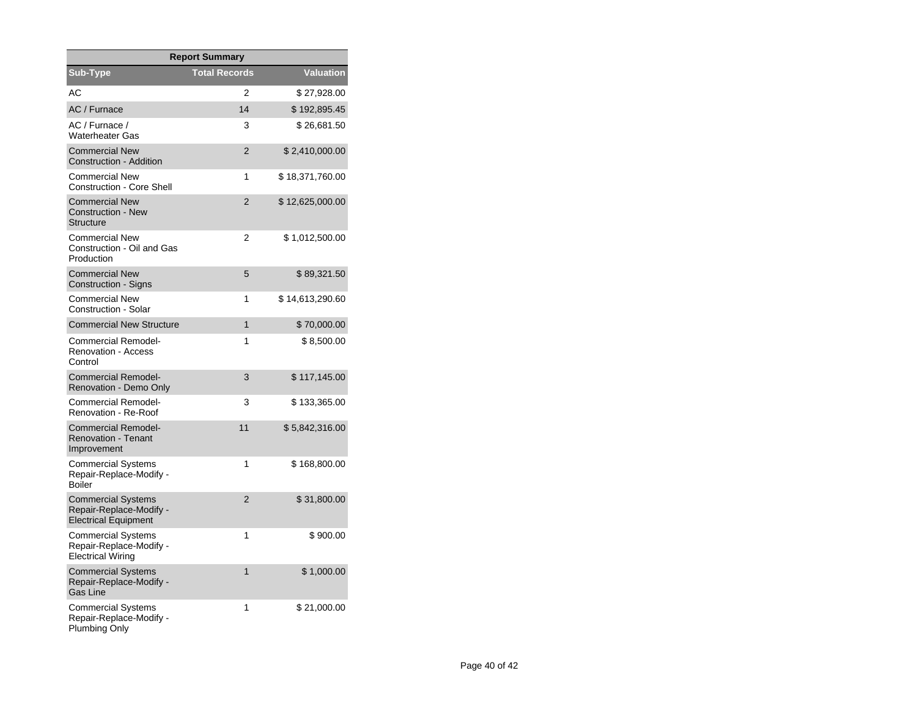| <b>Report Summary</b>                                                               |                      |                 |  |  |  |  |  |
|-------------------------------------------------------------------------------------|----------------------|-----------------|--|--|--|--|--|
| Sub-Type                                                                            | <b>Total Records</b> | Valuation       |  |  |  |  |  |
| AC                                                                                  | 2                    | \$27,928.00     |  |  |  |  |  |
| AC / Furnace                                                                        | 14                   | \$192,895.45    |  |  |  |  |  |
| AC / Furnace /<br><b>Waterheater Gas</b>                                            | 3                    | \$26,681.50     |  |  |  |  |  |
| <b>Commercial New</b><br><b>Construction - Addition</b>                             | $\overline{2}$       | \$2,410,000.00  |  |  |  |  |  |
| <b>Commercial New</b><br>Construction - Core Shell                                  | 1                    | \$18,371,760.00 |  |  |  |  |  |
| <b>Commercial New</b><br><b>Construction - New</b><br><b>Structure</b>              | $\overline{2}$       | \$12,625,000.00 |  |  |  |  |  |
| Commercial New<br>Construction - Oil and Gas<br>Production                          | 2                    | \$1,012,500.00  |  |  |  |  |  |
| <b>Commercial New</b><br>Construction - Signs                                       | 5                    | \$89,321.50     |  |  |  |  |  |
| <b>Commercial New</b><br>Construction - Solar                                       | 1                    | \$14,613,290.60 |  |  |  |  |  |
| <b>Commercial New Structure</b>                                                     | $\mathbf{1}$         | \$70,000.00     |  |  |  |  |  |
| Commercial Remodel-<br><b>Renovation - Access</b><br>Control                        | 1                    | \$8,500.00      |  |  |  |  |  |
| <b>Commercial Remodel-</b><br>Renovation - Demo Only                                | 3                    | \$117,145.00    |  |  |  |  |  |
| Commercial Remodel-<br>Renovation - Re-Roof                                         | 3                    | \$133,365.00    |  |  |  |  |  |
| <b>Commercial Remodel-</b><br><b>Renovation - Tenant</b><br>Improvement             | 11                   | \$5,842,316.00  |  |  |  |  |  |
| <b>Commercial Systems</b><br>Repair-Replace-Modify -<br>Boiler                      | 1                    | \$168,800.00    |  |  |  |  |  |
| <b>Commercial Systems</b><br>Repair-Replace-Modify -<br><b>Electrical Equipment</b> | $\overline{2}$       | \$31,800.00     |  |  |  |  |  |
| <b>Commercial Systems</b><br>Repair-Replace-Modify -<br>Electrical Wiring           | 1                    | \$900.00        |  |  |  |  |  |
| <b>Commercial Systems</b><br>Repair-Replace-Modify -<br>Gas Line                    | 1                    | \$1,000.00      |  |  |  |  |  |
| Commercial Systems<br>Repair-Replace-Modify -<br>Plumbing Only                      | 1                    | \$21,000.00     |  |  |  |  |  |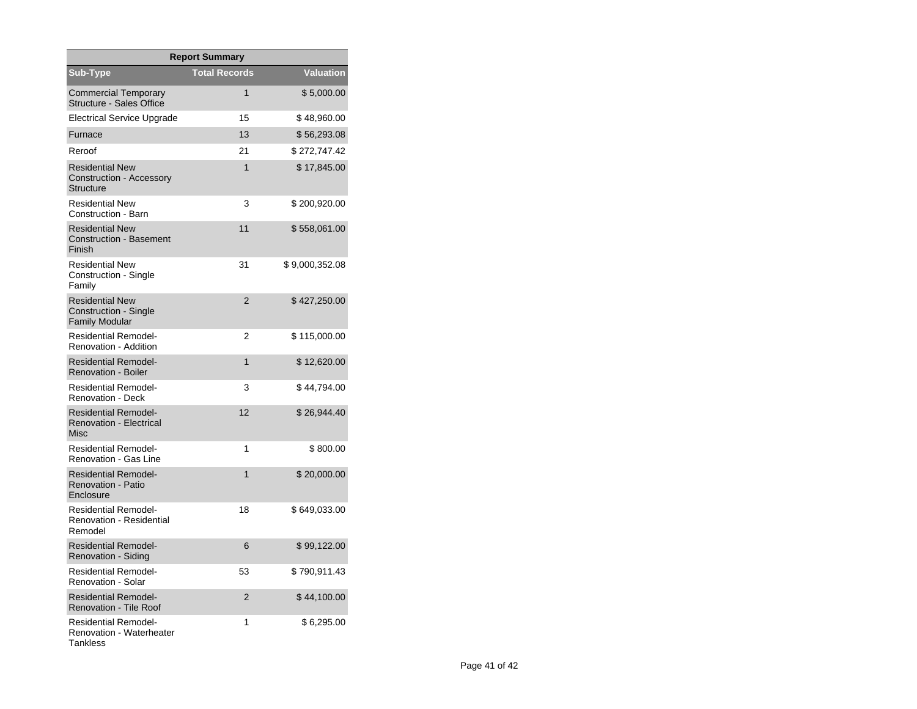| <b>Report Summary</b>                                                           |                      |                  |  |  |  |  |  |
|---------------------------------------------------------------------------------|----------------------|------------------|--|--|--|--|--|
| Sub-Type                                                                        | <b>Total Records</b> | <b>Valuation</b> |  |  |  |  |  |
| Commercial Temporary<br>Structure - Sales Office                                | 1                    | \$5,000.00       |  |  |  |  |  |
| <b>Electrical Service Upgrade</b>                                               | 15                   | \$48,960.00      |  |  |  |  |  |
| Furnace                                                                         | 13                   | \$56,293.08      |  |  |  |  |  |
| Reroof                                                                          | 21                   | \$272,747.42     |  |  |  |  |  |
| <b>Residential New</b><br>Construction - Accessory<br><b>Structure</b>          | 1                    | \$17,845.00      |  |  |  |  |  |
| <b>Residential New</b><br>Construction - Barn                                   | 3                    | \$200,920.00     |  |  |  |  |  |
| <b>Residential New</b><br><b>Construction - Basement</b><br>Finish              | 11                   | \$558,061.00     |  |  |  |  |  |
| <b>Residential New</b><br>Construction - Single<br>Family                       | 31                   | \$9,000,352.08   |  |  |  |  |  |
| <b>Residential New</b><br><b>Construction - Single</b><br><b>Family Modular</b> | $\overline{2}$       | \$427,250.00     |  |  |  |  |  |
| <b>Residential Remodel-</b><br>Renovation - Addition                            | 2                    | \$115,000.00     |  |  |  |  |  |
| <b>Residential Remodel-</b><br><b>Renovation - Boiler</b>                       | $\mathbf{1}$         | \$12,620.00      |  |  |  |  |  |
| <b>Residential Remodel-</b><br><b>Renovation - Deck</b>                         | 3                    | \$44,794.00      |  |  |  |  |  |
| <b>Residential Remodel-</b><br><b>Renovation - Electrical</b><br><b>Misc</b>    | 12                   | \$26,944.40      |  |  |  |  |  |
| <b>Residential Remodel-</b><br>Renovation - Gas Line                            | 1                    | \$800.00         |  |  |  |  |  |
| <b>Residential Remodel-</b><br>Renovation - Patio<br>Enclosure                  | 1                    | \$20,000.00      |  |  |  |  |  |
| <b>Residential Remodel-</b><br><b>Renovation - Residential</b><br>Remodel       | 18                   | \$649,033.00     |  |  |  |  |  |
| <b>Residential Remodel-</b><br>Renovation - Siding                              | 6                    | \$99,122.00      |  |  |  |  |  |
| <b>Residential Remodel-</b><br>Renovation - Solar                               | 53                   | \$ 790,911.43    |  |  |  |  |  |
| <b>Residential Remodel-</b><br><b>Renovation - Tile Roof</b>                    | $\overline{2}$       | \$44,100.00      |  |  |  |  |  |
| <b>Residential Remodel-</b><br><b>Renovation - Waterheater</b><br>Tankless      | 1                    | \$6,295.00       |  |  |  |  |  |